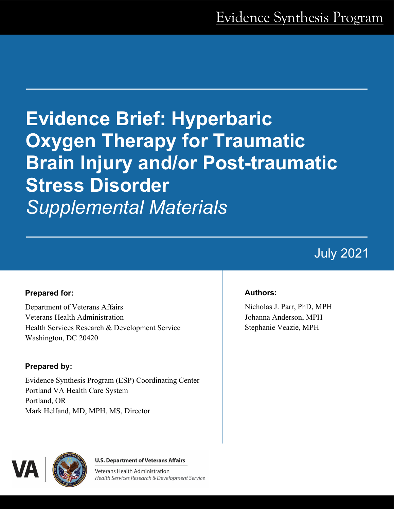# **Evidence Brief: Hyperbaric Oxygen Therapy for Traumatic Brain Injury and/or Post-traumatic Stress Disorder**  *Supplemental Materials*

## July 2021

#### **Prepared for:**

Department of Veterans Affairs Veterans Health Administration Health Services Research & Development Service Washington, DC 20420

#### **Prepared by:**

Evidence Synthesis Program (ESP) Coordinating Center Portland VA Health Care System Portland, OR Mark Helfand, MD, MPH, MS, Director

#### **Authors:**

Nicholas J. Parr, PhD, MPH Johanna Anderson, MPH Stephanie Veazie, MPH



**U.S. Department of Veterans Affairs** 

Veterans Health Administration Health Services Research & Development Service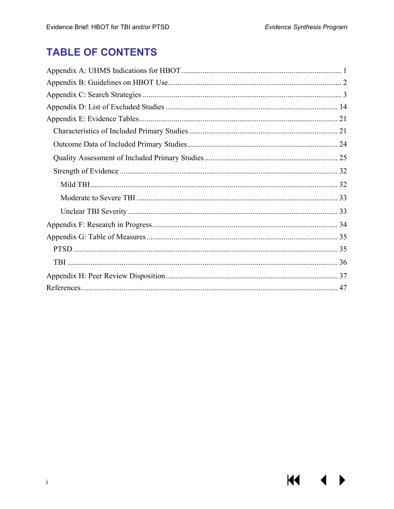## **TABLE OF CONTENTS**

<span id="page-1-0"></span>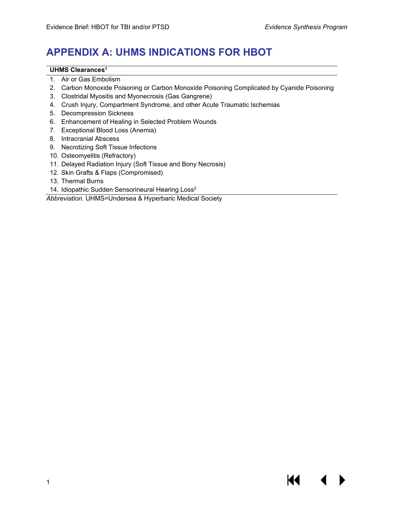## **APPENDIX A: UHMS INDICATIONS FOR HBOT**

#### **UHMS Clearance[s1](#page-48-1)**

- 1. Air or Gas Embolism
- 2. Carbon Monoxide Poisoning or Carbon Monoxide Poisoning Complicated by Cyanide Poisoning
- 3. Clostridal Myositis and Myonecrosis (Gas Gangrene)
- 4. Crush Injury, Compartment Syndrome, and other Acute Traumatic Ischemias
- 5. Decompression Sickness
- 6. Enhancement of Healing in Selected Problem Wounds
- 7. Exceptional Blood Loss (Anemia)
- 8. Intracranial Abscess
- 9. Necrotizing Soft Tissue Infections
- 10. Osteomyelitis (Refractory)
- 11. Delayed Radiation Injury (Soft Tissue and Bony Necrosis)
- 12. Skin Grafts & Flaps (Compromised)
- 13. Thermal Burns
- 14. Idiopathic Sudden Sensorineural Hearing Loss<sup>2</sup>

*Abbreviation.* UHMS=Undersea & Hyperbaric Medical Society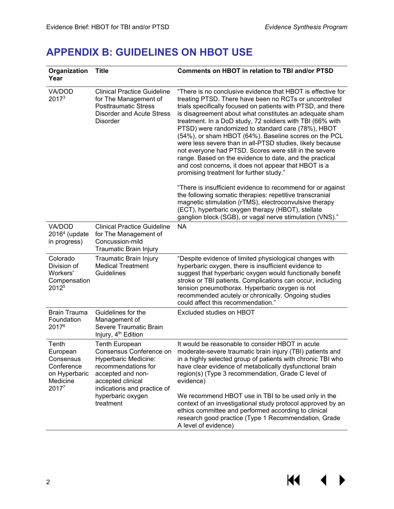## <span id="page-3-0"></span>**APPENDIX B: GUIDELINES ON HBOT USE**

<span id="page-3-1"></span>

| Organization<br>Year                                                               | <b>Title</b>                                                                                                                                                             | <b>Comments on HBOT in relation to TBI and/or PTSD</b>                                                                                                                                                                                                                                                                                                                                                                                                                                                                                                                                                                                                                                                            |
|------------------------------------------------------------------------------------|--------------------------------------------------------------------------------------------------------------------------------------------------------------------------|-------------------------------------------------------------------------------------------------------------------------------------------------------------------------------------------------------------------------------------------------------------------------------------------------------------------------------------------------------------------------------------------------------------------------------------------------------------------------------------------------------------------------------------------------------------------------------------------------------------------------------------------------------------------------------------------------------------------|
| VA/DOD<br>2017 <sup>3</sup>                                                        | <b>Clinical Practice Guideline</b><br>for The Management of<br><b>Posttraumatic Stress</b><br><b>Disorder and Acute Stress</b><br><b>Disorder</b>                        | "There is no conclusive evidence that HBOT is effective for<br>treating PTSD. There have been no RCTs or uncontrolled<br>trials specifically focused on patients with PTSD, and there<br>is disagreement about what constitutes an adequate sham<br>treatment. In a DoD study, 72 soldiers with TBI (66% with<br>PTSD) were randomized to standard care (78%), HBOT<br>(54%), or sham HBOT (64%). Baseline scores on the PCL<br>were less severe than in all-PTSD studies, likely because<br>not everyone had PTSD. Scores were still in the severe<br>range. Based on the evidence to date, and the practical<br>and cost concerns, it does not appear that HBOT is a<br>promising treatment for further study." |
|                                                                                    |                                                                                                                                                                          | "There is insufficient evidence to recommend for or against<br>the following somatic therapies: repetitive transcranial<br>magnetic stimulation (rTMS), electroconvulsive therapy<br>(ECT), hyperbaric oxygen therapy (HBOT), stellate<br>ganglion block (SGB), or vagal nerve stimulation (VNS)."                                                                                                                                                                                                                                                                                                                                                                                                                |
| VA/DOD<br>$20164$ (update<br>in progress)                                          | <b>Clinical Practice Guideline</b><br>for The Management of<br>Concussion-mild<br>Traumatic Brain Injury                                                                 | <b>NA</b>                                                                                                                                                                                                                                                                                                                                                                                                                                                                                                                                                                                                                                                                                                         |
| Colorado<br>Division of<br>Workers'<br>Compensation<br>2012 <sup>5</sup>           | Traumatic Brain Injury<br><b>Medical Treatment</b><br>Guidelines                                                                                                         | "Despite evidence of limited physiological changes with<br>hyperbaric oxygen, there is insufficient evidence to<br>suggest that hyperbaric oxygen would functionally benefit<br>stroke or TBI patients. Complications can occur, including<br>tension pneumothorax. Hyperbaric oxygen is not<br>recommended acutely or chronically. Ongoing studies<br>could affect this recommendation."                                                                                                                                                                                                                                                                                                                         |
| <b>Brain Trauma</b><br>Foundation<br>20176                                         | Guidelines for the<br>Management of<br>Severe Traumatic Brain<br>Injury, 4 <sup>th</sup> Edition                                                                         | Excluded studies on HBOT                                                                                                                                                                                                                                                                                                                                                                                                                                                                                                                                                                                                                                                                                          |
| Tenth<br>European<br>Consensus<br>Conference<br>on Hyperbaric<br>Medicine<br>20177 | <b>Tenth European</b><br>Consensus Conference on<br>Hyperbaric Medicine:<br>recommendations for<br>accepted and non-<br>accepted clinical<br>indications and practice of | It would be reasonable to consider HBOT in acute<br>moderate-severe traumatic brain injury (TBI) patients and<br>in a highly selected group of patients with chronic TBI who<br>have clear evidence of metabolically dysfunctional brain<br>region(s) (Type 3 recommendation, Grade C level of<br>evidence)                                                                                                                                                                                                                                                                                                                                                                                                       |
|                                                                                    | hyperbaric oxygen<br>treatment                                                                                                                                           | We recommend HBOT use in TBI to be used only in the<br>context of an investigational study protocol approved by an<br>ethics committee and performed according to clinical<br>research good practice (Type 1 Recommendation, Grade<br>A level of evidence)                                                                                                                                                                                                                                                                                                                                                                                                                                                        |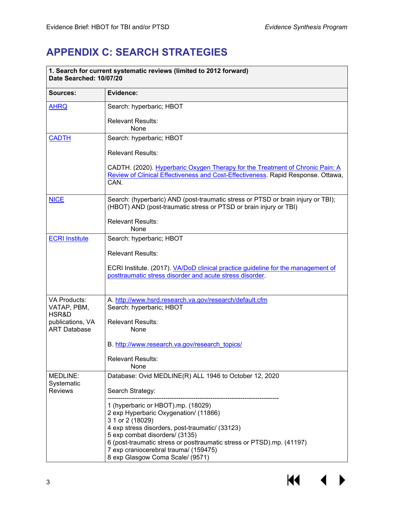## **APPENDIX C: SEARCH STRATEGIES**

| 1. Search for current systematic reviews (limited to 2012 forward)<br>Date Searched: 10/07/20 |                                                                                                                                                                                                                                                                                                                                            |  |
|-----------------------------------------------------------------------------------------------|--------------------------------------------------------------------------------------------------------------------------------------------------------------------------------------------------------------------------------------------------------------------------------------------------------------------------------------------|--|
| Sources:                                                                                      | Evidence:                                                                                                                                                                                                                                                                                                                                  |  |
| <b>AHRQ</b>                                                                                   | Search: hyperbaric; HBOT                                                                                                                                                                                                                                                                                                                   |  |
|                                                                                               | <b>Relevant Results:</b><br>None                                                                                                                                                                                                                                                                                                           |  |
| <b>CADTH</b>                                                                                  | Search: hyperbaric; HBOT                                                                                                                                                                                                                                                                                                                   |  |
|                                                                                               | <b>Relevant Results:</b>                                                                                                                                                                                                                                                                                                                   |  |
|                                                                                               | CADTH. (2020). Hyperbaric Oxygen Therapy for the Treatment of Chronic Pain: A<br>Review of Clinical Effectiveness and Cost-Effectiveness. Rapid Response. Ottawa,<br>CAN.                                                                                                                                                                  |  |
| <b>NICE</b>                                                                                   | Search: (hyperbaric) AND (post-traumatic stress or PTSD or brain injury or TBI);<br>(HBOT) AND (post-traumatic stress or PTSD or brain injury or TBI)                                                                                                                                                                                      |  |
|                                                                                               | <b>Relevant Results:</b><br>None                                                                                                                                                                                                                                                                                                           |  |
| <b>ECRI Institute</b>                                                                         | Search: hyperbaric; HBOT                                                                                                                                                                                                                                                                                                                   |  |
|                                                                                               | <b>Relevant Results:</b>                                                                                                                                                                                                                                                                                                                   |  |
|                                                                                               | ECRI Institute. (2017). VA/DoD clinical practice guideline for the management of<br>posttraumatic stress disorder and acute stress disorder.                                                                                                                                                                                               |  |
| <b>VA Products:</b>                                                                           | A. http://www.hsrd.research.va.gov/research/default.cfm                                                                                                                                                                                                                                                                                    |  |
| VATAP, PBM,<br>HSR&D                                                                          | Search: hyperbaric; HBOT                                                                                                                                                                                                                                                                                                                   |  |
| publications, VA<br><b>ART Database</b>                                                       | <b>Relevant Results:</b><br>None                                                                                                                                                                                                                                                                                                           |  |
|                                                                                               | B. http://www.research.va.gov/research_topics/                                                                                                                                                                                                                                                                                             |  |
|                                                                                               | <b>Relevant Results:</b><br>None                                                                                                                                                                                                                                                                                                           |  |
| MEDLINE:                                                                                      | Database: Ovid MEDLINE(R) ALL 1946 to October 12, 2020                                                                                                                                                                                                                                                                                     |  |
| Systematic<br><b>Reviews</b>                                                                  | Search Strategy:                                                                                                                                                                                                                                                                                                                           |  |
|                                                                                               | 1 (hyperbaric or HBOT).mp. (18029)<br>2 exp Hyperbaric Oxygenation/ (11866)<br>3 1 or 2 (18029)<br>4 exp stress disorders, post-traumatic/ (33123)<br>5 exp combat disorders/ (3135)<br>6 (post-traumatic stress or posttraumatic stress or PTSD).mp. (41197)<br>7 exp craniocerebral trauma/ (159475)<br>8 exp Glasgow Coma Scale/ (9571) |  |

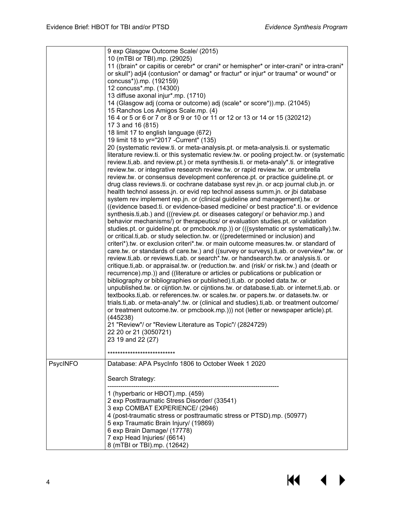|          | 9 exp Glasgow Outcome Scale/ (2015)<br>10 (mTBI or TBI).mp. (29025)<br>11 ((brain* or capitis or cerebr* or crani* or hemispher* or inter-crani* or intra-crani*<br>or skull*) adj4 (contusion* or damag* or fractur* or injur* or trauma* or wound* or<br>concuss*)).mp. (192159)<br>12 concuss*.mp. (14300)<br>13 diffuse axonal injur*.mp. (1710)<br>14 (Glasgow adj (coma or outcome) adj (scale* or score*)).mp. (21045)                                                                                                                                                                                                                                                                                                                                                                                                                                                                                                                                                                                                                                                                                                                                                                                                                                                                                                                                                                                                                                                                                                                                                                                                                                                                                                                                                                             |
|----------|-----------------------------------------------------------------------------------------------------------------------------------------------------------------------------------------------------------------------------------------------------------------------------------------------------------------------------------------------------------------------------------------------------------------------------------------------------------------------------------------------------------------------------------------------------------------------------------------------------------------------------------------------------------------------------------------------------------------------------------------------------------------------------------------------------------------------------------------------------------------------------------------------------------------------------------------------------------------------------------------------------------------------------------------------------------------------------------------------------------------------------------------------------------------------------------------------------------------------------------------------------------------------------------------------------------------------------------------------------------------------------------------------------------------------------------------------------------------------------------------------------------------------------------------------------------------------------------------------------------------------------------------------------------------------------------------------------------------------------------------------------------------------------------------------------------|
|          | 15 Ranchos Los Amigos Scale.mp. (4)                                                                                                                                                                                                                                                                                                                                                                                                                                                                                                                                                                                                                                                                                                                                                                                                                                                                                                                                                                                                                                                                                                                                                                                                                                                                                                                                                                                                                                                                                                                                                                                                                                                                                                                                                                       |
|          | 16 4 or 5 or 6 or 7 or 8 or 9 or 10 or 11 or 12 or 13 or 14 or 15 (320212)<br>17 3 and 16 (815)                                                                                                                                                                                                                                                                                                                                                                                                                                                                                                                                                                                                                                                                                                                                                                                                                                                                                                                                                                                                                                                                                                                                                                                                                                                                                                                                                                                                                                                                                                                                                                                                                                                                                                           |
|          | 18 limit 17 to english language (672)                                                                                                                                                                                                                                                                                                                                                                                                                                                                                                                                                                                                                                                                                                                                                                                                                                                                                                                                                                                                                                                                                                                                                                                                                                                                                                                                                                                                                                                                                                                                                                                                                                                                                                                                                                     |
|          | 19 limit 18 to yr="2017 - Current" (135)<br>20 (systematic review.ti. or meta-analysis.pt. or meta-analysis.ti. or systematic                                                                                                                                                                                                                                                                                                                                                                                                                                                                                                                                                                                                                                                                                                                                                                                                                                                                                                                                                                                                                                                                                                                                                                                                                                                                                                                                                                                                                                                                                                                                                                                                                                                                             |
|          | literature review.ti. or this systematic review.tw. or pooling project.tw. or (systematic<br>review.ti,ab. and review.pt.) or meta synthesis.ti. or meta-analy*.ti. or integrative<br>review.tw. or integrative research review.tw. or rapid review.tw. or umbrella                                                                                                                                                                                                                                                                                                                                                                                                                                                                                                                                                                                                                                                                                                                                                                                                                                                                                                                                                                                                                                                                                                                                                                                                                                                                                                                                                                                                                                                                                                                                       |
|          | review.tw. or consensus development conference.pt. or practice guideline.pt. or<br>drug class reviews.ti. or cochrane database syst rev.jn. or acp journal club.jn. or<br>health technol assess.jn. or evid rep technol assess summ.jn. or jbi database<br>system rev implement rep.jn. or (clinical guideline and management).tw. or<br>((evidence based.ti. or evidence-based medicine/ or best practice*.ti. or evidence<br>synthesis.ti,ab.) and (((review.pt. or diseases category/ or behavior.mp.) and<br>behavior mechanisms/) or therapeutics/ or evaluation studies.pt. or validation<br>studies.pt. or guideline.pt. or pmcbook.mp.)) or (((systematic or systematically).tw.<br>or critical.ti, ab. or study selection.tw. or ((predetermined or inclusion) and<br>criteri*).tw. or exclusion criteri*.tw. or main outcome measures.tw. or standard of<br>care.tw. or standards of care.tw.) and ((survey or surveys).ti,ab. or overview*.tw. or<br>review.ti,ab. or reviews.ti,ab. or search*.tw. or handsearch.tw. or analysis.ti. or<br>critique.ti,ab. or appraisal.tw. or (reduction.tw. and (risk/ or risk.tw.) and (death or<br>recurrence).mp.)) and ((literature or articles or publications or publication or<br>bibliography or bibliographies or published).ti, ab. or pooled data.tw. or<br>unpublished.tw. or cijntion.tw. or cijntions.tw. or database.ti, ab. or internet.ti, ab. or<br>textbooks.ti,ab. or references.tw. or scales.tw. or papers.tw. or datasets.tw. or<br>trials.ti,ab. or meta-analy*.tw. or (clinical and studies).ti,ab. or treatment outcome/<br>or treatment outcome.tw. or pmcbook.mp.))) not (letter or newspaper article).pt.<br>(445238)<br>21 "Review"/ or "Review Literature as Topic"/ (2824729)<br>22 20 or 21 (3050721)<br>23 19 and 22 (27) |
|          | ***************************                                                                                                                                                                                                                                                                                                                                                                                                                                                                                                                                                                                                                                                                                                                                                                                                                                                                                                                                                                                                                                                                                                                                                                                                                                                                                                                                                                                                                                                                                                                                                                                                                                                                                                                                                                               |
| PsycINFO | Database: APA PsycInfo 1806 to October Week 1 2020                                                                                                                                                                                                                                                                                                                                                                                                                                                                                                                                                                                                                                                                                                                                                                                                                                                                                                                                                                                                                                                                                                                                                                                                                                                                                                                                                                                                                                                                                                                                                                                                                                                                                                                                                        |
|          | Search Strategy:                                                                                                                                                                                                                                                                                                                                                                                                                                                                                                                                                                                                                                                                                                                                                                                                                                                                                                                                                                                                                                                                                                                                                                                                                                                                                                                                                                                                                                                                                                                                                                                                                                                                                                                                                                                          |
|          | 1 (hyperbaric or HBOT).mp. (459)<br>2 exp Posttraumatic Stress Disorder/ (33541)<br>3 exp COMBAT EXPERIENCE/ (2946)<br>4 (post-traumatic stress or posttraumatic stress or PTSD).mp. (50977)<br>5 exp Traumatic Brain Injury/ (19869)<br>6 exp Brain Damage/ (17778)<br>7 exp Head Injuries/ (6614)<br>8 (mTBI or TBI).mp. (12642)                                                                                                                                                                                                                                                                                                                                                                                                                                                                                                                                                                                                                                                                                                                                                                                                                                                                                                                                                                                                                                                                                                                                                                                                                                                                                                                                                                                                                                                                        |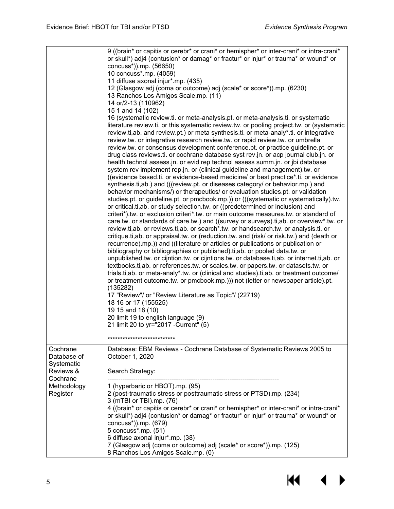|                                                    | 9 ((brain* or capitis or cerebr* or crani* or hemispher* or inter-crani* or intra-crani*<br>or skull*) adj4 (contusion* or damag* or fractur* or injur* or trauma* or wound* or<br>concuss*)).mp. (56650)<br>10 concuss*.mp. (4059)<br>11 diffuse axonal injur*.mp. (435)<br>12 (Glasgow adj (coma or outcome) adj (scale* or score*)).mp. (6230)<br>13 Ranchos Los Amigos Scale.mp. (11)<br>14 or/2-13 (110962)<br>15 1 and 14 (102)<br>16 (systematic review.ti. or meta-analysis.pt. or meta-analysis.ti. or systematic<br>literature review.ti. or this systematic review.tw. or pooling project.tw. or (systematic<br>review.ti, ab. and review.pt.) or meta synthesis.ti. or meta-analy*.ti. or integrative<br>review.tw. or integrative research review.tw. or rapid review.tw. or umbrella<br>review.tw. or consensus development conference.pt. or practice guideline.pt. or<br>drug class reviews.ti. or cochrane database syst rev.jn. or acp journal club.jn. or<br>health technol assess.jn. or evid rep technol assess summ.jn. or jbi database<br>system rev implement rep.jn. or (clinical guideline and management).tw. or<br>((evidence based.ti. or evidence-based medicine/ or best practice*.ti. or evidence<br>synthesis.ti,ab.) and (((review.pt. or diseases category/ or behavior.mp.) and<br>behavior mechanisms/) or therapeutics/ or evaluation studies.pt. or validation<br>studies.pt. or guideline.pt. or pmcbook.mp.)) or (((systematic or systematically).tw.<br>or critical.ti, ab. or study selection.tw. or ((predetermined or inclusion) and<br>criteri*).tw. or exclusion criteri*.tw. or main outcome measures.tw. or standard of<br>care.tw. or standards of care.tw.) and ((survey or surveys).ti,ab. or overview*.tw. or<br>review.ti, ab. or reviews.ti, ab. or search*.tw. or handsearch.tw. or analysis.ti. or<br>critique.ti,ab. or appraisal.tw. or (reduction.tw. and (risk/ or risk.tw.) and (death or<br>recurrence).mp.)) and ((literature or articles or publications or publication or<br>bibliography or bibliographies or published).ti, ab. or pooled data.tw. or<br>unpublished.tw. or cijntion.tw. or cijntions.tw. or database.ti,ab. or internet.ti,ab. or<br>textbooks.ti,ab. or references.tw. or scales.tw. or papers.tw. or datasets.tw. or<br>trials.ti,ab. or meta-analy*.tw. or (clinical and studies).ti,ab. or treatment outcome/<br>or treatment outcome.tw. or pmcbook.mp.))) not (letter or newspaper article).pt.<br>(135282)<br>17 "Review"/ or "Review Literature as Topic"/ (22719)<br>18 16 or 17 (155525)<br>19 15 and 18 (10)<br>20 limit 19 to english language (9)<br>21 limit 20 to yr="2017 - Current" (5) |
|----------------------------------------------------|-----------------------------------------------------------------------------------------------------------------------------------------------------------------------------------------------------------------------------------------------------------------------------------------------------------------------------------------------------------------------------------------------------------------------------------------------------------------------------------------------------------------------------------------------------------------------------------------------------------------------------------------------------------------------------------------------------------------------------------------------------------------------------------------------------------------------------------------------------------------------------------------------------------------------------------------------------------------------------------------------------------------------------------------------------------------------------------------------------------------------------------------------------------------------------------------------------------------------------------------------------------------------------------------------------------------------------------------------------------------------------------------------------------------------------------------------------------------------------------------------------------------------------------------------------------------------------------------------------------------------------------------------------------------------------------------------------------------------------------------------------------------------------------------------------------------------------------------------------------------------------------------------------------------------------------------------------------------------------------------------------------------------------------------------------------------------------------------------------------------------------------------------------------------------------------------------------------------------------------------------------------------------------------------------------------------------------------------------------------------------------------------------------------------------------------------------------------------------------------------------------------------------------------------------------------------------------------------------------------------------------------------------------------------------------------------------|
|                                                    | ***************************                                                                                                                                                                                                                                                                                                                                                                                                                                                                                                                                                                                                                                                                                                                                                                                                                                                                                                                                                                                                                                                                                                                                                                                                                                                                                                                                                                                                                                                                                                                                                                                                                                                                                                                                                                                                                                                                                                                                                                                                                                                                                                                                                                                                                                                                                                                                                                                                                                                                                                                                                                                                                                                                   |
| Cochrane<br>Database of<br>Systematic<br>Reviews & | Database: EBM Reviews - Cochrane Database of Systematic Reviews 2005 to<br>October 1, 2020<br>Search Strategy:                                                                                                                                                                                                                                                                                                                                                                                                                                                                                                                                                                                                                                                                                                                                                                                                                                                                                                                                                                                                                                                                                                                                                                                                                                                                                                                                                                                                                                                                                                                                                                                                                                                                                                                                                                                                                                                                                                                                                                                                                                                                                                                                                                                                                                                                                                                                                                                                                                                                                                                                                                                |
| Cochrane<br>Methodology<br>Register                | 1 (hyperbaric or HBOT).mp. (95)<br>2 (post-traumatic stress or posttraumatic stress or PTSD).mp. (234)<br>3 (mTBI or TBI).mp. (76)<br>4 ((brain* or capitis or cerebr* or crani* or hemispher* or inter-crani* or intra-crani*<br>or skull*) adj4 (contusion* or damag* or fractur* or injur* or trauma* or wound* or<br>concuss*)).mp. (679)<br>5 concuss*.mp. (51)<br>6 diffuse axonal injur*.mp. (38)<br>7 (Glasgow adj (coma or outcome) adj (scale* or score*)).mp. (125)<br>8 Ranchos Los Amigos Scale.mp. (0)                                                                                                                                                                                                                                                                                                                                                                                                                                                                                                                                                                                                                                                                                                                                                                                                                                                                                                                                                                                                                                                                                                                                                                                                                                                                                                                                                                                                                                                                                                                                                                                                                                                                                                                                                                                                                                                                                                                                                                                                                                                                                                                                                                          |

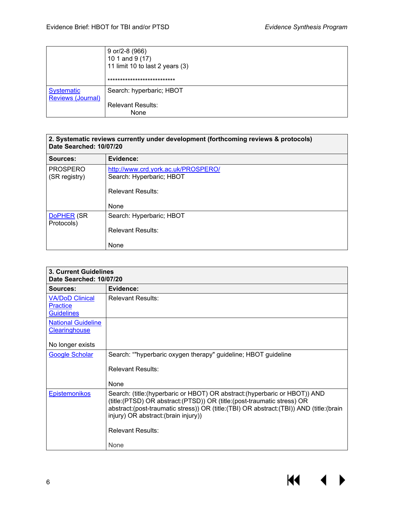|                                               | $9$ or/2-8 (966)<br>10 1 and 9 (17)<br>11 limit 10 to last 2 years (3) |
|-----------------------------------------------|------------------------------------------------------------------------|
|                                               | ***************************                                            |
| <b>Systematic</b><br><b>Reviews (Journal)</b> | Search: hyperbaric; HBOT                                               |
|                                               | <b>Relevant Results:</b><br>None                                       |

| 2. Systematic reviews currently under development (forthcoming reviews & protocols)<br>Date Searched: 10/07/20 |                                                                                                     |
|----------------------------------------------------------------------------------------------------------------|-----------------------------------------------------------------------------------------------------|
| Sources:                                                                                                       | Evidence:                                                                                           |
| <b>PROSPERO</b><br>(SR registry)                                                                               | http://www.crd.york.ac.uk/PROSPERO/<br>Search: Hyperbaric; HBOT<br><b>Relevant Results:</b><br>None |
| DoPHER (SR<br>Protocols)                                                                                       | Search: Hyperbaric; HBOT<br><b>Relevant Results:</b><br>None                                        |

| 3. Current Guidelines<br>Date Searched: 10/07/20               |                                                                                                                                                                                                                                                                                            |  |
|----------------------------------------------------------------|--------------------------------------------------------------------------------------------------------------------------------------------------------------------------------------------------------------------------------------------------------------------------------------------|--|
| Sources:                                                       | Evidence:                                                                                                                                                                                                                                                                                  |  |
| <b>VA/DoD Clinical</b><br><b>Practice</b><br><b>Guidelines</b> | <b>Relevant Results:</b>                                                                                                                                                                                                                                                                   |  |
| <b>National Guideline</b><br><b>Clearinghouse</b>              |                                                                                                                                                                                                                                                                                            |  |
| No longer exists                                               |                                                                                                                                                                                                                                                                                            |  |
| <b>Google Scholar</b>                                          | Search: ""hyperbaric oxygen therapy" guideline; HBOT guideline<br><b>Relevant Results:</b><br>None                                                                                                                                                                                         |  |
| <b>Epistemonikos</b>                                           | Search: (title: (hyperbaric or HBOT) OR abstract: (hyperbaric or HBOT)) AND<br>(title: (PTSD) OR abstract: (PTSD)) OR (title: (post-traumatic stress) OR<br>abstract:(post-traumatic stress)) OR (title:(TBI) OR abstract:(TBI)) AND (title:(brain<br>injury) OR abstract: (brain injury)) |  |
|                                                                | <b>Relevant Results:</b><br>None                                                                                                                                                                                                                                                           |  |

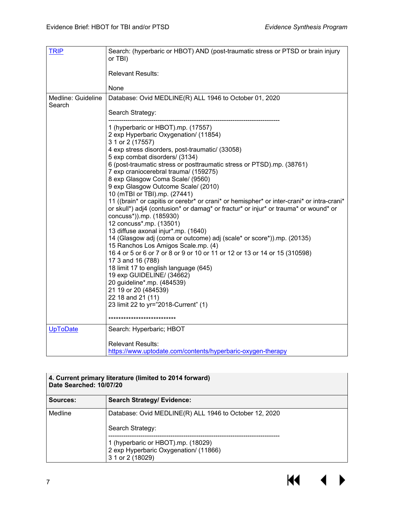| <b>TRIP</b>                  | Search: (hyperbaric or HBOT) AND (post-traumatic stress or PTSD or brain injury<br>or TBI)                                |
|------------------------------|---------------------------------------------------------------------------------------------------------------------------|
|                              | <b>Relevant Results:</b>                                                                                                  |
|                              | None                                                                                                                      |
| Medline: Guideline<br>Search | Database: Ovid MEDLINE(R) ALL 1946 to October 01, 2020                                                                    |
|                              | Search Strategy:                                                                                                          |
|                              | 1 (hyperbaric or HBOT).mp. (17557)<br>2 exp Hyperbaric Oxygenation/ (11854)<br>3 1 or 2 (17557)                           |
|                              | 4 exp stress disorders, post-traumatic/ (33058)                                                                           |
|                              | 5 exp combat disorders/ (3134)                                                                                            |
|                              | 6 (post-traumatic stress or posttraumatic stress or PTSD).mp. (38761)<br>7 exp craniocerebral trauma/ (159275)            |
|                              | 8 exp Glasgow Coma Scale/ (9560)                                                                                          |
|                              | 9 exp Glasgow Outcome Scale/ (2010)                                                                                       |
|                              | 10 (mTBI or TBI).mp. (27441)<br>11 ((brain* or capitis or cerebr* or crani* or hemispher* or inter-crani* or intra-crani* |
|                              | or skull*) adj4 (contusion* or damag* or fractur* or injur* or trauma* or wound* or<br>concuss*)).mp. (185930)            |
|                              | 12 concuss*.mp. (13501)                                                                                                   |
|                              | 13 diffuse axonal injur*.mp. (1640)<br>14 (Glasgow adj (coma or outcome) adj (scale* or score*)).mp. (20135)              |
|                              | 15 Ranchos Los Amigos Scale.mp. (4)                                                                                       |
|                              | 16 4 or 5 or 6 or 7 or 8 or 9 or 10 or 11 or 12 or 13 or 14 or 15 (310598)                                                |
|                              | 17 3 and 16 (788)<br>18 limit 17 to english language (645)                                                                |
|                              | 19 exp GUIDELINE/ (34662)                                                                                                 |
|                              | 20 guideline*.mp. (484539)                                                                                                |
|                              | 21 19 or 20 (484539)                                                                                                      |
|                              | 22 18 and 21 (11)<br>23 limit 22 to yr="2018-Current" (1)                                                                 |
|                              |                                                                                                                           |
|                              | ****************************                                                                                              |
| <b>UpToDate</b>              | Search: Hyperbaric; HBOT                                                                                                  |
|                              | <b>Relevant Results:</b>                                                                                                  |
|                              | https://www.uptodate.com/contents/hyperbaric-oxygen-therapy                                                               |

| 4. Current primary literature (limited to 2014 forward)<br>Date Searched: 10/07/20 |                                                                                                 |  |
|------------------------------------------------------------------------------------|-------------------------------------------------------------------------------------------------|--|
| Sources:                                                                           | <b>Search Strategy/ Evidence:</b>                                                               |  |
| Medline                                                                            | Database: Ovid MEDLINE(R) ALL 1946 to October 12, 2020                                          |  |
|                                                                                    | Search Strategy:                                                                                |  |
|                                                                                    | 1 (hyperbaric or HBOT).mp. (18029)<br>2 exp Hyperbaric Oxygenation/ (11866)<br>3 1 or 2 (18029) |  |

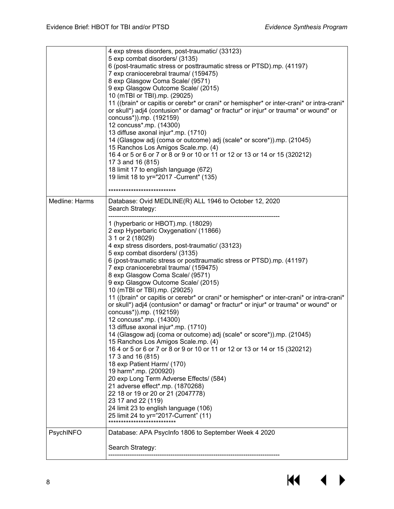|                | 4 exp stress disorders, post-traumatic/ (33123)<br>5 exp combat disorders/ (3135)<br>6 (post-traumatic stress or posttraumatic stress or PTSD).mp. (41197)<br>7 exp craniocerebral trauma/ (159475)<br>8 exp Glasgow Coma Scale/ (9571)<br>9 exp Glasgow Outcome Scale/ (2015)<br>10 (mTBI or TBI).mp. (29025)<br>11 ((brain* or capitis or cerebr* or crani* or hemispher* or inter-crani* or intra-crani*<br>or skull*) adj4 (contusion* or damag* or fractur* or injur* or trauma* or wound* or<br>concuss*)).mp. (192159)<br>12 concuss*.mp. (14300)<br>13 diffuse axonal injur*.mp. (1710)<br>14 (Glasgow adj (coma or outcome) adj (scale* or score*)).mp. (21045)<br>15 Ranchos Los Amigos Scale.mp. (4)<br>16 4 or 5 or 6 or 7 or 8 or 9 or 10 or 11 or 12 or 13 or 14 or 15 (320212)<br>17 3 and 16 (815)<br>18 limit 17 to english language (672)<br>19 limit 18 to yr="2017 - Current" (135)                                                                                                                                                                                                                                                                                                                                  |
|----------------|------------------------------------------------------------------------------------------------------------------------------------------------------------------------------------------------------------------------------------------------------------------------------------------------------------------------------------------------------------------------------------------------------------------------------------------------------------------------------------------------------------------------------------------------------------------------------------------------------------------------------------------------------------------------------------------------------------------------------------------------------------------------------------------------------------------------------------------------------------------------------------------------------------------------------------------------------------------------------------------------------------------------------------------------------------------------------------------------------------------------------------------------------------------------------------------------------------------------------------------|
|                | ****************************                                                                                                                                                                                                                                                                                                                                                                                                                                                                                                                                                                                                                                                                                                                                                                                                                                                                                                                                                                                                                                                                                                                                                                                                             |
| Medline: Harms | Database: Ovid MEDLINE(R) ALL 1946 to October 12, 2020<br>Search Strategy:                                                                                                                                                                                                                                                                                                                                                                                                                                                                                                                                                                                                                                                                                                                                                                                                                                                                                                                                                                                                                                                                                                                                                               |
|                | 1 (hyperbaric or HBOT).mp. (18029)<br>2 exp Hyperbaric Oxygenation/ (11866)<br>3 1 or 2 (18029)<br>4 exp stress disorders, post-traumatic/ (33123)<br>5 exp combat disorders/ (3135)<br>6 (post-traumatic stress or posttraumatic stress or PTSD).mp. (41197)<br>7 exp craniocerebral trauma/ (159475)<br>8 exp Glasgow Coma Scale/ (9571)<br>9 exp Glasgow Outcome Scale/ (2015)<br>10 (mTBI or TBI).mp. (29025)<br>11 ((brain* or capitis or cerebr* or crani* or hemispher* or inter-crani* or intra-crani*<br>or skull*) adj4 (contusion* or damag* or fractur* or injur* or trauma* or wound* or<br>concuss*)).mp. (192159)<br>12 concuss*.mp. (14300)<br>13 diffuse axonal injur*.mp. (1710)<br>14 (Glasgow adj (coma or outcome) adj (scale* or score*)).mp. (21045)<br>15 Ranchos Los Amigos Scale.mp. (4)<br>16 4 or 5 or 6 or 7 or 8 or 9 or 10 or 11 or 12 or 13 or 14 or 15 (320212)<br>17 3 and 16 (815)<br>18 exp Patient Harm/ (170)<br>19 harm*.mp. (200920)<br>20 exp Long Term Adverse Effects/ (584)<br>21 adverse effect*.mp. (1870268)<br>22 18 or 19 or 20 or 21 (2047778)<br>23 17 and 22 (119)<br>24 limit 23 to english language (106)<br>25 limit 24 to yr="2017-Current" (11)<br>**************************** |
| PsychINFO      | Database: APA PsycInfo 1806 to September Week 4 2020<br>Search Strategy:                                                                                                                                                                                                                                                                                                                                                                                                                                                                                                                                                                                                                                                                                                                                                                                                                                                                                                                                                                                                                                                                                                                                                                 |
|                |                                                                                                                                                                                                                                                                                                                                                                                                                                                                                                                                                                                                                                                                                                                                                                                                                                                                                                                                                                                                                                                                                                                                                                                                                                          |

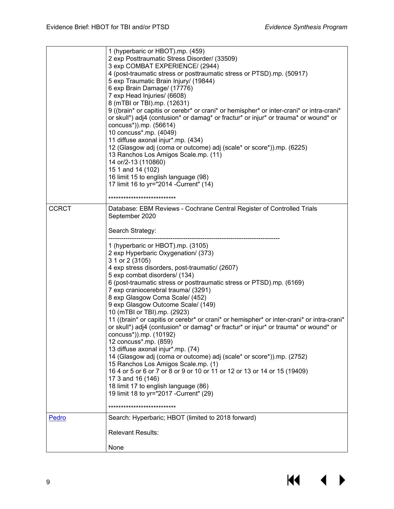|              | 1 (hyperbaric or HBOT).mp. (459)<br>2 exp Posttraumatic Stress Disorder/ (33509)<br>3 exp COMBAT EXPERIENCE/ (2944)<br>4 (post-traumatic stress or posttraumatic stress or PTSD).mp. (50917)<br>5 exp Traumatic Brain Injury/ (19844)<br>6 exp Brain Damage/ (17776)<br>7 exp Head Injuries/ (6608)<br>8 (mTBI or TBI).mp. (12631)<br>9 ((brain* or capitis or cerebr* or crani* or hemispher* or inter-crani* or intra-crani*<br>or skull*) adj4 (contusion* or damag* or fractur* or injur* or trauma* or wound* or<br>concuss*)).mp. (56614)<br>10 concuss*.mp. (4049)<br>11 diffuse axonal injur*.mp. (434)<br>12 (Glasgow adj (coma or outcome) adj (scale* or score*)).mp. (6225)<br>13 Ranchos Los Amigos Scale.mp. (11)<br>14 or/2-13 (110860)<br>15 1 and 14 (102)<br>16 limit 15 to english language (98)<br>17 limit 16 to yr="2014 - Current" (14)<br>****************************                                                                                        |
|--------------|---------------------------------------------------------------------------------------------------------------------------------------------------------------------------------------------------------------------------------------------------------------------------------------------------------------------------------------------------------------------------------------------------------------------------------------------------------------------------------------------------------------------------------------------------------------------------------------------------------------------------------------------------------------------------------------------------------------------------------------------------------------------------------------------------------------------------------------------------------------------------------------------------------------------------------------------------------------------------------------|
| <b>CCRCT</b> | Database: EBM Reviews - Cochrane Central Register of Controlled Trials<br>September 2020                                                                                                                                                                                                                                                                                                                                                                                                                                                                                                                                                                                                                                                                                                                                                                                                                                                                                              |
|              | Search Strategy:                                                                                                                                                                                                                                                                                                                                                                                                                                                                                                                                                                                                                                                                                                                                                                                                                                                                                                                                                                      |
|              |                                                                                                                                                                                                                                                                                                                                                                                                                                                                                                                                                                                                                                                                                                                                                                                                                                                                                                                                                                                       |
|              | 1 (hyperbaric or HBOT).mp. (3105)<br>2 exp Hyperbaric Oxygenation/ (373)<br>3 1 or 2 (3105)<br>4 exp stress disorders, post-traumatic/ (2607)<br>5 exp combat disorders/ (134)<br>6 (post-traumatic stress or posttraumatic stress or PTSD).mp. (6169)<br>7 exp craniocerebral trauma/ (3291)<br>8 exp Glasgow Coma Scale/ (452)<br>9 exp Glasgow Outcome Scale/ (149)<br>10 (mTBI or TBI).mp. (2923)<br>11 ((brain* or capitis or cerebr* or crani* or hemispher* or inter-crani* or intra-crani*<br>or skull*) adj4 (contusion* or damag* or fractur* or injur* or trauma* or wound* or<br>concuss*)).mp. (10192)<br>12 concuss*.mp. (859)<br>13 diffuse axonal injur*.mp. (74)<br>14 (Glasgow adj (coma or outcome) adj (scale* or score*)).mp. (2752)<br>15 Ranchos Los Amigos Scale.mp. (1)<br>16 4 or 5 or 6 or 7 or 8 or 9 or 10 or 11 or 12 or 13 or 14 or 15 (19409)<br>17 3 and 16 (146)<br>18 limit 17 to english language (86)<br>19 limit 18 to yr="2017 - Current" (29) |
| Pedro        | ****************************<br>Search: Hyperbaric; HBOT (limited to 2018 forward)                                                                                                                                                                                                                                                                                                                                                                                                                                                                                                                                                                                                                                                                                                                                                                                                                                                                                                    |
|              | <b>Relevant Results:</b>                                                                                                                                                                                                                                                                                                                                                                                                                                                                                                                                                                                                                                                                                                                                                                                                                                                                                                                                                              |
|              | None                                                                                                                                                                                                                                                                                                                                                                                                                                                                                                                                                                                                                                                                                                                                                                                                                                                                                                                                                                                  |

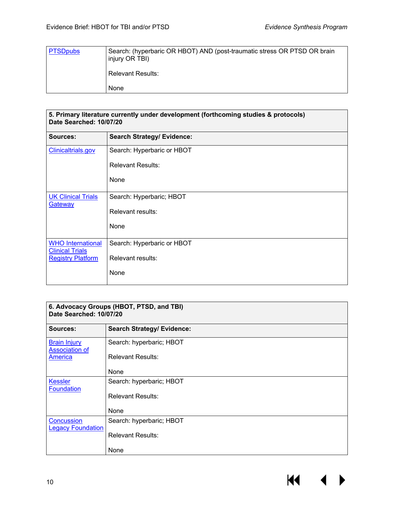| <b>PTSDpubs</b> | Search: (hyperbaric OR HBOT) AND (post-traumatic stress OR PTSD OR brain<br>injury OR TBI) |
|-----------------|--------------------------------------------------------------------------------------------|
|                 | <b>Relevant Results:</b>                                                                   |
|                 | None                                                                                       |

| 5. Primary literature currently under development (forthcoming studies & protocols)<br>Date Searched: 10/07/20 |                                   |  |
|----------------------------------------------------------------------------------------------------------------|-----------------------------------|--|
| Sources:                                                                                                       | <b>Search Strategy/ Evidence:</b> |  |
| <b>Clinicaltrials.gov</b>                                                                                      | Search: Hyperbaric or HBOT        |  |
|                                                                                                                | <b>Relevant Results:</b>          |  |
|                                                                                                                | None                              |  |
| <b>UK Clinical Trials</b><br>Gateway                                                                           | Search: Hyperbaric; HBOT          |  |
|                                                                                                                | Relevant results:                 |  |
|                                                                                                                | None                              |  |
| <b>WHO International</b><br><b>Clinical Trials</b>                                                             | Search: Hyperbaric or HBOT        |  |
| <b>Registry Platform</b>                                                                                       | Relevant results:                 |  |
|                                                                                                                | None                              |  |

| 6. Advocacy Groups (HBOT, PTSD, and TBI)<br>Date Searched: 10/07/20 |                                   |  |
|---------------------------------------------------------------------|-----------------------------------|--|
| Sources:                                                            | <b>Search Strategy/ Evidence:</b> |  |
| <b>Brain Injury</b><br><b>Association of</b>                        | Search: hyperbaric; HBOT          |  |
| <b>America</b>                                                      | <b>Relevant Results:</b>          |  |
|                                                                     | None                              |  |
| <b>Kessler</b><br><b>Foundation</b>                                 | Search: hyperbaric; HBOT          |  |
|                                                                     | <b>Relevant Results:</b>          |  |
|                                                                     | None                              |  |
| <b>Concussion</b><br><b>Legacy Foundation</b>                       | Search: hyperbaric; HBOT          |  |
|                                                                     | <b>Relevant Results:</b>          |  |
|                                                                     | None                              |  |

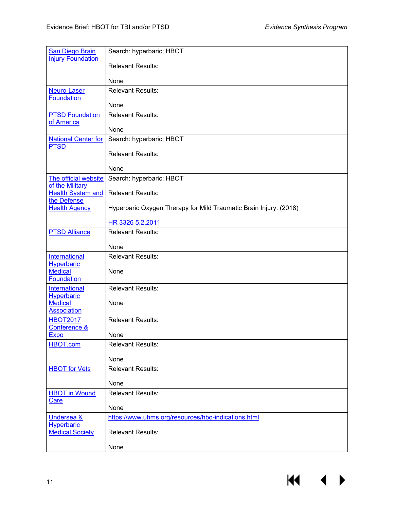| <b>San Diego Brain</b><br><b>Injury Foundation</b> | Search: hyperbaric; HBOT                                          |
|----------------------------------------------------|-------------------------------------------------------------------|
|                                                    | <b>Relevant Results:</b>                                          |
|                                                    | None                                                              |
| Neuro-Laser<br><b>Foundation</b>                   | <b>Relevant Results:</b>                                          |
|                                                    | None                                                              |
| <b>PTSD Foundation</b><br>of America               | <b>Relevant Results:</b>                                          |
|                                                    | None                                                              |
| <b>National Center for</b><br><b>PTSD</b>          | Search: hyperbaric; HBOT                                          |
|                                                    | <b>Relevant Results:</b>                                          |
|                                                    | None                                                              |
| The official website<br>of the Military            | Search: hyperbaric; HBOT                                          |
| <b>Health System and</b><br>the Defense            | <b>Relevant Results:</b>                                          |
| <b>Health Agency</b>                               | Hyperbaric Oxygen Therapy for Mild Traumatic Brain Injury. (2018) |
|                                                    | HR 3326 5.2.2011                                                  |
| <b>PTSD Alliance</b>                               | <b>Relevant Results:</b>                                          |
|                                                    | None                                                              |
| International                                      | <b>Relevant Results:</b>                                          |
| <b>Hyperbaric</b><br><b>Medical</b>                | None                                                              |
| <b>Foundation</b>                                  |                                                                   |
| <b>International</b><br><b>Hyperbaric</b>          | <b>Relevant Results:</b>                                          |
| <b>Medical</b><br><b>Association</b>               | None                                                              |
| <b>HBOT2017</b>                                    | <b>Relevant Results:</b>                                          |
| Conference &<br><b>Expo</b>                        | None                                                              |
| HBOT.com                                           | <b>Relevant Results:</b>                                          |
|                                                    | None                                                              |
| <b>HBOT</b> for Vets                               | <b>Relevant Results:</b>                                          |
|                                                    | None                                                              |
| <b>HBOT in Wound</b><br><b>Care</b>                | <b>Relevant Results:</b>                                          |
|                                                    | None                                                              |
| <b>Undersea &amp;</b><br>Hyperbaric                | https://www.uhms.org/resources/hbo-indications.html               |
| <b>Medical Society</b>                             | <b>Relevant Results:</b>                                          |
|                                                    | None                                                              |

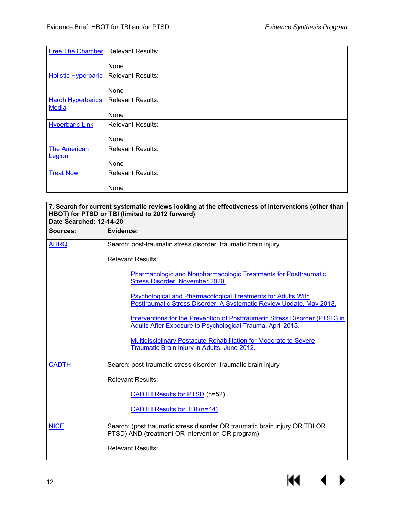| <b>Free The Chamber</b>                  | <b>Relevant Results:</b> |
|------------------------------------------|--------------------------|
|                                          | None                     |
| <b>Holistic Hyperbaric</b>               | <b>Relevant Results:</b> |
|                                          | None                     |
| <b>Harch Hyperbarics</b><br><b>Media</b> | <b>Relevant Results:</b> |
|                                          | None                     |
| <b>Hyperbaric Link</b>                   | <b>Relevant Results:</b> |
|                                          | None                     |
| <b>The American</b>                      | <b>Relevant Results:</b> |
| Legion                                   | None                     |
| <b>Treat Now</b>                         | <b>Relevant Results:</b> |
|                                          | None                     |

| 7. Search for current systematic reviews looking at the effectiveness of interventions (other than<br>HBOT) for PTSD or TBI (limited to 2012 forward)<br>Date Searched: 12-14-20 |                                                                                                                                           |  |
|----------------------------------------------------------------------------------------------------------------------------------------------------------------------------------|-------------------------------------------------------------------------------------------------------------------------------------------|--|
| Sources:                                                                                                                                                                         | Evidence:                                                                                                                                 |  |
| <b>AHRQ</b>                                                                                                                                                                      | Search: post-traumatic stress disorder; traumatic brain injury                                                                            |  |
|                                                                                                                                                                                  | <b>Relevant Results:</b>                                                                                                                  |  |
|                                                                                                                                                                                  | Pharmacologic and Nonpharmacologic Treatments for Posttraumatic<br>Stress Disorder. November 2020.                                        |  |
|                                                                                                                                                                                  | Psychological and Pharmacological Treatments for Adults With<br>Posttraumatic Stress Disorder: A Systematic Review Update. May 2018.      |  |
|                                                                                                                                                                                  | Interventions for the Prevention of Posttraumatic Stress Disorder (PTSD) in<br>Adults After Exposure to Psychological Trauma. April 2013. |  |
|                                                                                                                                                                                  | Multidisciplinary Postacute Rehabilitation for Moderate to Severe<br>Traumatic Brain Injury in Adults. June 2012.                         |  |
| <b>CADTH</b>                                                                                                                                                                     | Search: post-traumatic stress disorder; traumatic brain injury                                                                            |  |
|                                                                                                                                                                                  | <b>Relevant Results:</b>                                                                                                                  |  |
|                                                                                                                                                                                  | <b>CADTH Results for PTSD (n=52)</b>                                                                                                      |  |
|                                                                                                                                                                                  | <b>CADTH Results for TBI (n=44)</b>                                                                                                       |  |
| <b>NICE</b>                                                                                                                                                                      | Search: (post traumatic stress disorder OR traumatic brain injury OR TBI OR<br>PTSD) AND (treatment OR intervention OR program)           |  |
|                                                                                                                                                                                  | <b>Relevant Results:</b>                                                                                                                  |  |

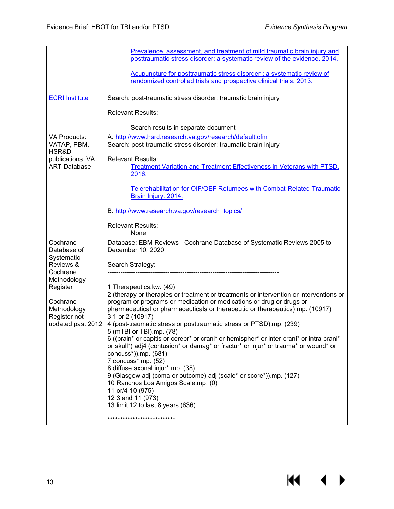$M \rightarrow$ 

|                                    | Prevalence, assessment, and treatment of mild traumatic brain injury and                                                  |
|------------------------------------|---------------------------------------------------------------------------------------------------------------------------|
|                                    | posttraumatic stress disorder: a systematic review of the evidence. 2014.                                                 |
|                                    | Acupuncture for posttraumatic stress disorder : a systematic review of                                                    |
|                                    | randomized controlled trials and prospective clinical trials. 2013.                                                       |
|                                    |                                                                                                                           |
| <b>ECRI Institute</b>              | Search: post-traumatic stress disorder; traumatic brain injury                                                            |
|                                    | <b>Relevant Results:</b>                                                                                                  |
|                                    |                                                                                                                           |
|                                    | Search results in separate document                                                                                       |
| <b>VA Products:</b><br>VATAP, PBM, | A. http://www.hsrd.research.va.gov/research/default.cfm<br>Search: post-traumatic stress disorder; traumatic brain injury |
| HSR&D                              |                                                                                                                           |
| publications, VA                   | <b>Relevant Results:</b>                                                                                                  |
| <b>ART Database</b>                | Treatment Variation and Treatment Effectiveness in Veterans with PTSD.<br>2016.                                           |
|                                    |                                                                                                                           |
|                                    | <b>Telerehabilitation for OIF/OEF Returnees with Combat-Related Traumatic</b>                                             |
|                                    | Brain Injury. 2014.                                                                                                       |
|                                    | B. http://www.research.va.gov/research_topics/                                                                            |
|                                    | <b>Relevant Results:</b>                                                                                                  |
|                                    | None                                                                                                                      |
| Cochrane                           | Database: EBM Reviews - Cochrane Database of Systematic Reviews 2005 to                                                   |
| Database of                        | December 10, 2020                                                                                                         |
| Systematic<br>Reviews &            | Search Strategy:                                                                                                          |
| Cochrane                           |                                                                                                                           |
| Methodology                        |                                                                                                                           |
| Register                           | 1 Therapeutics.kw. (49)<br>2 (therapy or therapies or treatment or treatments or intervention or interventions or         |
| Cochrane                           | program or programs or medication or medications or drug or drugs or                                                      |
| Methodology                        | pharmaceutical or pharmaceuticals or therapeutic or therapeutics).mp. (10917)                                             |
| Register not                       | 3 1 or 2 (10917)                                                                                                          |
| updated past 2012                  | 4 (post-traumatic stress or posttraumatic stress or PTSD).mp. (239)<br>5 (mTBI or TBI).mp. (78)                           |
|                                    | 6 ((brain* or capitis or cerebr* or crani* or hemispher* or inter-crani* or intra-crani*                                  |
|                                    | or skull*) adj4 (contusion* or damag* or fractur* or injur* or trauma* or wound* or                                       |
|                                    | concuss*)).mp. (681)                                                                                                      |
|                                    | 7 concuss*.mp. (52)<br>8 diffuse axonal injur*.mp. (38)                                                                   |
|                                    | 9 (Glasgow adj (coma or outcome) adj (scale* or score*)).mp. (127)                                                        |
|                                    | 10 Ranchos Los Amigos Scale.mp. (0)                                                                                       |
|                                    | 11 or/4-10 (975)<br>12 3 and 11 (973)                                                                                     |
|                                    | 13 limit 12 to last 8 years (636)                                                                                         |
|                                    | ****************************                                                                                              |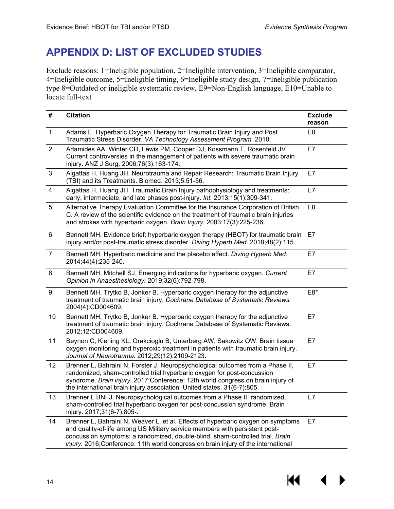## <span id="page-15-0"></span>**APPENDIX D: LIST OF EXCLUDED STUDIES**

Exclude reasons: 1=Ineligible population, 2=Ineligible intervention, 3=Ineligible comparator, 4=Ineligible outcome, 5=Ineligible timing, 6=Ineligible study design, 7=Ineligible publication type 8=Outdated or ineligible systematic review, E9=Non-English language, E10=Unable to locate full-text

| #              | <b>Citation</b>                                                                                                                                                                                                                                                                                                                        | <b>Exclude</b><br>reason |
|----------------|----------------------------------------------------------------------------------------------------------------------------------------------------------------------------------------------------------------------------------------------------------------------------------------------------------------------------------------|--------------------------|
| $\mathbf{1}$   | Adams E. Hyperbaric Oxygen Therapy for Traumatic Brain Injury and Post<br>Traumatic Stress Disorder. VA Technology Assessment Program. 2010.                                                                                                                                                                                           | E <sub>8</sub>           |
| $\overline{2}$ | Adamides AA, Winter CD, Lewis PM, Cooper DJ, Kossmann T, Rosenfeld JV.<br>Current controversies in the management of patients with severe traumatic brain<br>injury. ANZ J Surg. 2006;76(3):163-174.                                                                                                                                   | E7                       |
| 3              | Algattas H, Huang JH. Neurotrauma and Repair Research: Traumatic Brain Injury<br>(TBI) and its Treatments. Biomed. 2013;5:51-56.                                                                                                                                                                                                       | E7                       |
| $\overline{4}$ | Algattas H, Huang JH. Traumatic Brain Injury pathophysiology and treatments:<br>early, intermediate, and late phases post-injury. Int. 2013;15(1):309-341.                                                                                                                                                                             | E7                       |
| 5              | Alternative Therapy Evaluation Committee for the Insurance Corporation of British<br>C. A review of the scientific evidence on the treatment of traumatic brain injuries<br>and strokes with hyperbaric oxygen. Brain Injury. 2003;17(3):225-236.                                                                                      | E <sub>8</sub>           |
| 6              | Bennett MH. Evidence brief: hyperbaric oxygen therapy (HBOT) for traumatic brain<br>injury and/or post-traumatic stress disorder. Diving Hyperb Med. 2018;48(2):115.                                                                                                                                                                   | E7                       |
| $\overline{7}$ | Bennett MH. Hyperbaric medicine and the placebo effect. Diving Hyperb Med.<br>2014;44(4):235-240.                                                                                                                                                                                                                                      | E7                       |
| 8              | Bennett MH, Mitchell SJ. Emerging indications for hyperbaric oxygen. Current<br>Opinion in Anaesthesiology. 2019;32(6):792-798.                                                                                                                                                                                                        | E7                       |
| 9              | Bennett MH, Trytko B, Jonker B. Hyperbaric oxygen therapy for the adjunctive<br>treatment of traumatic brain injury. Cochrane Database of Systematic Reviews.<br>2004(4):CD004609.                                                                                                                                                     | E8*                      |
| 10             | Bennett MH, Trytko B, Jonker B. Hyperbaric oxygen therapy for the adjunctive<br>treatment of traumatic brain injury. Cochrane Database of Systematic Reviews.<br>2012;12:CD004609.                                                                                                                                                     | E7                       |
| 11             | Beynon C, Kiening KL, Orakcioglu B, Unterberg AW, Sakowitz OW. Brain tissue<br>oxygen monitoring and hyperoxic treatment in patients with traumatic brain injury.<br>Journal of Neurotrauma. 2012;29(12):2109-2123.                                                                                                                    | E7                       |
| 12             | Brenner L, Bahraini N, Forster J. Neuropsychological outcomes from a Phase II,<br>randomized, sham-controlled trial hyperbaric oxygen for post-concussion<br>syndrome. Brain injury. 2017;Conference: 12th world congress on brain injury of<br>the international brain injury association. United states. 31(6-7):805.                | E7                       |
| 13             | Brenner L BNFJ. Neuropsychological outcomes from a Phase II, randomized,<br>sham-controlled trial hyperbaric oxygen for post-concussion syndrome. Brain<br>injury. 2017;31(6-7):805-.                                                                                                                                                  | E7                       |
| 14             | Brenner L, Bahraini N, Weaver L, et al. Effects of hyperbaric oxygen on symptoms<br>and quality-of-life among US Military service members with persistent post-<br>concussion symptoms: a randomized, double-blind, sham-controlled trial. Brain<br>injury. 2016; Conference: 11th world congress on brain injury of the international | E7                       |

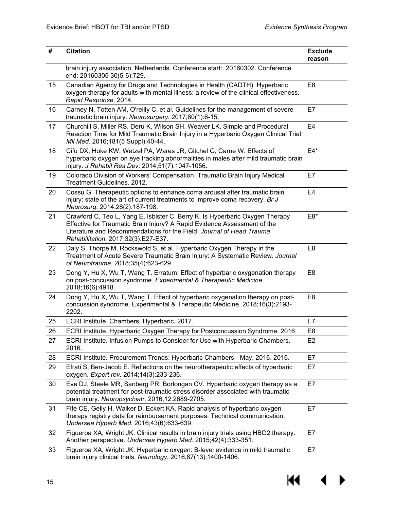| #  | <b>Citation</b>                                                                                                                                                                                                                                                         | <b>Exclude</b><br>reason |
|----|-------------------------------------------------------------------------------------------------------------------------------------------------------------------------------------------------------------------------------------------------------------------------|--------------------------|
|    | brain injury association. Netherlands. Conference start:. 20160302. Conference<br>end: 20160305 30(5-6):729.                                                                                                                                                            |                          |
| 15 | Canadian Agency for Drugs and Technologies in Health (CADTH). Hyperbaric<br>oxygen therapy for adults with mental illness: a review of the clinical effectiveness.<br>Rapid Response. 2014.                                                                             | E <sub>8</sub>           |
| 16 | Carney N, Totten AM, O'reilly C, et al. Guidelines for the management of severe<br>traumatic brain injury. Neurosurgery. 2017;80(1):6-15.                                                                                                                               | E7                       |
| 17 | Churchill S, Miller RS, Deru K, Wilson SH, Weaver LK. Simple and Procedural<br>Reaction Time for Mild Traumatic Brain Injury in a Hyperbaric Oxygen Clinical Trial.<br>Mil Med. 2016;181(5 Suppl):40-44.                                                                | E4                       |
| 18 | Cifu DX, Hoke KW, Wetzel PA, Wares JR, Gitchel G, Carne W. Effects of<br>hyperbaric oxygen on eye tracking abnormalities in males after mild traumatic brain<br>injury. J Rehabil Res Dev. 2014;51(7):1047-1056.                                                        | $E4*$                    |
| 19 | Colorado Division of Workers' Compensation. Traumatic Brain Injury Medical<br>Treatment Guidelines. 2012.                                                                                                                                                               | E7                       |
| 20 | Cossu G. Therapeutic options to enhance coma arousal after traumatic brain<br>injury: state of the art of current treatments to improve coma recovery. Br J<br>Neurosurg. 2014;28(2):187-198.                                                                           | E <sub>4</sub>           |
| 21 | Crawford C, Teo L, Yang E, Isbister C, Berry K. Is Hyperbaric Oxygen Therapy<br>Effective for Traumatic Brain Injury? A Rapid Evidence Assessment of the<br>Literature and Recommendations for the Field. Journal of Head Trauma<br>Rehabilitation. 2017;32(3):E27-E37. | $E8*$                    |
| 22 | Daly S, Thorpe M, Rockswold S, et al. Hyperbaric Oxygen Therapy in the<br>Treatment of Acute Severe Traumatic Brain Injury: A Systematic Review. Journal<br>of Neurotrauma. 2018;35(4):623-629.                                                                         | E <sub>8</sub>           |
| 23 | Dong Y, Hu X, Wu T, Wang T. Erratum: Effect of hyperbaric oxygenation therapy<br>on post-concussion syndrome. Experimental & Therapeutic Medicine.<br>2018;16(6):4918.                                                                                                  | E <sub>8</sub>           |
| 24 | Dong Y, Hu X, Wu T, Wang T. Effect of hyperbaric oxygenation therapy on post-<br>concussion syndrome. Experimental & Therapeutic Medicine. 2018;16(3):2193-<br>2202.                                                                                                    | E <sub>8</sub>           |
| 25 | ECRI Institute. Chambers, Hyperbaric. 2017.                                                                                                                                                                                                                             | E7                       |
| 26 | ECRI Institute. Hyperbaric Oxygen Therapy for Postconcussion Syndrome. 2016.                                                                                                                                                                                            | E <sub>8</sub>           |
| 27 | ECRI Institute. Infusion Pumps to Consider for Use with Hyperbaric Chambers.<br>2016.                                                                                                                                                                                   | E <sub>2</sub>           |
| 28 | ECRI Institute. Procurement Trends: Hyperbaric Chambers - May, 2016. 2016.                                                                                                                                                                                              | E7                       |
| 29 | Efrati S, Ben-Jacob E. Reflections on the neurotherapeutic effects of hyperbaric<br>oxygen. Expert rev. 2014;14(3):233-236.                                                                                                                                             | E7                       |
| 30 | Eve DJ, Steele MR, Sanberg PR, Borlongan CV. Hyperbaric oxygen therapy as a<br>potential treatment for post-traumatic stress disorder associated with traumatic<br>brain injury. Neuropsychiatr. 2016;12:2689-2705.                                                     | E7                       |
| 31 | Fife CE, Gelly H, Walker D, Eckert KA. Rapid analysis of hyperbaric oxygen<br>therapy registry data for reimbursement purposes: Technical communication.<br>Undersea Hyperb Med. 2016;43(6):633-639.                                                                    | E7                       |
| 32 | Figueroa XA, Wright JK. Clinical results in brain injury trials using HBO2 therapy:<br>Another perspective. Undersea Hyperb Med. 2015;42(4):333-351.                                                                                                                    | E7                       |
| 33 | Figueroa XA, Wright JK. Hyperbaric oxygen: B-level evidence in mild traumatic<br>brain injury clinical trials. Neurology. 2016;87(13):1400-1406.                                                                                                                        | E7                       |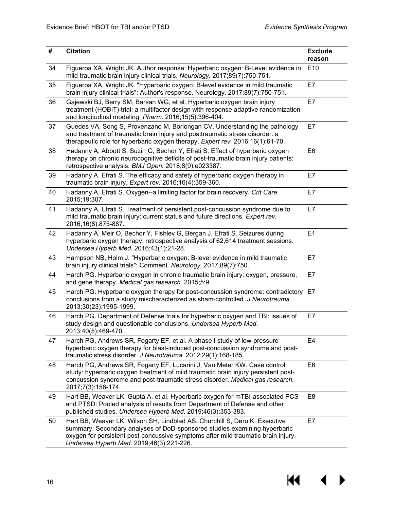| #  | <b>Citation</b>                                                                                                                                                                                                                                                                          | <b>Exclude</b><br>reason |
|----|------------------------------------------------------------------------------------------------------------------------------------------------------------------------------------------------------------------------------------------------------------------------------------------|--------------------------|
| 34 | Figueroa XA, Wright JK. Author response: Hyperbaric oxygen: B-Level evidence in<br>mild traumatic brain injury clinical trials. Neurology. 2017;89(7):750-751.                                                                                                                           | E <sub>10</sub>          |
| 35 | Figueroa XA, Wright JK. "Hyperbaric oxygen: B-level evidence in mild traumatic<br>brain injury clinical trials": Author's response. Neurology. 2017;89(7):750-751.                                                                                                                       | E7                       |
| 36 | Gajewski BJ, Berry SM, Barsan WG, et al. Hyperbaric oxygen brain injury<br>treatment (HOBIT) trial: a multifactor design with response adaptive randomization<br>and longitudinal modeling. Pharm. 2016;15(5):396-404.                                                                   | E7                       |
| 37 | Guedes VA, Song S, Provenzano M, Borlongan CV. Understanding the pathology<br>and treatment of traumatic brain injury and posttraumatic stress disorder: a<br>therapeutic role for hyperbaric oxygen therapy. Expert rev. 2016;16(1):61-70.                                              | E7                       |
| 38 | Hadanny A, Abbott S, Suzin G, Bechor Y, Efrati S. Effect of hyperbaric oxygen<br>therapy on chronic neurocognitive deficits of post-traumatic brain injury patients:<br>retrospective analysis. BMJ Open. 2018;8(9):e023387.                                                             | E <sub>6</sub>           |
| 39 | Hadanny A, Efrati S. The efficacy and safety of hyperbaric oxygen therapy in<br>traumatic brain injury. Expert rev. 2016;16(4):359-360.                                                                                                                                                  | E7                       |
| 40 | Hadanny A, Efrati S. Oxygen--a limiting factor for brain recovery. Crit Care.<br>2015;19:307.                                                                                                                                                                                            | E7                       |
| 41 | Hadanny A, Efrati S. Treatment of persistent post-concussion syndrome due to<br>mild traumatic brain injury: current status and future directions. Expert rev.<br>2016;16(8):875-887.                                                                                                    | E7                       |
| 42 | Hadanny A, Meir O, Bechor Y, Fishlev G, Bergan J, Efrati S. Seizures during<br>hyperbaric oxygen therapy: retrospective analysis of 62,614 treatment sessions.<br>Undersea Hyperb Med. 2016;43(1):21-28.                                                                                 | E1                       |
| 43 | Hampson NB, Holm J. "Hyperbaric oxygen: B-level evidence in mild traumatic<br>brain injury clinical trials": Comment. Neurology. 2017;89(7):750.                                                                                                                                         | E7                       |
| 44 | Harch PG. Hyperbaric oxygen in chronic traumatic brain injury: oxygen, pressure,<br>and gene therapy. Medical gas research. 2015;5:9.                                                                                                                                                    | E7                       |
| 45 | Harch PG. Hyperbaric oxygen therapy for post-concussion syndrome: contradictory E7<br>conclusions from a study mischaracterized as sham-controlled. J Neurotrauma.<br>2013;30(23):1995-1999.                                                                                             |                          |
| 46 | Harch PG. Department of Defense trials for hyperbaric oxygen and TBI: issues of<br>study design and questionable conclusions. Undersea Hyperb Med.<br>2013;40(5):469-470.                                                                                                                | E7                       |
| 47 | Harch PG, Andrews SR, Fogarty EF, et al. A phase I study of low-pressure<br>hyperbaric oxygen therapy for blast-induced post-concussion syndrome and post-<br>traumatic stress disorder. J Neurotrauma. 2012;29(1):168-185.                                                              | E <sub>4</sub>           |
| 48 | Harch PG, Andrews SR, Fogarty EF, Lucarini J, Van Meter KW. Case control<br>study: hyperbaric oxygen treatment of mild traumatic brain injury persistent post-<br>concussion syndrome and post-traumatic stress disorder. Medical gas research.<br>2017;7(3):156-174.                    | E <sub>6</sub>           |
| 49 | Hart BB, Weaver LK, Gupta A, et al. Hyperbaric oxygen for mTBI-associated PCS<br>and PTSD: Pooled analysis of results from Department of Defense and other<br>published studies. Undersea Hyperb Med. 2019;46(3):353-383.                                                                | E <sub>8</sub>           |
| 50 | Hart BB, Weaver LK, Wilson SH, Lindblad AS, Churchill S, Deru K. Executive<br>summary: Secondary analyses of DoD-sponsored studies examining hyperbaric<br>oxygen for persistent post-concussive symptoms after mild traumatic brain injury.<br>Undersea Hyperb Med. 2019;46(3):221-226. | E7                       |

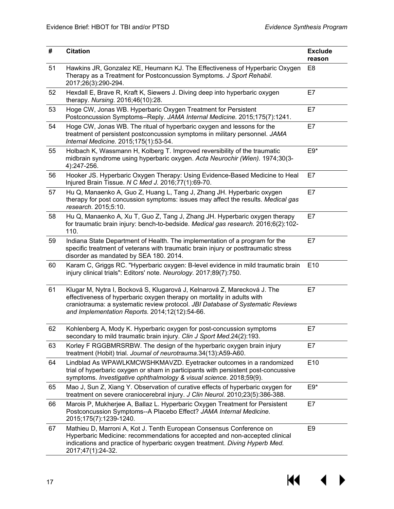| #  | <b>Citation</b>                                                                                                                                                                                                                                                                        | <b>Exclude</b><br>reason |
|----|----------------------------------------------------------------------------------------------------------------------------------------------------------------------------------------------------------------------------------------------------------------------------------------|--------------------------|
| 51 | Hawkins JR, Gonzalez KE, Heumann KJ. The Effectiveness of Hyperbaric Oxygen<br>Therapy as a Treatment for Postconcussion Symptoms. J Sport Rehabil.<br>2017;26(3):290-294.                                                                                                             | E <sub>8</sub>           |
| 52 | Hexdall E, Brave R, Kraft K, Siewers J. Diving deep into hyperbaric oxygen<br>therapy. Nursing. 2016;46(10):28.                                                                                                                                                                        | E7                       |
| 53 | Hoge CW, Jonas WB. Hyperbaric Oxygen Treatment for Persistent<br>Postconcussion Symptoms--Reply. JAMA Internal Medicine. 2015;175(7):1241.                                                                                                                                             | E7                       |
| 54 | Hoge CW, Jonas WB. The ritual of hyperbaric oxygen and lessons for the<br>treatment of persistent postconcussion symptoms in military personnel. JAMA<br>Internal Medicine. 2015;175(1):53-54.                                                                                         | E7                       |
| 55 | Holbach K, Wassmann H, Kolberg T. Improved reversibility of the traumatic<br>midbrain syndrome using hyperbaric oxygen. Acta Neurochir (Wien). 1974;30(3-<br>4):247-256.                                                                                                               | $E9*$                    |
| 56 | Hooker JS. Hyperbaric Oxygen Therapy: Using Evidence-Based Medicine to Heal<br>Injured Brain Tissue. N C Med J. 2016;77(1):69-70.                                                                                                                                                      | E7                       |
| 57 | Hu Q, Manaenko A, Guo Z, Huang L, Tang J, Zhang JH. Hyperbaric oxygen<br>therapy for post concussion symptoms: issues may affect the results. Medical gas<br>research. 2015;5:10.                                                                                                      | E7                       |
| 58 | Hu Q, Manaenko A, Xu T, Guo Z, Tang J, Zhang JH. Hyperbaric oxygen therapy<br>for traumatic brain injury: bench-to-bedside. Medical gas research. 2016;6(2):102-<br>110.                                                                                                               | E7                       |
| 59 | Indiana State Department of Health. The implementation of a program for the<br>specific treatment of veterans with traumatic brain injury or posttraumatic stress<br>disorder as mandated by SEA 180. 2014.                                                                            | E7                       |
| 60 | Karam C, Griggs RC. "Hyperbaric oxygen: B-level evidence in mild traumatic brain<br>injury clinical trials": Editors' note. Neurology. 2017;89(7):750.                                                                                                                                 | E10                      |
| 61 | Klugar M, Nytra I, Bocková S, Klugarová J, Kelnarová Z, Marecková J. The<br>effectiveness of hyperbaric oxygen therapy on mortality in adults with<br>craniotrauma: a systematic review protocol. JBI Database of Systematic Reviews<br>and Implementation Reports. 2014;12(12):54-66. | E7                       |
| 62 | Kohlenberg A, Mody K. Hyperbaric oxygen for post-concussion symptoms<br>secondary to mild traumatic brain injury. Clin J Sport Med.24(2):193.                                                                                                                                          | E7                       |
| 63 | Korley F RGGBMRSRBW. The design of the hyperbaric oxygen brain injury<br>treatment (Hobit) trial. Journal of neurotrauma.34(13):A59-A60.                                                                                                                                               | E7                       |
| 64 | Lindblad As WPAWLKMCWSHKMAVZD. Eyetracker outcomes in a randomized<br>trial of hyperbaric oxygen or sham in participants with persistent post-concussive<br>symptoms. Investigative ophthalmology & visual science. 2018;59(9).                                                        | E10                      |
| 65 | Mao J, Sun Z, Xiang Y. Observation of curative effects of hyperbaric oxygen for<br>treatment on severe craniocerebral injury. J Clin Neurol. 2010;23(5):386-388.                                                                                                                       | $E9*$                    |
| 66 | Marois P, Mukherjee A, Ballaz L. Hyperbaric Oxygen Treatment for Persistent<br>Postconcussion Symptoms--A Placebo Effect? JAMA Internal Medicine.<br>2015;175(7):1239-1240.                                                                                                            | E7                       |
| 67 | Mathieu D, Marroni A, Kot J. Tenth European Consensus Conference on<br>Hyperbaric Medicine: recommendations for accepted and non-accepted clinical<br>indications and practice of hyperbaric oxygen treatment. Diving Hyperb Med.<br>2017;47(1):24-32.                                 | E <sub>9</sub>           |

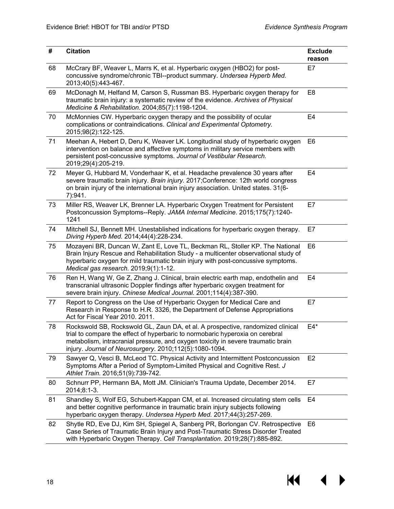| #  | <b>Citation</b>                                                                                                                                                                                                                                                                                                | <b>Exclude</b><br>reason |
|----|----------------------------------------------------------------------------------------------------------------------------------------------------------------------------------------------------------------------------------------------------------------------------------------------------------------|--------------------------|
| 68 | McCrary BF, Weaver L, Marrs K, et al. Hyperbaric oxygen (HBO2) for post-<br>concussive syndrome/chronic TBI--product summary. Undersea Hyperb Med.<br>2013;40(5):443-467.                                                                                                                                      | E7                       |
| 69 | McDonagh M, Helfand M, Carson S, Russman BS. Hyperbaric oxygen therapy for<br>traumatic brain injury: a systematic review of the evidence. Archives of Physical<br>Medicine & Rehabilitation. 2004;85(7):1198-1204.                                                                                            | E8                       |
| 70 | McMonnies CW. Hyperbaric oxygen therapy and the possibility of ocular<br>complications or contraindications. Clinical and Experimental Optometry.<br>2015;98(2):122-125.                                                                                                                                       | E <sub>4</sub>           |
| 71 | Meehan A, Hebert D, Deru K, Weaver LK. Longitudinal study of hyperbaric oxygen<br>intervention on balance and affective symptoms in military service members with<br>persistent post-concussive symptoms. Journal of Vestibular Research.<br>2019;29(4):205-219.                                               | E <sub>6</sub>           |
| 72 | Meyer G, Hubbard M, Vonderhaar K, et al. Headache prevalence 30 years after<br>severe traumatic brain injury. Brain injury. 2017; Conference: 12th world congress<br>on brain injury of the international brain injury association. United states. 31(6-<br>7):941.                                            | E <sub>4</sub>           |
| 73 | Miller RS, Weaver LK, Brenner LA. Hyperbaric Oxygen Treatment for Persistent<br>Postconcussion Symptoms--Reply. JAMA Internal Medicine. 2015;175(7):1240-<br>1241                                                                                                                                              | E7                       |
| 74 | Mitchell SJ, Bennett MH. Unestablished indications for hyperbaric oxygen therapy.<br>Diving Hyperb Med. 2014;44(4):228-234.                                                                                                                                                                                    | E7                       |
| 75 | Mozayeni BR, Duncan W, Zant E, Love TL, Beckman RL, Stoller KP. The National<br>Brain Injury Rescue and Rehabilitation Study - a multicenter observational study of<br>hyperbaric oxygen for mild traumatic brain injury with post-concussive symptoms.<br>Medical gas research. 2019;9(1):1-12.               | E <sub>6</sub>           |
| 76 | Ren H, Wang W, Ge Z, Zhang J. Clinical, brain electric earth map, endothelin and<br>transcranial ultrasonic Doppler findings after hyperbaric oxygen treatment for<br>severe brain injury. Chinese Medical Journal. 2001;114(4):387-390.                                                                       | E4                       |
| 77 | Report to Congress on the Use of Hyperbaric Oxygen for Medical Care and<br>Research in Response to H.R. 3326, the Department of Defense Appropriations<br>Act for Fiscal Year 2010. 2011.                                                                                                                      | E7                       |
| 78 | Rockswold SB, Rockswold GL, Zaun DA, et al. A prospective, randomized clinical<br>trial to compare the effect of hyperbaric to normobaric hyperoxia on cerebral<br>metabolism, intracranial pressure, and oxygen toxicity in severe traumatic brain<br>injury. Journal of Neurosurgery. 2010;112(5):1080-1094. | $E4*$                    |
| 79 | Sawyer Q, Vesci B, McLeod TC. Physical Activity and Intermittent Postconcussion<br>Symptoms After a Period of Symptom-Limited Physical and Cognitive Rest. J<br>Athlet Train. 2016;51(9):739-742.                                                                                                              | E <sub>2</sub>           |
| 80 | Schnurr PP, Hermann BA, Mott JM. Clinician's Trauma Update, December 2014.<br>2014;8:1-3.                                                                                                                                                                                                                      | E7                       |
| 81 | Shandley S, Wolf EG, Schubert-Kappan CM, et al. Increased circulating stem cells<br>and better cognitive performance in traumatic brain injury subjects following<br>hyperbaric oxygen therapy. Undersea Hyperb Med. 2017;44(3):257-269.                                                                       | E4                       |
| 82 | Shytle RD, Eve DJ, Kim SH, Spiegel A, Sanberg PR, Borlongan CV. Retrospective<br>Case Series of Traumatic Brain Injury and Post-Traumatic Stress Disorder Treated<br>with Hyperbaric Oxygen Therapy. Cell Transplantation. 2019;28(7):885-892.                                                                 | E6                       |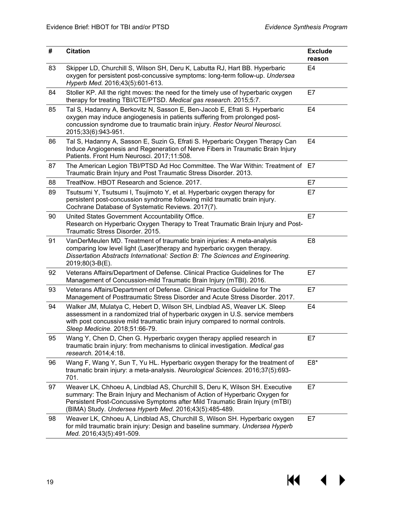| #  | <b>Citation</b>                                                                                                                                                                                                                                                                                     | <b>Exclude</b><br>reason |
|----|-----------------------------------------------------------------------------------------------------------------------------------------------------------------------------------------------------------------------------------------------------------------------------------------------------|--------------------------|
| 83 | Skipper LD, Churchill S, Wilson SH, Deru K, Labutta RJ, Hart BB. Hyperbaric<br>oxygen for persistent post-concussive symptoms: long-term follow-up. Undersea<br>Hyperb Med. 2016;43(5):601-613.                                                                                                     | E <sub>4</sub>           |
| 84 | Stoller KP. All the right moves: the need for the timely use of hyperbaric oxygen<br>therapy for treating TBI/CTE/PTSD. Medical gas research. 2015;5:7.                                                                                                                                             | E7                       |
| 85 | Tal S, Hadanny A, Berkovitz N, Sasson E, Ben-Jacob E, Efrati S. Hyperbaric<br>oxygen may induce angiogenesis in patients suffering from prolonged post-<br>concussion syndrome due to traumatic brain injury. Restor Neurol Neurosci.<br>2015;33(6):943-951.                                        | E <sub>4</sub>           |
| 86 | Tal S, Hadanny A, Sasson E, Suzin G, Efrati S. Hyperbaric Oxygen Therapy Can<br>Induce Angiogenesis and Regeneration of Nerve Fibers in Traumatic Brain Injury<br>Patients. Front Hum Neurosci. 2017;11:508.                                                                                        | E4                       |
| 87 | The American Legion TBI/PTSD Ad Hoc Committee. The War Within: Treatment of E7<br>Traumatic Brain Injury and Post Traumatic Stress Disorder. 2013.                                                                                                                                                  |                          |
| 88 | TreatNow. HBOT Research and Science, 2017.                                                                                                                                                                                                                                                          | E7                       |
| 89 | Tsutsumi Y, Tsutsumi I, Tsujimoto Y, et al. Hyperbaric oxygen therapy for<br>persistent post-concussion syndrome following mild traumatic brain injury.<br>Cochrane Database of Systematic Reviews. 2017(7).                                                                                        | E7                       |
| 90 | United States Government Accountability Office.<br>Research on Hyperbaric Oxygen Therapy to Treat Traumatic Brain Injury and Post-<br>Traumatic Stress Disorder. 2015.                                                                                                                              | E7                       |
| 91 | VanDerMeulen MD. Treatment of traumatic brain injuries: A meta-analysis<br>comparing low level light (Laser)therapy and hyperbaric oxygen therapy.<br>Dissertation Abstracts International: Section B: The Sciences and Engineering.<br>2019;80(3-B(E).                                             | E <sub>8</sub>           |
| 92 | Veterans Affairs/Department of Defense. Clinical Practice Guidelines for The<br>Management of Concussion-mild Traumatic Brain Injury (mTBI). 2016.                                                                                                                                                  | E7                       |
| 93 | Veterans Affairs/Department of Defense. Clinical Practice Guideline for The<br>Management of Posttraumatic Stress Disorder and Acute Stress Disorder. 2017.                                                                                                                                         | E7                       |
| 94 | Walker JM, Mulatya C, Hebert D, Wilson SH, Lindblad AS, Weaver LK. Sleep<br>assessment in a randomized trial of hyperbaric oxygen in U.S. service members<br>with post concussive mild traumatic brain injury compared to normal controls.<br>Sleep Medicine. 2018;51:66-79.                        | E <sub>4</sub>           |
| 95 | Wang Y, Chen D, Chen G. Hyperbaric oxygen therapy applied research in<br>traumatic brain injury: from mechanisms to clinical investigation. Medical gas<br>research. 2014;4:18.                                                                                                                     | E7                       |
| 96 | Wang F, Wang Y, Sun T, Yu HL. Hyperbaric oxygen therapy for the treatment of<br>traumatic brain injury: a meta-analysis. Neurological Sciences. 2016;37(5):693-<br>701.                                                                                                                             | $E8*$                    |
| 97 | Weaver LK, Chhoeu A, Lindblad AS, Churchill S, Deru K, Wilson SH. Executive<br>summary: The Brain Injury and Mechanism of Action of Hyperbaric Oxygen for<br>Persistent Post-Concussive Symptoms after Mild Traumatic Brain Injury (mTBI)<br>(BIMA) Study. Undersea Hyperb Med. 2016;43(5):485-489. | E7                       |
| 98 | Weaver LK, Chhoeu A, Lindblad AS, Churchill S, Wilson SH. Hyperbaric oxygen<br>for mild traumatic brain injury: Design and baseline summary. Undersea Hyperb<br>Med. 2016;43(5):491-509.                                                                                                            | E7                       |

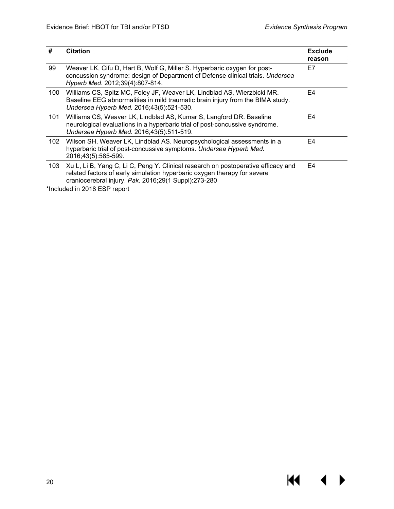| #   | <b>Citation</b>                                                                                                                                                                                                       | <b>Exclude</b><br>reason |
|-----|-----------------------------------------------------------------------------------------------------------------------------------------------------------------------------------------------------------------------|--------------------------|
| 99  | Weaver LK, Cifu D, Hart B, Wolf G, Miller S. Hyperbaric oxygen for post-<br>concussion syndrome: design of Department of Defense clinical trials. Undersea<br>Hyperb Med. 2012;39(4):807-814.                         | E7                       |
| 100 | Williams CS, Spitz MC, Foley JF, Weaver LK, Lindblad AS, Wierzbicki MR.<br>Baseline EEG abnormalities in mild traumatic brain injury from the BIMA study.<br>Undersea Hyperb Med. 2016;43(5):521-530.                 | E4                       |
| 101 | Williams CS, Weaver LK, Lindblad AS, Kumar S, Langford DR. Baseline<br>neurological evaluations in a hyperbaric trial of post-concussive syndrome.<br>Undersea Hyperb Med. 2016;43(5):511-519.                        | E4                       |
| 102 | Wilson SH, Weaver LK, Lindblad AS. Neuropsychological assessments in a<br>hyperbaric trial of post-concussive symptoms. Undersea Hyperb Med.<br>2016;43(5):585-599.                                                   | E4                       |
| 103 | Xu L, Li B, Yang C, Li C, Peng Y. Clinical research on postoperative efficacy and<br>related factors of early simulation hyperbaric oxygen therapy for severe<br>craniocerebral injury. Pak. 2016;29(1 Suppl):273-280 | E <sub>4</sub>           |

\*Included in 2018 ESP report

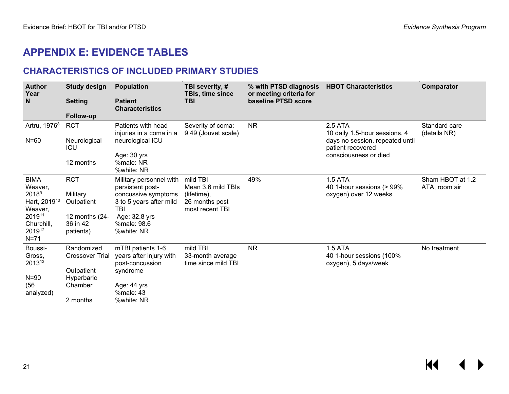## **APPENDIX E: EVIDENCE TABLES**

#### **CHARACTERISTICS OF INCLUDED PRIMARY STUDIES**

<span id="page-22-1"></span><span id="page-22-0"></span>

| <b>Author</b><br>Year                                    | Study design                            | <b>Population</b>                                               | TBI severity, #<br><b>TBIs, time since</b>          | % with PTSD diagnosis<br>or meeting criteria for | <b>HBOT Characteristics</b>                                        | Comparator                        |
|----------------------------------------------------------|-----------------------------------------|-----------------------------------------------------------------|-----------------------------------------------------|--------------------------------------------------|--------------------------------------------------------------------|-----------------------------------|
| $\mathsf{N}$                                             | <b>Setting</b>                          | <b>Patient</b><br><b>Characteristics</b>                        | <b>TBI</b>                                          | baseline PTSD score                              |                                                                    |                                   |
|                                                          | <b>Follow-up</b>                        |                                                                 |                                                     |                                                  |                                                                    |                                   |
| Artru, 1976 <sup>8</sup>                                 | <b>RCT</b>                              | Patients with head<br>injuries in a coma in a                   | Severity of coma:<br>9.49 (Jouvet scale)            | <b>NR</b>                                        | 2.5 ATA<br>10 daily 1.5-hour sessions, 4                           | Standard care<br>(details NR)     |
| $N = 60$                                                 | Neurological<br><b>ICU</b>              | neurological ICU                                                |                                                     |                                                  | days no session, repeated until<br>patient recovered               |                                   |
|                                                          | 12 months                               | Age: 30 yrs<br>%male: NR<br>%white: NR                          |                                                     |                                                  | consciousness or died                                              |                                   |
| <b>BIMA</b><br>Weaver,                                   | <b>RCT</b>                              | Military personnel with<br>persistent post-                     | mild TBI<br>Mean 3.6 mild TBIs                      | 49%                                              | 1.5 ATA<br>40 1-hour sessions (> 99%                               | Sham HBOT at 1.2<br>ATA, room air |
| 2018 <sup>9</sup><br>Hart, 2019 <sup>10</sup><br>Weaver, | Military<br>Outpatient                  | concussive symptoms<br>3 to 5 years after mild<br><b>TBI</b>    | (lifetime),<br>26 months post<br>most recent TBI    |                                                  | oxygen) over 12 weeks                                              |                                   |
| 201911<br>Churchill,<br>2019 <sup>12</sup><br>$N=71$     | 12 months (24-<br>36 in 42<br>patients) | Age: 32.8 yrs<br>%male: 98.6<br>%white: NR                      |                                                     |                                                  |                                                                    |                                   |
| Boussi-<br>Gross,<br>201313                              | Randomized<br><b>Crossover Trial</b>    | mTBI patients 1-6<br>years after injury with<br>post-concussion | mild TBI<br>33-month average<br>time since mild TBI | <b>NR</b>                                        | <b>1.5 ATA</b><br>40 1-hour sessions (100%<br>oxygen), 5 days/week | No treatment                      |
| $N = 90$                                                 | Outpatient<br>Hyperbaric                | syndrome                                                        |                                                     |                                                  |                                                                    |                                   |
| (56)                                                     | Chamber                                 | Age: 44 yrs                                                     |                                                     |                                                  |                                                                    |                                   |
| analyzed)                                                | 2 months                                | %male: 43<br>%white: NR                                         |                                                     |                                                  |                                                                    |                                   |

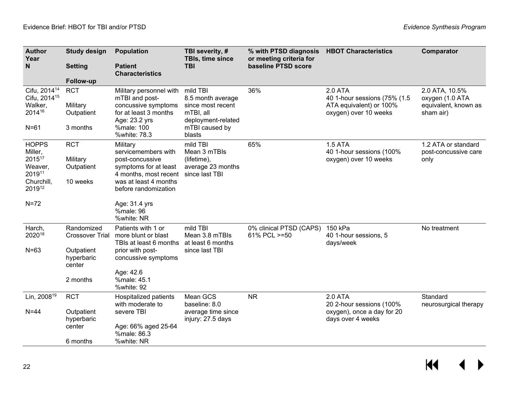| <b>Author</b><br>Year                                                                 | <b>Study design</b>                              | <b>Population</b>                                                                                                                                     | TBI severity, #<br>TBIs, time since                                                                               | % with PTSD diagnosis<br>or meeting criteria for | <b>HBOT Characteristics</b>                                                                  | Comparator                                                             |
|---------------------------------------------------------------------------------------|--------------------------------------------------|-------------------------------------------------------------------------------------------------------------------------------------------------------|-------------------------------------------------------------------------------------------------------------------|--------------------------------------------------|----------------------------------------------------------------------------------------------|------------------------------------------------------------------------|
| N                                                                                     | <b>Setting</b>                                   | <b>Patient</b><br><b>Characteristics</b>                                                                                                              | <b>TBI</b>                                                                                                        | baseline PTSD score                              |                                                                                              |                                                                        |
|                                                                                       | Follow-up                                        |                                                                                                                                                       |                                                                                                                   |                                                  |                                                                                              |                                                                        |
| Cifu, 2014 <sup>14</sup><br>Cifu, 2014 <sup>15</sup><br>Walker,<br>201416<br>$N = 61$ | <b>RCT</b><br>Military<br>Outpatient<br>3 months | Military personnel with<br>mTBI and post-<br>concussive symptoms<br>for at least 3 months<br>Age: 23.2 yrs<br>%male: 100<br>%white: 78.3              | mild TBI<br>8.5 month average<br>since most recent<br>mTBI, all<br>deployment-related<br>mTBI caused by<br>blasts | 36%                                              | 2.0 ATA<br>40 1-hour sessions (75% (1.5)<br>ATA equivalent) or 100%<br>oxygen) over 10 weeks | 2.0 ATA, 10.5%<br>oxygen (1.0 ATA<br>equivalent, known as<br>sham air) |
| <b>HOPPS</b><br>Miller,<br>201517<br>Weaver,<br>201911<br>Churchill,<br>201912        | <b>RCT</b><br>Military<br>Outpatient<br>10 weeks | Military<br>servicemembers with<br>post-concussive<br>symptoms for at least<br>4 months, most recent<br>was at least 4 months<br>before randomization | mild TBI<br>Mean 3 mTBIs<br>(lifetime),<br>average 23 months<br>since last TBI                                    | 65%                                              | <b>1.5 ATA</b><br>40 1-hour sessions (100%<br>oxygen) over 10 weeks                          | 1.2 ATA or standard<br>post-concussive care<br>only                    |
| $N=72$                                                                                |                                                  | Age: 31.4 yrs<br>%male: 96<br>%white: NR                                                                                                              |                                                                                                                   |                                                  |                                                                                              |                                                                        |
| Harch,<br>202018                                                                      | Randomized<br><b>Crossover Trial</b>             | Patients with 1 or<br>more blunt or blast<br>TBIs at least 6 months                                                                                   | mild TBI<br>Mean 3.8 mTBIs<br>at least 6 months                                                                   | 0% clinical PTSD (CAPS)<br>61% PCL >=50          | 150 kPa<br>40 1-hour sessions, 5<br>days/week                                                | No treatment                                                           |
| $N=63$                                                                                | Outpatient<br>hyperbaric<br>center               | prior with post-<br>concussive symptoms                                                                                                               | since last TBI                                                                                                    |                                                  |                                                                                              |                                                                        |
|                                                                                       | 2 months                                         | Age: 42.6<br>%male: 45.1<br>%white: 92                                                                                                                |                                                                                                                   |                                                  |                                                                                              |                                                                        |
| Lin, 2008 <sup>19</sup>                                                               | <b>RCT</b>                                       | Hospitalized patients<br>with moderate to                                                                                                             | Mean GCS<br>baseline: 8.0                                                                                         | <b>NR</b>                                        | 2.0 ATA<br>20 2-hour sessions (100%                                                          | Standard<br>neurosurgical therapy                                      |
| $N = 44$                                                                              | Outpatient<br>hyperbaric                         | severe TBI                                                                                                                                            | average time since<br>injury: 27.5 days                                                                           |                                                  | oxygen), once a day for 20<br>days over 4 weeks                                              |                                                                        |
|                                                                                       | center                                           | Age: 66% aged 25-64<br>%male: 86.3                                                                                                                    |                                                                                                                   |                                                  |                                                                                              |                                                                        |
|                                                                                       | 6 months                                         | %white: NR                                                                                                                                            |                                                                                                                   |                                                  |                                                                                              |                                                                        |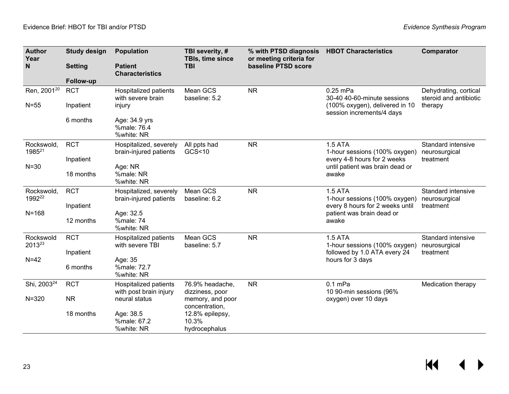| <b>Author</b><br>Year   | <b>Study design</b> | <b>Population</b>                                | TBI severity, #<br>TBIs, time since       | % with PTSD diagnosis<br>or meeting criteria for | <b>HBOT Characteristics</b>                                    | Comparator                                      |
|-------------------------|---------------------|--------------------------------------------------|-------------------------------------------|--------------------------------------------------|----------------------------------------------------------------|-------------------------------------------------|
| N                       | <b>Setting</b>      | <b>Patient</b><br><b>Characteristics</b>         | <b>TBI</b>                                | baseline PTSD score                              |                                                                |                                                 |
|                         | Follow-up           |                                                  |                                           |                                                  |                                                                |                                                 |
| Ren, 2001 <sup>20</sup> | <b>RCT</b>          | Hospitalized patients<br>with severe brain       | Mean GCS<br>baseline: 5.2                 | <b>NR</b>                                        | 0.25 mPa<br>30-40 40-60-minute sessions                        | Dehydrating, cortical<br>steroid and antibiotic |
| $N=55$                  | Inpatient           | injury                                           |                                           |                                                  | (100% oxygen), delivered in 10<br>session increments/4 days    | therapy                                         |
|                         | 6 months            | Age: 34.9 yrs<br>%male: 76.4<br>%white: NR       |                                           |                                                  |                                                                |                                                 |
| Rockswold,<br>198521    | <b>RCT</b>          | Hospitalized, severely<br>brain-injured patients | All ppts had<br>GCS<10                    | <b>NR</b>                                        | <b>1.5 ATA</b><br>1-hour sessions (100% oxygen)                | <b>Standard intensive</b><br>neurosurgical      |
| $N = 30$                | Inpatient           | Age: NR                                          |                                           |                                                  | every 4-8 hours for 2 weeks<br>until patient was brain dead or | treatment                                       |
|                         | 18 months           | %male: NR<br>%white: NR                          |                                           |                                                  | awake                                                          |                                                 |
| Rockswold,<br>199222    | <b>RCT</b>          | Hospitalized, severely<br>brain-injured patients | Mean GCS<br>baseline: 6.2                 | <b>NR</b>                                        | <b>1.5 ATA</b><br>1-hour sessions (100% oxygen)                | Standard intensive<br>neurosurgical             |
| $N = 168$               | Inpatient           | Age: 32.5                                        |                                           |                                                  | every 8 hours for 2 weeks until<br>patient was brain dead or   | treatment                                       |
|                         | 12 months           | %male: 74<br>%white: NR                          |                                           |                                                  | awake                                                          |                                                 |
| Rockswold<br>201323     | <b>RCT</b>          | Hospitalized patients<br>with severe TBI         | Mean GCS<br>baseline: 5.7                 | <b>NR</b>                                        | <b>1.5 ATA</b><br>1-hour sessions (100% oxygen)                | Standard intensive<br>neurosurgical             |
|                         | Inpatient           |                                                  |                                           |                                                  | followed by 1.0 ATA every 24                                   | treatment                                       |
| $N=42$                  | 6 months            | Age: 35<br>%male: 72.7<br>%white: NR             |                                           |                                                  | hours for 3 days                                               |                                                 |
| Shi, 2003 <sup>24</sup> | <b>RCT</b>          | Hospitalized patients<br>with post brain injury  | 76.9% headache,<br>dizziness, poor        | <b>NR</b>                                        | $0.1$ mPa<br>10 90-min sessions (96%                           | Medication therapy                              |
| $N = 320$               | <b>NR</b>           | neural status                                    | memory, and poor<br>concentration,        |                                                  | oxygen) over 10 days                                           |                                                 |
|                         | 18 months           | Age: 38.5<br>%male: 67.2<br>%white: NR           | 12.8% epilepsy,<br>10.3%<br>hydrocephalus |                                                  |                                                                |                                                 |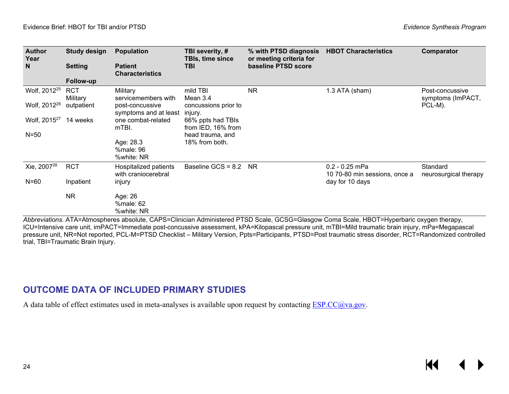| <b>Author</b><br>Year    | Study design           | <b>Population</b>                            | TBI severity, #<br>TBIs, time since     | % with PTSD diagnosis<br>or meeting criteria for | <b>HBOT Characteristics</b>                       | Comparator                           |
|--------------------------|------------------------|----------------------------------------------|-----------------------------------------|--------------------------------------------------|---------------------------------------------------|--------------------------------------|
| N.                       | <b>Setting</b>         | <b>Patient</b><br><b>Characteristics</b>     | <b>TBI</b>                              | baseline PTSD score                              |                                                   |                                      |
|                          | Follow-up              |                                              |                                         |                                                  |                                                   |                                      |
| Wolf, 2012 <sup>25</sup> | <b>RCT</b><br>Military | Military<br>servicemembers with              | mild TBI<br>Mean 3.4                    | <b>NR</b>                                        | 1.3 ATA (sham)                                    | Post-concussive<br>symptoms (ImPACT, |
| Wolf, 2012 <sup>26</sup> | outpatient             | post-concussive<br>symptoms and at least     | concussions prior to<br>injury.         |                                                  |                                                   | PCL-M).                              |
| Wolf, 2015 <sup>27</sup> | 14 weeks               | one combat-related<br>mTBI.                  | 66% ppts had TBIs<br>from IED, 16% from |                                                  |                                                   |                                      |
| $N = 50$                 |                        |                                              | head trauma, and                        |                                                  |                                                   |                                      |
|                          |                        | Age: 28.3                                    | 18% from both.                          |                                                  |                                                   |                                      |
|                          |                        | %male: 96<br>%white: NR                      |                                         |                                                  |                                                   |                                      |
| Xie, 2007 <sup>28</sup>  | <b>RCT</b>             | Hospitalized patients<br>with craniocerebral | Baseline GCS = 8.2                      | NR.                                              | $0.2 - 0.25$ mPa<br>10 70-80 min sessions, once a | Standard<br>neurosurgical therapy    |
| $N=60$                   | Inpatient              | injury                                       |                                         |                                                  | day for 10 days                                   |                                      |
|                          | <b>NR</b>              | Age: 26                                      |                                         |                                                  |                                                   |                                      |
|                          |                        | %male: 62<br>%white: NR                      |                                         |                                                  |                                                   |                                      |

*Abbreviations.* ATA=Atmospheres absolute, CAPS=Clinician Administered PTSD Scale, GCSG=Glasgow Coma Scale, HBOT=Hyperbaric oxygen therapy, ICU=Intensive care unit, imPACT=Immediate post-concussive assessment, kPA=Kilopascal pressure unit, mTBI=Mild traumatic brain injury, mPa=Megapascal pressure unit, NR=Not reported, PCL-M=PTSD Checklist – Military Version, Ppts=Participants, PTSD=Post traumatic stress disorder, RCT=Randomized controlled trial, TBI=Traumatic Brain Injury.

#### **OUTCOME DATA OF INCLUDED PRIMARY STUDIES**

<span id="page-25-0"></span>A data table of effect estimates used in meta-analyses is available upon request by contacting **ESP.CC@va.gov**.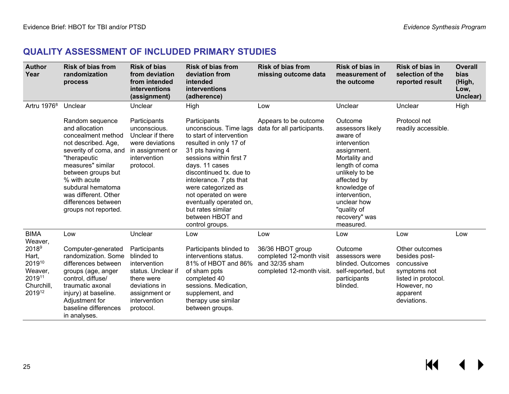#### **QUALITY ASSESSMENT OF INCLUDED PRIMARY STUDIES**

<span id="page-26-0"></span>

| <b>Author</b><br>Year                                                             | <b>Risk of bias from</b><br>randomization<br>process                                                                                                                                                                                                                           | <b>Risk of bias</b><br>from deviation<br>from intended<br>interventions<br>(assignment)                                                       | <b>Risk of bias from</b><br>deviation from<br>intended<br>interventions<br>(adherence)                                                                                                                                                                                                                                                                   | <b>Risk of bias from</b><br>missing outcome data                                            | <b>Risk of bias in</b><br>measurement of<br>the outcome                                                                                                                                                                                 | Risk of bias in<br>selection of the<br>reported result                                                                         | <b>Overall</b><br>bias<br>(High,<br>Low,<br>Unclear) |
|-----------------------------------------------------------------------------------|--------------------------------------------------------------------------------------------------------------------------------------------------------------------------------------------------------------------------------------------------------------------------------|-----------------------------------------------------------------------------------------------------------------------------------------------|----------------------------------------------------------------------------------------------------------------------------------------------------------------------------------------------------------------------------------------------------------------------------------------------------------------------------------------------------------|---------------------------------------------------------------------------------------------|-----------------------------------------------------------------------------------------------------------------------------------------------------------------------------------------------------------------------------------------|--------------------------------------------------------------------------------------------------------------------------------|------------------------------------------------------|
| Artru 1976 <sup>8</sup>                                                           | Unclear                                                                                                                                                                                                                                                                        | Unclear                                                                                                                                       | High                                                                                                                                                                                                                                                                                                                                                     | Low                                                                                         | Unclear                                                                                                                                                                                                                                 | Unclear                                                                                                                        | High                                                 |
|                                                                                   | Random sequence<br>and allocation<br>concealment method<br>not described. Age,<br>severity of coma, and<br>"therapeutic<br>measures" similar<br>between groups but<br>% with acute<br>subdural hematoma<br>was different. Other<br>differences between<br>groups not reported. | Participants<br>unconscious.<br>Unclear if there<br>were deviations<br>in assignment or<br>intervention<br>protocol.                          | Participants<br>unconscious. Time lags<br>to start of intervention<br>resulted in only 17 of<br>31 pts having 4<br>sessions within first 7<br>days. 11 cases<br>discontinued tx, due to<br>intolerance. 7 pts that<br>were categorized as<br>not operated on were<br>eventually operated on,<br>but rates similar<br>between HBOT and<br>control groups. | Appears to be outcome<br>data for all participants.                                         | Outcome<br>assessors likely<br>aware of<br>intervention<br>assignment.<br>Mortality and<br>length of coma<br>unlikely to be<br>affected by<br>knowledge of<br>intervention,<br>unclear how<br>"quality of<br>recovery" was<br>measured. | Protocol not<br>readily accessible.                                                                                            |                                                      |
| <b>BIMA</b><br>Weaver,                                                            | Low                                                                                                                                                                                                                                                                            | Unclear                                                                                                                                       | Low                                                                                                                                                                                                                                                                                                                                                      | Low                                                                                         | Low                                                                                                                                                                                                                                     | Low                                                                                                                            | Low                                                  |
| 2018 <sup>9</sup><br>Hart,<br>201910<br>Weaver,<br>201911<br>Churchill.<br>201912 | Computer-generated<br>randomization. Some<br>differences between<br>groups (age, anger<br>control, diffuse/<br>traumatic axonal<br>injury) at baseline.<br>Adjustment for<br>baseline differences<br>in analyses.                                                              | Participants<br>blinded to<br>intervention<br>status. Unclear if<br>there were<br>deviations in<br>assignment or<br>intervention<br>protocol. | Participants blinded to<br>interventions status.<br>81% of HBOT and 86%<br>of sham ppts<br>completed 40<br>sessions. Medication,<br>supplement, and<br>therapy use similar<br>between groups.                                                                                                                                                            | 36/36 HBOT group<br>completed 12-month visit<br>and 32/35 sham<br>completed 12-month visit. | Outcome<br>assessors were<br>blinded. Outcomes<br>self-reported, but<br>participants<br>blinded.                                                                                                                                        | Other outcomes<br>besides post-<br>concussive<br>symptoms not<br>listed in protocol.<br>However, no<br>apparent<br>deviations. |                                                      |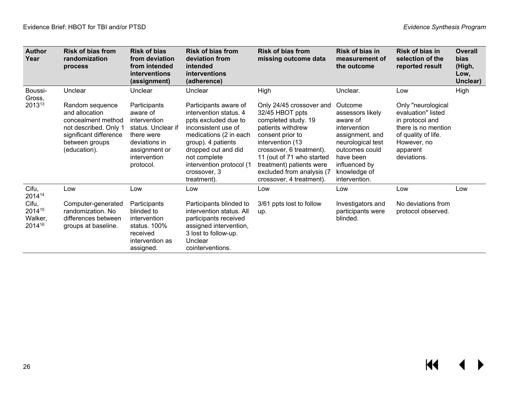| <b>Author</b><br>Year                | <b>Risk of bias from</b><br>randomization<br>process                                                                                         | <b>Risk of bias</b><br>from deviation<br>from intended<br>interventions<br>(assignment)                                                     | <b>Risk of bias from</b><br>deviation from<br>intended<br>interventions<br>(adherence)                                                                                                                                                           | <b>Risk of bias from</b><br>missing outcome data                                                                                                                                                                                                                              | Risk of bias in<br>measurement of<br>the outcome                                                                                                                                 | Risk of bias in<br>selection of the<br>reported result                                                                                              | <b>Overall</b><br><b>bias</b><br>(High,<br>Low,<br>Unclear) |
|--------------------------------------|----------------------------------------------------------------------------------------------------------------------------------------------|---------------------------------------------------------------------------------------------------------------------------------------------|--------------------------------------------------------------------------------------------------------------------------------------------------------------------------------------------------------------------------------------------------|-------------------------------------------------------------------------------------------------------------------------------------------------------------------------------------------------------------------------------------------------------------------------------|----------------------------------------------------------------------------------------------------------------------------------------------------------------------------------|-----------------------------------------------------------------------------------------------------------------------------------------------------|-------------------------------------------------------------|
| Boussi-<br>Gross,                    | Unclear                                                                                                                                      | Unclear                                                                                                                                     | Unclear                                                                                                                                                                                                                                          | High                                                                                                                                                                                                                                                                          | Unclear.                                                                                                                                                                         | Low                                                                                                                                                 | High                                                        |
| 201313                               | Random sequence<br>and allocation<br>concealment method<br>not described. Only 1<br>significant difference<br>between groups<br>(education). | Participants<br>aware of<br>intervention<br>status. Unclear if<br>there were<br>deviations in<br>assignment or<br>intervention<br>protocol. | Participants aware of<br>intervention status. 4<br>ppts excluded due to<br>inconsistent use of<br>medications (2 in each<br>group). 4 patients<br>dropped out and did<br>not complete<br>intervention protocol (1<br>crossover, 3<br>treatment). | Only 24/45 crossover and<br>32/45 HBOT ppts<br>completed study. 19<br>patients withdrew<br>consent prior to<br>intervention (13<br>crossover, 6 treatment).<br>11 (out of 71 who started<br>treatment) patients were<br>excluded from analysis (7<br>crossover, 4 treatment). | Outcome<br>assessors likely<br>aware of<br>intervention<br>assignment, and<br>neurological test<br>outcomes could<br>have been<br>influenced by<br>knowledge of<br>intervention. | Only "neurological<br>evaluation" listed<br>in protocol and<br>there is no mention<br>of quality of life.<br>However, no<br>apparent<br>deviations. |                                                             |
| Cifu,<br>201414                      | Low                                                                                                                                          | Low                                                                                                                                         | Low                                                                                                                                                                                                                                              | Low                                                                                                                                                                                                                                                                           | Low                                                                                                                                                                              | Low                                                                                                                                                 | Low                                                         |
| Cifu,<br>201415<br>Walker,<br>201416 | Computer-generated<br>randomization. No<br>differences between<br>groups at baseline.                                                        | Participants<br>blinded to<br>intervention<br>status. 100%<br>received<br>intervention as<br>assigned.                                      | Participants blinded to<br>intervention status. All<br>participants received<br>assigned intervention,<br>3 lost to follow-up.<br>Unclear<br>cointerventions.                                                                                    | 3/61 ppts lost to follow<br>up.                                                                                                                                                                                                                                               | Investigators and<br>participants were<br>blinded.                                                                                                                               | No deviations from<br>protocol observed.                                                                                                            |                                                             |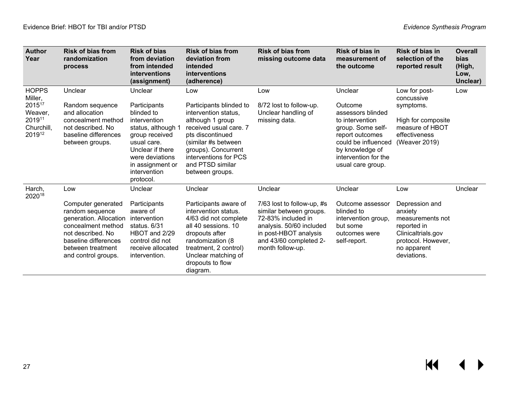| <b>Author</b><br>Year                                                          | <b>Risk of bias from</b><br>randomization<br>process                                                                                                                                  | <b>Risk of bias</b><br>from deviation<br>from intended<br>interventions<br>(assignment)                                                                                                              | <b>Risk of bias from</b><br>deviation from<br>intended<br>interventions<br>(adherence)                                                                                                                                                 | <b>Risk of bias from</b><br>missing outcome data                                                                                                                                          | Risk of bias in<br>measurement of<br>the outcome                                                                                                                                          | Risk of bias in<br>selection of the<br>reported result                                                                                        | <b>Overall</b><br>bias<br>(High,<br>Low,<br>Unclear) |
|--------------------------------------------------------------------------------|---------------------------------------------------------------------------------------------------------------------------------------------------------------------------------------|------------------------------------------------------------------------------------------------------------------------------------------------------------------------------------------------------|----------------------------------------------------------------------------------------------------------------------------------------------------------------------------------------------------------------------------------------|-------------------------------------------------------------------------------------------------------------------------------------------------------------------------------------------|-------------------------------------------------------------------------------------------------------------------------------------------------------------------------------------------|-----------------------------------------------------------------------------------------------------------------------------------------------|------------------------------------------------------|
| <b>HOPPS</b><br>Miller,<br>201517<br>Weaver,<br>201911<br>Churchill,<br>201912 | Unclear<br>Random sequence<br>and allocation<br>concealment method<br>not described. No<br>baseline differences<br>between groups.                                                    | Unclear<br>Participants<br>blinded to<br>intervention<br>status, although 1<br>group received<br>usual care.<br>Unclear if there<br>were deviations<br>in assignment or<br>intervention<br>protocol. | Low<br>Participants blinded to<br>intervention status,<br>although 1 group<br>received usual care. 7<br>pts discontinued<br>(similar #s between<br>groups). Concurrent<br>interventions for PCS<br>and PTSD similar<br>between groups. | Low<br>8/72 lost to follow-up.<br>Unclear handling of<br>missing data.                                                                                                                    | Unclear<br>Outcome<br>assessors blinded<br>to intervention<br>group. Some self-<br>report outcomes<br>could be influenced<br>by knowledge of<br>intervention for the<br>usual care group. | Low for post-<br>concussive<br>symptoms.<br>High for composite<br>measure of HBOT<br>effectiveness<br>(Weaver 2019)                           | Low                                                  |
| Harch,<br>202018                                                               | Low<br>Computer generated<br>random sequence<br>generation. Allocation<br>concealment method<br>not described. No<br>baseline differences<br>between treatment<br>and control groups. | Unclear<br>Participants<br>aware of<br>intervention<br>status, $6/31$<br>HBOT and 2/29<br>control did not<br>receive allocated<br>intervention.                                                      | Unclear<br>Participants aware of<br>intervention status.<br>4/63 did not complete<br>all 40 sessions, 10<br>dropouts after<br>randomization (8)<br>treatment, 2 control)<br>Unclear matching of<br>dropouts to flow<br>diagram.        | Unclear<br>7/63 lost to follow-up, #s<br>similar between groups.<br>72-83% included in<br>analysis. 50/60 included<br>in post-HBOT analysis<br>and 43/60 completed 2-<br>month follow-up. | Unclear<br>Outcome assessor<br>blinded to<br>intervention group,<br>but some<br>outcomes were<br>self-report.                                                                             | Low<br>Depression and<br>anxiety<br>measurements not<br>reported in<br>Clinicaltrials.gov<br>protocol. However,<br>no apparent<br>deviations. | Unclear                                              |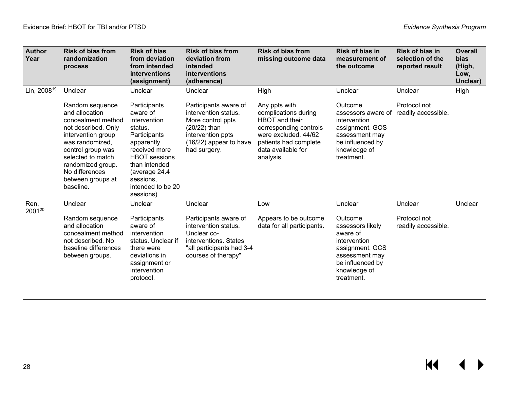$M \rightarrow$ 

| <b>Author</b><br>Year   | <b>Risk of bias from</b><br>randomization<br>process                                                                                                                                                                                       | <b>Risk of bias</b><br>from deviation<br>from intended<br>interventions<br>(assignment)                                                                                                                     | <b>Risk of bias from</b><br>deviation from<br>intended<br>interventions<br>(adherence)                                                            | <b>Risk of bias from</b><br>missing outcome data                                                                                                                             | Risk of bias in<br>measurement of<br>the outcome                                                                                               | <b>Risk of bias in</b><br>selection of the<br>reported result | <b>Overall</b><br>bias<br>(High,<br>Low,<br>Unclear) |
|-------------------------|--------------------------------------------------------------------------------------------------------------------------------------------------------------------------------------------------------------------------------------------|-------------------------------------------------------------------------------------------------------------------------------------------------------------------------------------------------------------|---------------------------------------------------------------------------------------------------------------------------------------------------|------------------------------------------------------------------------------------------------------------------------------------------------------------------------------|------------------------------------------------------------------------------------------------------------------------------------------------|---------------------------------------------------------------|------------------------------------------------------|
| Lin, 2008 <sup>19</sup> | Unclear                                                                                                                                                                                                                                    | Unclear                                                                                                                                                                                                     | Unclear                                                                                                                                           | High                                                                                                                                                                         | Unclear                                                                                                                                        | Unclear                                                       | High                                                 |
|                         | Random sequence<br>and allocation<br>concealment method<br>not described. Only<br>intervention group<br>was randomized.<br>control group was<br>selected to match<br>randomized group.<br>No differences<br>between groups at<br>baseline. | Participants<br>aware of<br>intervention<br>status.<br>Participants<br>apparently<br>received more<br><b>HBOT</b> sessions<br>than intended<br>(average 24.4<br>sessions.<br>intended to be 20<br>sessions) | Participants aware of<br>intervention status.<br>More control ppts<br>(20/22) than<br>intervention ppts<br>(16/22) appear to have<br>had surgery. | Any ppts with<br>complications during<br><b>HBOT</b> and their<br>corresponding controls<br>were excluded. 44/62<br>patients had complete<br>data available for<br>analysis. | Outcome<br>assessors aware of<br>intervention<br>assignment. GOS<br>assessment may<br>be influenced by<br>knowledge of<br>treatment.           | Protocol not<br>readily accessible.                           |                                                      |
| Ren,<br>200120          | Unclear                                                                                                                                                                                                                                    | Unclear                                                                                                                                                                                                     | Unclear                                                                                                                                           | Low                                                                                                                                                                          | Unclear                                                                                                                                        | Unclear                                                       | Unclear                                              |
|                         | Random sequence<br>and allocation<br>concealment method<br>not described. No<br>baseline differences<br>between groups.                                                                                                                    | Participants<br>aware of<br>intervention<br>status. Unclear if<br>there were<br>deviations in<br>assignment or<br>intervention<br>protocol.                                                                 | Participants aware of<br>intervention status.<br>Unclear co-<br>interventions. States<br>"all participants had 3-4<br>courses of therapy"         | Appears to be outcome<br>data for all participants.                                                                                                                          | Outcome<br>assessors likely<br>aware of<br>intervention<br>assignment. GCS<br>assessment may<br>be influenced by<br>knowledge of<br>treatment. | Protocol not<br>readily accessible.                           |                                                      |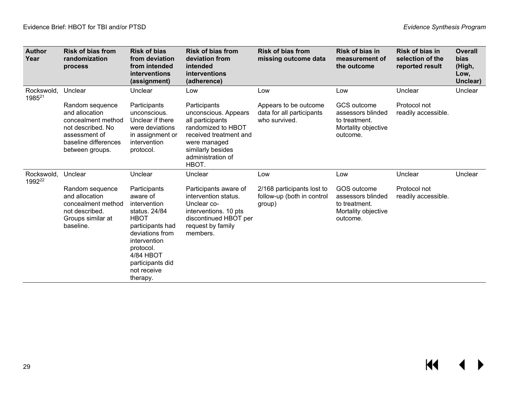| <b>Author</b><br>Year            | <b>Risk of bias from</b><br>randomization<br>process                                                                                     | <b>Risk of bias</b><br>from deviation<br>from intended<br>interventions<br>(assignment)                                                                                                                  | <b>Risk of bias from</b><br>deviation from<br>intended<br>interventions<br>(adherence)                                                                                      | <b>Risk of bias from</b><br>missing outcome data                    | Risk of bias in<br>measurement of<br>the outcome                                     | <b>Risk of bias in</b><br>selection of the<br>reported result | <b>Overall</b><br><b>bias</b><br>(High,<br>Low,<br>Unclear) |
|----------------------------------|------------------------------------------------------------------------------------------------------------------------------------------|----------------------------------------------------------------------------------------------------------------------------------------------------------------------------------------------------------|-----------------------------------------------------------------------------------------------------------------------------------------------------------------------------|---------------------------------------------------------------------|--------------------------------------------------------------------------------------|---------------------------------------------------------------|-------------------------------------------------------------|
| Rockswold,<br>1985 <sup>21</sup> | Unclear                                                                                                                                  | Unclear                                                                                                                                                                                                  | Low                                                                                                                                                                         | Low                                                                 | Low                                                                                  | Unclear                                                       | Unclear                                                     |
|                                  | Random sequence<br>and allocation<br>concealment method<br>not described. No<br>assessment of<br>baseline differences<br>between groups. | Participants<br>unconscious.<br>Unclear if there<br>were deviations<br>in assignment or<br>intervention<br>protocol.                                                                                     | Participants<br>unconscious. Appears<br>all participants<br>randomized to HBOT<br>received treatment and<br>were managed<br>similarly besides<br>administration of<br>HBOT. | Appears to be outcome<br>data for all participants<br>who survived. | GCS outcome<br>assessors blinded<br>to treatment.<br>Mortality objective<br>outcome. | Protocol not<br>readily accessible.                           |                                                             |
| Rockswold,<br>1992 <sup>22</sup> | Unclear                                                                                                                                  | Unclear                                                                                                                                                                                                  | Unclear                                                                                                                                                                     | Low                                                                 | Low                                                                                  | Unclear                                                       | Unclear                                                     |
|                                  | Random sequence<br>and allocation<br>concealment method<br>not described.<br>Groups similar at<br>baseline.                              | Participants<br>aware of<br>intervention<br>status. 24/84<br><b>HBOT</b><br>participants had<br>deviations from<br>intervention<br>protocol.<br>4/84 HBOT<br>participants did<br>not receive<br>therapy. | Participants aware of<br>intervention status.<br>Unclear co-<br>interventions. 10 pts<br>discontinued HBOT per<br>request by family<br>members.                             | 2/168 participants lost to<br>follow-up (both in control<br>group)  | GOS outcome<br>assessors blinded<br>to treatment.<br>Mortality objective<br>outcome. | Protocol not<br>readily accessible.                           |                                                             |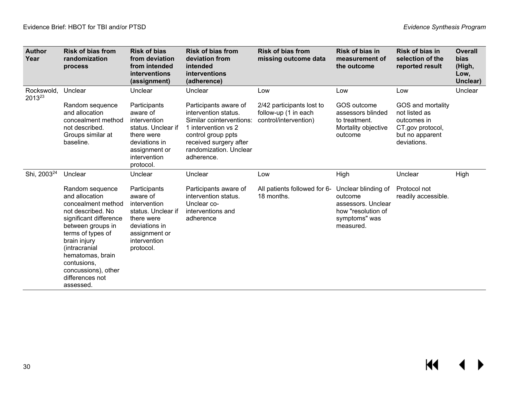| <b>Author</b><br>Year   | <b>Risk of bias from</b><br>randomization<br>process                                                                                                                                                                                                                        | <b>Risk of bias</b><br>from deviation<br>from intended<br>interventions<br>(assignment)                                                     | <b>Risk of bias from</b><br>deviation from<br>intended<br>interventions<br>(adherence)                                                                                                   | <b>Risk of bias from</b><br>missing outcome data                           | Risk of bias in<br>measurement of<br>the outcome                                                         | Risk of bias in<br>selection of the<br>reported result                                                  | <b>Overall</b><br>bias<br>(High,<br>Low,<br>Unclear) |
|-------------------------|-----------------------------------------------------------------------------------------------------------------------------------------------------------------------------------------------------------------------------------------------------------------------------|---------------------------------------------------------------------------------------------------------------------------------------------|------------------------------------------------------------------------------------------------------------------------------------------------------------------------------------------|----------------------------------------------------------------------------|----------------------------------------------------------------------------------------------------------|---------------------------------------------------------------------------------------------------------|------------------------------------------------------|
| Rockswold.<br>201323    | Unclear                                                                                                                                                                                                                                                                     | Unclear                                                                                                                                     | Unclear                                                                                                                                                                                  | Low                                                                        | Low                                                                                                      | Low                                                                                                     | Unclear                                              |
|                         | Random sequence<br>and allocation<br>concealment method<br>not described.<br>Groups similar at<br>baseline.                                                                                                                                                                 | Participants<br>aware of<br>intervention<br>status. Unclear if<br>there were<br>deviations in<br>assignment or<br>intervention<br>protocol. | Participants aware of<br>intervention status.<br>Similar cointerventions:<br>1 intervention vs 2<br>control group ppts<br>received surgery after<br>randomization. Unclear<br>adherence. | 2/42 participants lost to<br>follow-up (1 in each<br>control/intervention) | GOS outcome<br>assessors blinded<br>to treatment.<br>Mortality objective<br>outcome                      | GOS and mortality<br>not listed as<br>outcomes in<br>CT.gov protocol,<br>but no apparent<br>deviations. |                                                      |
| Shi, 2003 <sup>24</sup> | Unclear                                                                                                                                                                                                                                                                     | Unclear                                                                                                                                     | Unclear                                                                                                                                                                                  | Low                                                                        | High                                                                                                     | Unclear                                                                                                 | High                                                 |
|                         | Random sequence<br>and allocation<br>concealment method<br>not described. No<br>significant difference<br>between groups in<br>terms of types of<br>brain injury<br>(intracranial<br>hematomas, brain<br>contusions,<br>concussions), other<br>differences not<br>assessed. | Participants<br>aware of<br>intervention<br>status. Unclear if<br>there were<br>deviations in<br>assignment or<br>intervention<br>protocol. | Participants aware of<br>intervention status.<br>Unclear co-<br>interventions and<br>adherence                                                                                           | All patients followed for 6-<br>18 months.                                 | Unclear blinding of<br>outcome<br>assessors. Unclear<br>how "resolution of<br>symptoms" was<br>measured. | Protocol not<br>readily accessible.                                                                     |                                                      |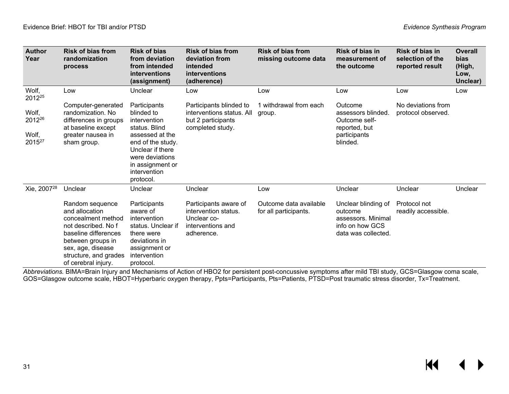| <b>Author</b><br>Year                          | <b>Risk of bias from</b><br>randomization<br>process                                                                                                                                             | <b>Risk of bias</b><br>from deviation<br>from intended<br>interventions<br>(assignment)                                                                                                     | <b>Risk of bias from</b><br>deviation from<br>intended<br>interventions<br>(adherence)          | <b>Risk of bias from</b><br>missing outcome data | Risk of bias in<br>measurement of<br>the outcome                                               | Risk of bias in<br>selection of the<br>reported result | Overall<br><b>bias</b><br>(High,<br>Low,<br>Unclear) |
|------------------------------------------------|--------------------------------------------------------------------------------------------------------------------------------------------------------------------------------------------------|---------------------------------------------------------------------------------------------------------------------------------------------------------------------------------------------|-------------------------------------------------------------------------------------------------|--------------------------------------------------|------------------------------------------------------------------------------------------------|--------------------------------------------------------|------------------------------------------------------|
| Wolf,<br>2012 <sup>25</sup>                    | Low                                                                                                                                                                                              | Unclear                                                                                                                                                                                     | Low                                                                                             | Low                                              | Low                                                                                            | Low                                                    | Low                                                  |
| Wolf,<br>2012 <sup>26</sup><br>Wolf,<br>201527 | Computer-generated<br>randomization. No<br>differences in groups<br>at baseline except<br>greater nausea in<br>sham group.                                                                       | Participants<br>blinded to<br>intervention<br>status. Blind<br>assessed at the<br>end of the study.<br>Unclear if there<br>were deviations<br>in assignment or<br>intervention<br>protocol. | Participants blinded to<br>interventions status. All<br>but 2 participants<br>completed study.  | 1 withdrawal from each<br>group.                 | Outcome<br>assessors blinded.<br>Outcome self-<br>reported, but<br>participants<br>blinded.    | No deviations from<br>protocol observed.               |                                                      |
| Xie, 2007 <sup>28</sup>                        | Unclear                                                                                                                                                                                          | Unclear                                                                                                                                                                                     | Unclear                                                                                         | Low                                              | Unclear                                                                                        | Unclear                                                | Unclear                                              |
|                                                | Random sequence<br>and allocation<br>concealment method<br>not described. No f<br>baseline differences<br>between groups in<br>sex, age, disease<br>structure, and grades<br>of cerebral injury. | Participants<br>aware of<br>intervention<br>status. Unclear if<br>there were<br>deviations in<br>assignment or<br>intervention<br>protocol.                                                 | Participants aware of<br>intervention status.<br>Unclear co-<br>interventions and<br>adherence. | Outcome data available<br>for all participants.  | Unclear blinding of<br>outcome<br>assessors. Minimal<br>info on how GCS<br>data was collected. | Protocol not<br>readily accessible.                    |                                                      |

*Abbreviations.* BIMA=Brain Injury and Mechanisms of Action of HBO2 for persistent post-concussive symptoms after mild TBI study, GCS=Glasgow coma scale, GOS=Glasgow outcome scale, HBOT=Hyperbaric oxygen therapy, Ppts=Participants, Pts=Patients, PTSD=Post traumatic stress disorder, Tx=Treatment.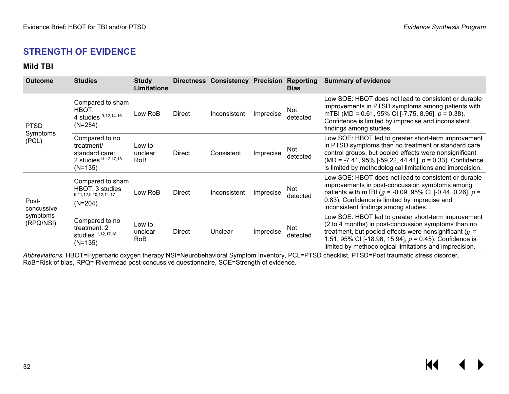#### **STRENGTH OF EVIDENCE**

#### **Mild TBI**

<span id="page-33-0"></span>

| <b>Outcome</b>                               | <b>Studies</b>                                                                                  | <b>Study</b><br><b>Limitations</b> |               | Directness Consistency Precision |           | Reporting<br><b>Bias</b> | <b>Summary of evidence</b>                                                                                                                                                                                                                                                                       |
|----------------------------------------------|-------------------------------------------------------------------------------------------------|------------------------------------|---------------|----------------------------------|-----------|--------------------------|--------------------------------------------------------------------------------------------------------------------------------------------------------------------------------------------------------------------------------------------------------------------------------------------------|
| <b>PTSD</b>                                  | Compared to sham<br>HBOT:<br>4 studies 9-12, 14-16<br>$(N=254)$                                 | Low RoB                            | Direct        | Inconsistent                     | Imprecise | Not<br>detected          | Low SOE: HBOT does not lead to consistent or durable<br>improvements in PTSD symptoms among patients with<br>mTBI (MD = 0.61, 95% CI [-7.75, 8.96], $p = 0.38$ ).<br>Confidence is limited by imprecise and inconsistent<br>findings among studies.                                              |
| Symptoms<br>(PCL)                            | Compared to no<br>treatment/<br>standard care:<br>2 studies <sup>11,12,17,18</sup><br>$(N=135)$ | Low to<br>unclear<br>RoB           | <b>Direct</b> | Consistent                       | Imprecise | Not<br>detected          | Low SOE: HBOT led to greater short-term improvement<br>in PTSD symptoms than no treatment or standard care<br>control groups, but pooled effects were nonsignificant<br>(MD = -7.41, 95% [-59.22, 44.41], $p = 0.33$ ). Confidence<br>is limited by methodological limitations and imprecision.  |
| Post-<br>concussive<br>symptoms<br>(RPQ/NSI) | Compared to sham<br>HBOT: 3 studies<br>9, 11, 12, 9, 10, 12, 14-17<br>$(N=204)$                 | Low RoB                            | <b>Direct</b> | Inconsistent                     | Imprecise | Not<br>detected          | Low SOE: HBOT does not lead to consistent or durable<br>improvements in post-concussion symptoms among<br>patients with mTBI ( $g = -0.09$ , 95% CI [-0.44, 0.26], $p =$<br>0.83). Confidence is limited by imprecise and<br>inconsistent findings among studies.                                |
|                                              | Compared to no<br>treatment: 2<br>studies <sup>11,12,17,18</sup><br>$(N=135)$                   | Low to<br>unclear<br><b>RoB</b>    | Direct        | Unclear                          | Imprecise | Not<br>detected          | Low SOE: HBOT led to greater short-term improvement<br>(2 to 4 months) in post-concussion symptoms than no<br>treatment, but pooled effects were nonsignificant ( $g = -$<br>1.51, 95% CI [-18.96, 15.94], $p = 0.45$ ). Confidence is<br>limited by methodological limitations and imprecision. |

<span id="page-33-1"></span>*Abbreviations.* HBOT=Hyperbaric oxygen therapy NSI=Neurobehavioral Symptom Inventory, PCL=PTSD checklist, PTSD=Post traumatic stress disorder, RoB=Risk of bias, RPQ= Rivermead post-concussive questionnaire, SOE=Strength of evidence.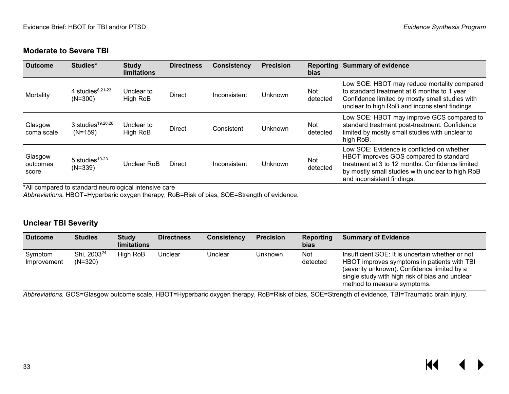#### **Moderate to Severe TBI**

| <b>Outcome</b>               | Studies*                                   | <b>Study</b><br><b>limitations</b> | <b>Directness</b> | <b>Consistency</b> | <b>Precision</b> | <b>bias</b>     | <b>Reporting Summary of evidence</b>                                                                                                                                                                                      |
|------------------------------|--------------------------------------------|------------------------------------|-------------------|--------------------|------------------|-----------------|---------------------------------------------------------------------------------------------------------------------------------------------------------------------------------------------------------------------------|
| Mortality                    | 4 studies $8,21-23$<br>$(N=300)$           | Unclear to<br>High RoB             | <b>Direct</b>     | Inconsistent       | Unknown          | Not<br>detected | Low SOE: HBOT may reduce mortality compared<br>to standard treatment at 6 months to 1 year.<br>Confidence limited by mostly small studies with<br>unclear to high RoB and inconsistent findings.                          |
| Glasgow<br>coma scale        | 3 studies <sup>19,20,28</sup><br>$(N=159)$ | Unclear to<br>High RoB             | <b>Direct</b>     | Consistent         | Unknown          | Not<br>detected | Low SOE: HBOT may improve GCS compared to<br>standard treatment post-treatment. Confidence<br>limited by mostly small studies with unclear to<br>high RoB.                                                                |
| Glasgow<br>outcomes<br>score | 5 studies $19-23$<br>$(N=339)$             | Unclear RoB                        | <b>Direct</b>     | Inconsistent       | Unknown          | Not<br>detected | Low SOE: Evidence is conflicted on whether<br>HBOT improves GOS compared to standard<br>treatment at 3 to 12 months. Confidence limited<br>by mostly small studies with unclear to high RoB<br>and inconsistent findings. |

<span id="page-34-0"></span>\*All compared to standard neurological intensive care

*Abbreviations*. HBOT=Hyperbaric oxygen therapy, RoB=Risk of bias, SOE=Strength of evidence.

#### **Unclear TBI Severity**

| <b>Outcome</b>         | <b>Studies</b>                       | <b>Study</b><br>limitations | <b>Directness</b> | <b>Consistency</b> | <b>Precision</b> | Reporting<br>bias      | <b>Summary of Evidence</b>                                                                                                                                                                                                       |
|------------------------|--------------------------------------|-----------------------------|-------------------|--------------------|------------------|------------------------|----------------------------------------------------------------------------------------------------------------------------------------------------------------------------------------------------------------------------------|
| Symptom<br>Improvement | Shi, 2003 <sup>24</sup><br>$(N=320)$ | High RoB                    | Unclear           | Unclear            | Unknown          | <b>Not</b><br>detected | Insufficient SOE: It is uncertain whether or not<br>HBOT improves symptoms in patients with TBI<br>(severity unknown). Confidence limited by a<br>single study with high risk of bias and unclear<br>method to measure symptoms. |

<span id="page-34-1"></span>*Abbreviations.* GOS=Glasgow outcome scale, HBOT=Hyperbaric oxygen therapy, RoB=Risk of bias, SOE=Strength of evidence, TBI=Traumatic brain injury.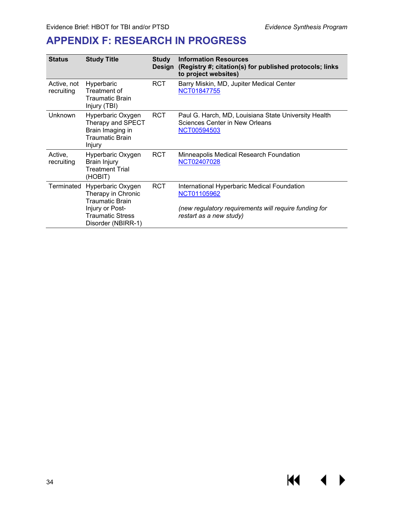**K4** 

▶

◀

## <span id="page-35-0"></span>**APPENDIX F: RESEARCH IN PROGRESS**

| <b>Status</b>             | <b>Study Title</b>                                                                                                                    | <b>Study</b><br><b>Design</b> | <b>Information Resources</b><br>(Registry #; citation(s) for published protocols; links<br>to project websites)                                |
|---------------------------|---------------------------------------------------------------------------------------------------------------------------------------|-------------------------------|------------------------------------------------------------------------------------------------------------------------------------------------|
| Active, not<br>recruiting | Hyperbaric<br>Treatment of<br>Traumatic Brain<br>Injury (TBI)                                                                         | <b>RCT</b>                    | Barry Miskin, MD, Jupiter Medical Center<br><b>NCT01847755</b>                                                                                 |
| Unknown                   | Hyperbaric Oxygen<br>Therapy and SPECT<br>Brain Imaging in<br><b>Traumatic Brain</b><br>Injury                                        | <b>RCT</b>                    | Paul G. Harch, MD, Louisiana State University Health<br>Sciences Center in New Orleans<br>NCT00594503                                          |
| Active,<br>recruiting     | Hyperbaric Oxygen<br><b>Brain Injury</b><br><b>Treatment Trial</b><br>(HOBIT)                                                         | <b>RCT</b>                    | Minneapolis Medical Research Foundation<br>NCT02407028                                                                                         |
| Terminated                | Hyperbaric Oxygen<br>Therapy in Chronic<br><b>Traumatic Brain</b><br>Injury or Post-<br><b>Traumatic Stress</b><br>Disorder (NBIRR-1) | <b>RCT</b>                    | International Hyperbaric Medical Foundation<br>NCT01105962<br>(new regulatory requirements will require funding for<br>restart as a new study) |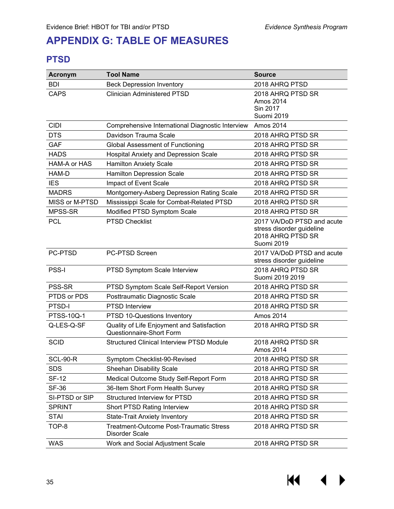## <span id="page-36-0"></span>**APPENDIX G: TABLE OF MEASURES**

#### <span id="page-36-1"></span>**PTSD**

| <b>Acronym</b>    | <b>Tool Name</b>                                                       | <b>Source</b>                                                                              |
|-------------------|------------------------------------------------------------------------|--------------------------------------------------------------------------------------------|
| <b>BDI</b>        | <b>Beck Depression Inventory</b>                                       | 2018 AHRQ PTSD                                                                             |
| <b>CAPS</b>       | <b>Clinician Administered PTSD</b>                                     | 2018 AHRQ PTSD SR<br>Amos 2014<br>Sin 2017<br>Suomi 2019                                   |
| <b>CIDI</b>       | Comprehensive International Diagnostic Interview                       | Amos 2014                                                                                  |
| <b>DTS</b>        | Davidson Trauma Scale                                                  | 2018 AHRQ PTSD SR                                                                          |
| <b>GAF</b>        | <b>Global Assessment of Functioning</b>                                | 2018 AHRQ PTSD SR                                                                          |
| <b>HADS</b>       | <b>Hospital Anxiety and Depression Scale</b>                           | 2018 AHRQ PTSD SR                                                                          |
| HAM-A or HAS      | <b>Hamilton Anxiety Scale</b>                                          | 2018 AHRQ PTSD SR                                                                          |
| HAM-D             | <b>Hamilton Depression Scale</b>                                       | 2018 AHRQ PTSD SR                                                                          |
| <b>IES</b>        | Impact of Event Scale                                                  | 2018 AHRQ PTSD SR                                                                          |
| <b>MADRS</b>      | Montgomery-Asberg Depression Rating Scale                              | 2018 AHRQ PTSD SR                                                                          |
| MISS or M-PTSD    | Mississippi Scale for Combat-Related PTSD                              | 2018 AHRQ PTSD SR                                                                          |
| MPSS-SR           | Modified PTSD Symptom Scale                                            | 2018 AHRQ PTSD SR                                                                          |
| <b>PCL</b>        | <b>PTSD Checklist</b>                                                  | 2017 VA/DoD PTSD and acute<br>stress disorder guideline<br>2018 AHRQ PTSD SR<br>Suomi 2019 |
| PC-PTSD           | PC-PTSD Screen                                                         | 2017 VA/DoD PTSD and acute<br>stress disorder guideline                                    |
| <b>PSS-I</b>      | PTSD Symptom Scale Interview                                           | 2018 AHRQ PTSD SR<br>Suomi 2019 2019                                                       |
| PSS-SR            | PTSD Symptom Scale Self-Report Version                                 | 2018 AHRQ PTSD SR                                                                          |
| PTDS or PDS       | Posttraumatic Diagnostic Scale                                         | 2018 AHRQ PTSD SR                                                                          |
| PTSD-I            | <b>PTSD Interview</b>                                                  | 2018 AHRQ PTSD SR                                                                          |
| <b>PTSS-10Q-1</b> | PTSD 10-Questions Inventory                                            | Amos 2014                                                                                  |
| Q-LES-Q-SF        | Quality of Life Enjoyment and Satisfaction<br>Questionnaire-Short Form | 2018 AHRQ PTSD SR                                                                          |
| <b>SCID</b>       | <b>Structured Clinical Interview PTSD Module</b>                       | 2018 AHRQ PTSD SR<br>Amos 2014                                                             |
| <b>SCL-90-R</b>   | Symptom Checklist-90-Revised                                           | 2018 AHRQ PTSD SR                                                                          |
| <b>SDS</b>        | <b>Sheehan Disability Scale</b>                                        | 2018 AHRQ PTSD SR                                                                          |
| <b>SF-12</b>      | Medical Outcome Study Self-Report Form                                 | 2018 AHRQ PTSD SR                                                                          |
| <b>SF-36</b>      | 36-Item Short Form Health Survey                                       | 2018 AHRQ PTSD SR                                                                          |
| SI-PTSD or SIP    | <b>Structured Interview for PTSD</b>                                   | 2018 AHRQ PTSD SR                                                                          |
| <b>SPRINT</b>     | Short PTSD Rating Interview                                            | 2018 AHRQ PTSD SR                                                                          |
| <b>STAI</b>       | <b>State-Trait Anxiety Inventory</b>                                   | 2018 AHRQ PTSD SR                                                                          |
| TOP-8             | Treatment-Outcome Post-Traumatic Stress<br>Disorder Scale              | 2018 AHRQ PTSD SR                                                                          |
| <b>WAS</b>        | Work and Social Adjustment Scale                                       | 2018 AHRQ PTSD SR                                                                          |

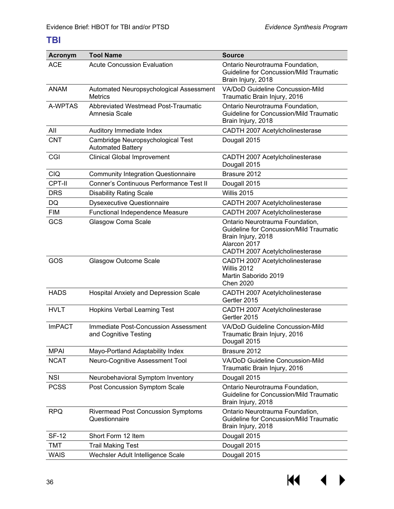#### <span id="page-37-0"></span>**TBI**

| <b>Acronym</b> | <b>Tool Name</b>                                                     | <b>Source</b>                                                                                                                                              |
|----------------|----------------------------------------------------------------------|------------------------------------------------------------------------------------------------------------------------------------------------------------|
| <b>ACE</b>     | <b>Acute Concussion Evaluation</b>                                   | Ontario Neurotrauma Foundation,<br><b>Guideline for Concussion/Mild Traumatic</b><br>Brain Injury, 2018                                                    |
| <b>ANAM</b>    | Automated Neuropsychological Assessment<br><b>Metrics</b>            | VA/DoD Guideline Concussion-Mild<br>Traumatic Brain Injury, 2016                                                                                           |
| A-WPTAS        | <b>Abbreviated Westmead Post-Traumatic</b><br>Amnesia Scale          | Ontario Neurotrauma Foundation,<br><b>Guideline for Concussion/Mild Traumatic</b><br>Brain Injury, 2018                                                    |
| All            | Auditory Immediate Index                                             | CADTH 2007 Acetylcholinesterase                                                                                                                            |
| <b>CNT</b>     | Cambridge Neuropsychological Test<br><b>Automated Battery</b>        | Dougall 2015                                                                                                                                               |
| CGI            | <b>Clinical Global Improvement</b>                                   | CADTH 2007 Acetylcholinesterase<br>Dougall 2015                                                                                                            |
| <b>CIQ</b>     | <b>Community Integration Questionnaire</b>                           | Brasure 2012                                                                                                                                               |
| CPT-II         | Conner's Continuous Performance Test II                              | Dougall 2015                                                                                                                                               |
| <b>DRS</b>     | <b>Disability Rating Scale</b>                                       | Willis 2015                                                                                                                                                |
| DQ             | <b>Dysexecutive Questionnaire</b>                                    | CADTH 2007 Acetylcholinesterase                                                                                                                            |
| <b>FIM</b>     | Functional Independence Measure                                      | CADTH 2007 Acetylcholinesterase                                                                                                                            |
| GCS            | Glasgow Coma Scale                                                   | Ontario Neurotrauma Foundation,<br><b>Guideline for Concussion/Mild Traumatic</b><br>Brain Injury, 2018<br>Alarcon 2017<br>CADTH 2007 Acetylcholinesterase |
| GOS            | <b>Glasgow Outcome Scale</b>                                         | CADTH 2007 Acetylcholinesterase<br>Willis 2012<br>Martin Saborido 2019<br><b>Chen 2020</b>                                                                 |
| <b>HADS</b>    | Hospital Anxiety and Depression Scale                                | CADTH 2007 Acetylcholinesterase<br>Gertler 2015                                                                                                            |
| <b>HVLT</b>    | <b>Hopkins Verbal Learning Test</b>                                  | CADTH 2007 Acetylcholinesterase<br>Gertler 2015                                                                                                            |
| <b>ImPACT</b>  | <b>Immediate Post-Concussion Assessment</b><br>and Cognitive Testing | VA/DoD Guideline Concussion-Mild<br>Traumatic Brain Injury, 2016<br>Dougall 2015                                                                           |
| <b>MPAI</b>    | Mayo-Portland Adaptability Index                                     | Brasure 2012                                                                                                                                               |
| <b>NCAT</b>    | Neuro-Cognitive Assessment Tool                                      | <b>VA/DoD Guideline Concussion-Mild</b><br>Traumatic Brain Injury, 2016                                                                                    |
| <b>NSI</b>     | Neurobehavioral Symptom Inventory                                    | Dougall 2015                                                                                                                                               |
| <b>PCSS</b>    | Post Concussion Symptom Scale                                        | Ontario Neurotrauma Foundation,<br><b>Guideline for Concussion/Mild Traumatic</b><br>Brain Injury, 2018                                                    |
| <b>RPQ</b>     | <b>Rivermead Post Concussion Symptoms</b><br>Questionnaire           | Ontario Neurotrauma Foundation,<br>Guideline for Concussion/Mild Traumatic<br>Brain Injury, 2018                                                           |
| <b>SF-12</b>   | Short Form 12 Item                                                   | Dougall 2015                                                                                                                                               |
| TMT            | <b>Trail Making Test</b>                                             | Dougall 2015                                                                                                                                               |
| <b>WAIS</b>    | Wechsler Adult Intelligence Scale                                    | Dougall 2015                                                                                                                                               |

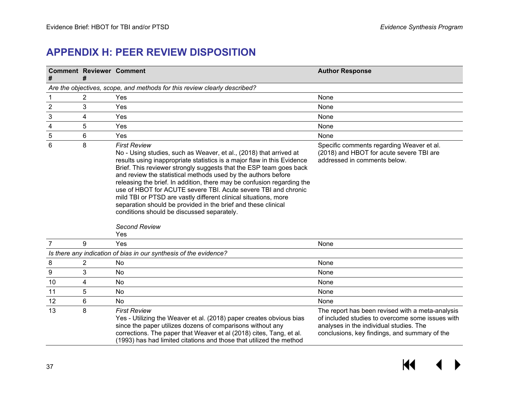## **APPENDIX H: PEER REVIEW DISPOSITION**

<span id="page-38-0"></span>

|                | <b>Comment Reviewer Comment</b><br>#                                      |                                                                                                                                                                                                                                                                                                                                                                                                                                                                                                                                                                                                                                           | <b>Author Response</b>                                                                                                                                                                           |  |  |  |  |  |  |
|----------------|---------------------------------------------------------------------------|-------------------------------------------------------------------------------------------------------------------------------------------------------------------------------------------------------------------------------------------------------------------------------------------------------------------------------------------------------------------------------------------------------------------------------------------------------------------------------------------------------------------------------------------------------------------------------------------------------------------------------------------|--------------------------------------------------------------------------------------------------------------------------------------------------------------------------------------------------|--|--|--|--|--|--|
|                | Are the objectives, scope, and methods for this review clearly described? |                                                                                                                                                                                                                                                                                                                                                                                                                                                                                                                                                                                                                                           |                                                                                                                                                                                                  |  |  |  |  |  |  |
| 1              | 2                                                                         | Yes                                                                                                                                                                                                                                                                                                                                                                                                                                                                                                                                                                                                                                       | None                                                                                                                                                                                             |  |  |  |  |  |  |
| $\overline{c}$ | 3                                                                         | Yes                                                                                                                                                                                                                                                                                                                                                                                                                                                                                                                                                                                                                                       | None                                                                                                                                                                                             |  |  |  |  |  |  |
| 3              | 4                                                                         | Yes                                                                                                                                                                                                                                                                                                                                                                                                                                                                                                                                                                                                                                       | None                                                                                                                                                                                             |  |  |  |  |  |  |
| 4              | 5                                                                         | Yes                                                                                                                                                                                                                                                                                                                                                                                                                                                                                                                                                                                                                                       | None                                                                                                                                                                                             |  |  |  |  |  |  |
| 5              | 6                                                                         | Yes                                                                                                                                                                                                                                                                                                                                                                                                                                                                                                                                                                                                                                       | None                                                                                                                                                                                             |  |  |  |  |  |  |
| 6              | 8                                                                         | <b>First Review</b><br>No - Using studies, such as Weaver, et al., (2018) that arrived at<br>results using inappropriate statistics is a major flaw in this Evidence<br>Brief. This reviewer strongly suggests that the ESP team goes back<br>and review the statistical methods used by the authors before<br>releasing the brief. In addition, there may be confusion regarding the<br>use of HBOT for ACUTE severe TBI. Acute severe TBI and chronic<br>mild TBI or PTSD are vastly different clinical situations, more<br>separation should be provided in the brief and these clinical<br>conditions should be discussed separately. | Specific comments regarding Weaver et al.<br>(2018) and HBOT for acute severe TBI are<br>addressed in comments below.                                                                            |  |  |  |  |  |  |
|                |                                                                           | <b>Second Review</b><br>Yes                                                                                                                                                                                                                                                                                                                                                                                                                                                                                                                                                                                                               |                                                                                                                                                                                                  |  |  |  |  |  |  |
| $\overline{7}$ | 9                                                                         | Yes                                                                                                                                                                                                                                                                                                                                                                                                                                                                                                                                                                                                                                       | None                                                                                                                                                                                             |  |  |  |  |  |  |
|                | $\overline{2}$                                                            | Is there any indication of bias in our synthesis of the evidence?<br>No                                                                                                                                                                                                                                                                                                                                                                                                                                                                                                                                                                   |                                                                                                                                                                                                  |  |  |  |  |  |  |
| 8              | 3                                                                         | No                                                                                                                                                                                                                                                                                                                                                                                                                                                                                                                                                                                                                                        | None                                                                                                                                                                                             |  |  |  |  |  |  |
| 9<br>10        | 4                                                                         | No                                                                                                                                                                                                                                                                                                                                                                                                                                                                                                                                                                                                                                        | None<br>None                                                                                                                                                                                     |  |  |  |  |  |  |
| 11             | 5                                                                         | No                                                                                                                                                                                                                                                                                                                                                                                                                                                                                                                                                                                                                                        | None                                                                                                                                                                                             |  |  |  |  |  |  |
| 12             | 6                                                                         | <b>No</b>                                                                                                                                                                                                                                                                                                                                                                                                                                                                                                                                                                                                                                 | None                                                                                                                                                                                             |  |  |  |  |  |  |
| 13             | 8                                                                         | <b>First Review</b><br>Yes - Utilizing the Weaver et al. (2018) paper creates obvious bias<br>since the paper utilizes dozens of comparisons without any<br>corrections. The paper that Weaver et al (2018) cites, Tang, et al.<br>(1993) has had limited citations and those that utilized the method                                                                                                                                                                                                                                                                                                                                    | The report has been revised with a meta-analysis<br>of included studies to overcome some issues with<br>analyses in the individual studies. The<br>conclusions, key findings, and summary of the |  |  |  |  |  |  |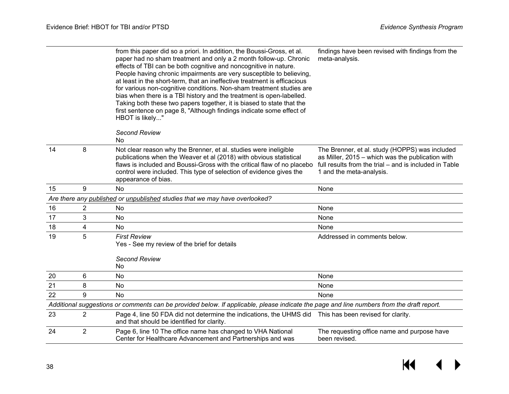|    |                | from this paper did so a priori. In addition, the Boussi-Gross, et al.<br>paper had no sham treatment and only a 2 month follow-up. Chronic<br>effects of TBI can be both cognitive and noncognitive in nature.<br>People having chronic impairments are very susceptible to believing,<br>at least in the short-term, that an ineffective treatment is efficacious<br>for various non-cognitive conditions. Non-sham treatment studies are<br>bias when there is a TBI history and the treatment is open-labelled.<br>Taking both these two papers together, it is biased to state that the<br>first sentence on page 8, "Although findings indicate some effect of<br>HBOT is likely" | findings have been revised with findings from the<br>meta-analysis.                                                                                                                      |
|----|----------------|-----------------------------------------------------------------------------------------------------------------------------------------------------------------------------------------------------------------------------------------------------------------------------------------------------------------------------------------------------------------------------------------------------------------------------------------------------------------------------------------------------------------------------------------------------------------------------------------------------------------------------------------------------------------------------------------|------------------------------------------------------------------------------------------------------------------------------------------------------------------------------------------|
|    |                | <b>Second Review</b><br>No                                                                                                                                                                                                                                                                                                                                                                                                                                                                                                                                                                                                                                                              |                                                                                                                                                                                          |
| 14 | 8              | Not clear reason why the Brenner, et al. studies were ineligible<br>publications when the Weaver et al (2018) with obvious statistical<br>flaws is included and Boussi-Gross with the critical flaw of no placebo<br>control were included. This type of selection of evidence gives the<br>appearance of bias.                                                                                                                                                                                                                                                                                                                                                                         | The Brenner, et al. study (HOPPS) was included<br>as Miller, 2015 - which was the publication with<br>full results from the trial – and is included in Table<br>1 and the meta-analysis. |
| 15 | 9              | No                                                                                                                                                                                                                                                                                                                                                                                                                                                                                                                                                                                                                                                                                      | None                                                                                                                                                                                     |
|    |                | Are there any published or unpublished studies that we may have overlooked?                                                                                                                                                                                                                                                                                                                                                                                                                                                                                                                                                                                                             |                                                                                                                                                                                          |
| 16 | 2              | No                                                                                                                                                                                                                                                                                                                                                                                                                                                                                                                                                                                                                                                                                      | None                                                                                                                                                                                     |
| 17 | 3              | No                                                                                                                                                                                                                                                                                                                                                                                                                                                                                                                                                                                                                                                                                      | None                                                                                                                                                                                     |
| 18 | 4              | No                                                                                                                                                                                                                                                                                                                                                                                                                                                                                                                                                                                                                                                                                      | None                                                                                                                                                                                     |
| 19 | 5              | <b>First Review</b><br>Yes - See my review of the brief for details                                                                                                                                                                                                                                                                                                                                                                                                                                                                                                                                                                                                                     | Addressed in comments below.                                                                                                                                                             |
|    |                | <b>Second Review</b><br>No                                                                                                                                                                                                                                                                                                                                                                                                                                                                                                                                                                                                                                                              |                                                                                                                                                                                          |
| 20 | 6              | No                                                                                                                                                                                                                                                                                                                                                                                                                                                                                                                                                                                                                                                                                      | None                                                                                                                                                                                     |
| 21 | 8              | No                                                                                                                                                                                                                                                                                                                                                                                                                                                                                                                                                                                                                                                                                      | None                                                                                                                                                                                     |
| 22 | 9              | <b>No</b>                                                                                                                                                                                                                                                                                                                                                                                                                                                                                                                                                                                                                                                                               | None                                                                                                                                                                                     |
|    |                | Additional suggestions or comments can be provided below. If applicable, please indicate the page and line numbers from the draft report.                                                                                                                                                                                                                                                                                                                                                                                                                                                                                                                                               |                                                                                                                                                                                          |
| 23 | $\overline{2}$ | Page 4, line 50 FDA did not determine the indications, the UHMS did This has been revised for clarity.<br>and that should be identified for clarity.                                                                                                                                                                                                                                                                                                                                                                                                                                                                                                                                    |                                                                                                                                                                                          |
| 24 | $\overline{2}$ | Page 6, line 10 The office name has changed to VHA National<br>Center for Healthcare Advancement and Partnerships and was                                                                                                                                                                                                                                                                                                                                                                                                                                                                                                                                                               | The requesting office name and purpose have<br>been revised.                                                                                                                             |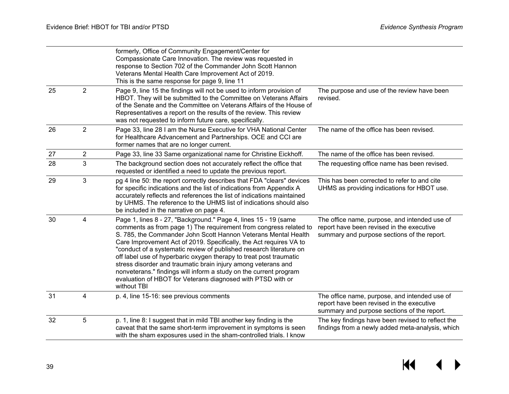|    |                | formerly, Office of Community Engagement/Center for<br>Compassionate Care Innovation. The review was requested in<br>response to Section 702 of the Commander John Scott Hannon<br>Veterans Mental Health Care Improvement Act of 2019.<br>This is the same response for page 9, line 11                                                                                                                                                                                                                                                                                                                                                      |                                                                                                                                           |
|----|----------------|-----------------------------------------------------------------------------------------------------------------------------------------------------------------------------------------------------------------------------------------------------------------------------------------------------------------------------------------------------------------------------------------------------------------------------------------------------------------------------------------------------------------------------------------------------------------------------------------------------------------------------------------------|-------------------------------------------------------------------------------------------------------------------------------------------|
| 25 | $\overline{2}$ | Page 9, line 15 the findings will not be used to inform provision of<br>HBOT. They will be submitted to the Committee on Veterans Affairs<br>of the Senate and the Committee on Veterans Affairs of the House of<br>Representatives a report on the results of the review. This review<br>was not requested to inform future care, specifically.                                                                                                                                                                                                                                                                                              | The purpose and use of the review have been<br>revised.                                                                                   |
| 26 | $\overline{2}$ | Page 33, line 28 I am the Nurse Executive for VHA National Center<br>for Healthcare Advancement and Partnerships. OCE and CCI are<br>former names that are no longer current.                                                                                                                                                                                                                                                                                                                                                                                                                                                                 | The name of the office has been revised.                                                                                                  |
| 27 | $\overline{2}$ | Page 33, line 33 Same organizational name for Christine Eickhoff.                                                                                                                                                                                                                                                                                                                                                                                                                                                                                                                                                                             | The name of the office has been revised.                                                                                                  |
| 28 | 3              | The background section does not accurately reflect the office that<br>requested or identified a need to update the previous report.                                                                                                                                                                                                                                                                                                                                                                                                                                                                                                           | The requesting office name has been revised.                                                                                              |
| 29 | 3              | pg 4 line 50: the report correctly describes that FDA "clears" devices<br>for specific indications and the list of indications from Appendix A<br>accurately reflects and references the list of indications maintained<br>by UHMS. The reference to the UHMS list of indications should also<br>be included in the narrative on page 4.                                                                                                                                                                                                                                                                                                      | This has been corrected to refer to and cite<br>UHMS as providing indications for HBOT use.                                               |
| 30 | 4              | Page 1, lines 8 - 27, "Background." Page 4, lines 15 - 19 (same<br>comments as from page 1) The requirement from congress related to<br>S. 785, the Commander John Scott Hannon Veterans Mental Health<br>Care Improvement Act of 2019. Specifically, the Act requires VA to<br>"conduct of a systematic review of published research literature on<br>off label use of hyperbaric oxygen therapy to treat post traumatic<br>stress disorder and traumatic brain injury among veterans and<br>nonveterans." findings will inform a study on the current program<br>evaluation of HBOT for Veterans diagnosed with PTSD with or<br>without TBI | The office name, purpose, and intended use of<br>report have been revised in the executive<br>summary and purpose sections of the report. |
| 31 | 4              | p. 4, line 15-16: see previous comments                                                                                                                                                                                                                                                                                                                                                                                                                                                                                                                                                                                                       | The office name, purpose, and intended use of<br>report have been revised in the executive<br>summary and purpose sections of the report. |
| 32 | 5              | p. 1, line 8: I suggest that in mild TBI another key finding is the<br>caveat that the same short-term improvement in symptoms is seen<br>with the sham exposures used in the sham-controlled trials. I know                                                                                                                                                                                                                                                                                                                                                                                                                                  | The key findings have been revised to reflect the<br>findings from a newly added meta-analysis, which                                     |

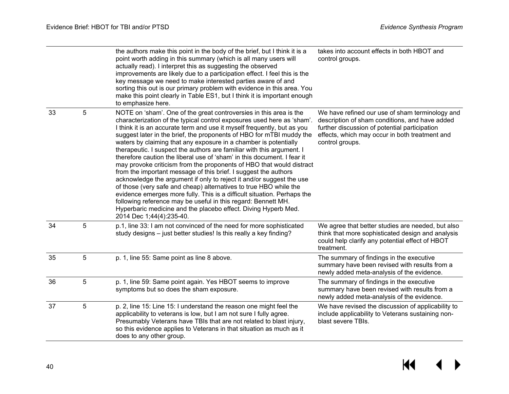|    |   | the authors make this point in the body of the brief, but I think it is a<br>point worth adding in this summary (which is all many users will<br>actually read). I interpret this as suggesting the observed<br>improvements are likely due to a participation effect. I feel this is the<br>key message we need to make interested parties aware of and<br>sorting this out is our primary problem with evidence in this area. You<br>make this point clearly in Table ES1, but I think it is important enough<br>to emphasize here.                                                                                                                                                                                                                                                                                                                                                                                                                                                                                                                     | takes into account effects in both HBOT and<br>control groups.                                                                                                                                                          |
|----|---|-----------------------------------------------------------------------------------------------------------------------------------------------------------------------------------------------------------------------------------------------------------------------------------------------------------------------------------------------------------------------------------------------------------------------------------------------------------------------------------------------------------------------------------------------------------------------------------------------------------------------------------------------------------------------------------------------------------------------------------------------------------------------------------------------------------------------------------------------------------------------------------------------------------------------------------------------------------------------------------------------------------------------------------------------------------|-------------------------------------------------------------------------------------------------------------------------------------------------------------------------------------------------------------------------|
| 33 | 5 | NOTE on 'sham'. One of the great controversies in this area is the<br>characterization of the typical control exposures used here as 'sham'.<br>I think it is an accurate term and use it myself frequently, but as you<br>suggest later in the brief, the proponents of HBO for mTBI muddy the<br>waters by claiming that any exposure in a chamber is potentially<br>therapeutic. I suspect the authors are familiar with this argument. I<br>therefore caution the liberal use of 'sham' in this document. I fear it<br>may provoke criticism from the proponents of HBO that would distract<br>from the important message of this brief. I suggest the authors<br>acknowledge the argument if only to reject it and/or suggest the use<br>of those (very safe and cheap) alternatives to true HBO while the<br>evidence emerges more fully. This is a difficult situation. Perhaps the<br>following reference may be useful in this regard: Bennett MH.<br>Hyperbaric medicine and the placebo effect. Diving Hyperb Med.<br>2014 Dec 1;44(4):235-40. | We have refined our use of sham terminology and<br>description of sham conditions, and have added<br>further discussion of potential participation<br>effects, which may occur in both treatment and<br>control groups. |
| 34 | 5 | p.1, line 33: I am not convinced of the need for more sophisticated<br>study designs - just better studies! Is this really a key finding?                                                                                                                                                                                                                                                                                                                                                                                                                                                                                                                                                                                                                                                                                                                                                                                                                                                                                                                 | We agree that better studies are needed, but also<br>think that more sophisticated design and analysis<br>could help clarify any potential effect of HBOT<br>treatment.                                                 |
| 35 | 5 | p. 1, line 55: Same point as line 8 above.                                                                                                                                                                                                                                                                                                                                                                                                                                                                                                                                                                                                                                                                                                                                                                                                                                                                                                                                                                                                                | The summary of findings in the executive<br>summary have been revised with results from a<br>newly added meta-analysis of the evidence.                                                                                 |
| 36 | 5 | p. 1, line 59: Same point again. Yes HBOT seems to improve<br>symptoms but so does the sham exposure.                                                                                                                                                                                                                                                                                                                                                                                                                                                                                                                                                                                                                                                                                                                                                                                                                                                                                                                                                     | The summary of findings in the executive<br>summary have been revised with results from a<br>newly added meta-analysis of the evidence.                                                                                 |
| 37 | 5 | p. 2, line 15: Line 15: I understand the reason one might feel the<br>applicability to veterans is low, but I am not sure I fully agree.<br>Presumably Veterans have TBIs that are not related to blast injury,<br>so this evidence applies to Veterans in that situation as much as it<br>does to any other group.                                                                                                                                                                                                                                                                                                                                                                                                                                                                                                                                                                                                                                                                                                                                       | We have revised the discussion of applicability to<br>include applicability to Veterans sustaining non-<br>blast severe TBIs.                                                                                           |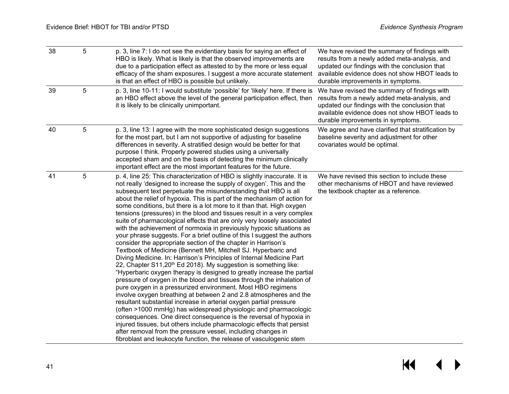| 38 | 5 | p. 3, line 7: I do not see the evidentiary basis for saying an effect of<br>HBO is likely. What is likely is that the observed improvements are<br>due to a participation effect as attested to by the more or less equal<br>efficacy of the sham exposures. I suggest a more accurate statement<br>is that an effect of HBO is possible but unlikely.                                                                                                                                                                                                                                                                                                                                                                                                                                                                                                                                                                                                                                                                                                                                                                                                                                                                                                                                                                                                                                                                                                                                                                                                                                                                                                                                           | We have revised the summary of findings with<br>results from a newly added meta-analysis, and<br>updated our findings with the conclusion that<br>available evidence does not show HBOT leads to<br>durable improvements in symptoms. |
|----|---|--------------------------------------------------------------------------------------------------------------------------------------------------------------------------------------------------------------------------------------------------------------------------------------------------------------------------------------------------------------------------------------------------------------------------------------------------------------------------------------------------------------------------------------------------------------------------------------------------------------------------------------------------------------------------------------------------------------------------------------------------------------------------------------------------------------------------------------------------------------------------------------------------------------------------------------------------------------------------------------------------------------------------------------------------------------------------------------------------------------------------------------------------------------------------------------------------------------------------------------------------------------------------------------------------------------------------------------------------------------------------------------------------------------------------------------------------------------------------------------------------------------------------------------------------------------------------------------------------------------------------------------------------------------------------------------------------|---------------------------------------------------------------------------------------------------------------------------------------------------------------------------------------------------------------------------------------|
| 39 | 5 | p. 3, line 10-11: I would substitute 'possible' for 'likely' here. If there is<br>an HBO effect above the level of the general participation effect, then<br>it is likely to be clinically unimportant.                                                                                                                                                                                                                                                                                                                                                                                                                                                                                                                                                                                                                                                                                                                                                                                                                                                                                                                                                                                                                                                                                                                                                                                                                                                                                                                                                                                                                                                                                          | We have revised the summary of findings with<br>results from a newly added meta-analysis, and<br>updated our findings with the conclusion that<br>available evidence does not show HBOT leads to<br>durable improvements in symptoms. |
| 40 | 5 | p. 3, line 13: I agree with the more sophisticated design suggestions<br>for the most part, but I am not supportive of adjusting for baseline<br>differences in severity. A stratified design would be better for that<br>purpose I think. Properly powered studies using a universally<br>accepted sham and on the basis of detecting the minimum clinically<br>important effect are the most important features for the future.                                                                                                                                                                                                                                                                                                                                                                                                                                                                                                                                                                                                                                                                                                                                                                                                                                                                                                                                                                                                                                                                                                                                                                                                                                                                | We agree and have clarified that stratification by<br>baseline severity and adjustment for other<br>covariates would be optimal.                                                                                                      |
| 41 | 5 | p. 4, line 25: This characterization of HBO is slightly inaccurate. It is<br>not really 'designed to increase the supply of oxygen'. This and the<br>subsequent text perpetuate the misunderstanding that HBO is all<br>about the relief of hypoxia. This is part of the mechanism of action for<br>some conditions, but there is a lot more to it than that. High oxygen<br>tensions (pressures) in the blood and tissues result in a very complex<br>suite of pharmacological effects that are only very loosely associated<br>with the achievement of normoxia in previously hypoxic situations as<br>your phrase suggests. For a brief outline of this I suggest the authors<br>consider the appropriate section of the chapter in Harrison's<br>Textbook of Medicine (Bennett MH, Mitchell SJ. Hyperbaric and<br>Diving Medicine. In: Harrison's Principles of Internal Medicine Part<br>22, Chapter S11,20 <sup>th</sup> Ed 2018). My suggestion is something like:<br>"Hyperbaric oxygen therapy is designed to greatly increase the partial<br>pressure of oxygen in the blood and tissues through the inhalation of<br>pure oxygen in a pressurized environment. Most HBO regimens<br>involve oxygen breathing at between 2 and 2.8 atmospheres and the<br>resultant substantial increase in arterial oxygen partial pressure<br>(often >1000 mmHg) has widespread physiologic and pharmacologic<br>consequences. One direct consequence is the reversal of hypoxia in<br>injured tissues, but others include pharmacologic effects that persist<br>after removal from the pressure vessel, including changes in<br>fibroblast and leukocyte function, the release of vasculogenic stem | We have revised this section to include these<br>other mechanisms of HBOT and have reviewed<br>the textbook chapter as a reference.                                                                                                   |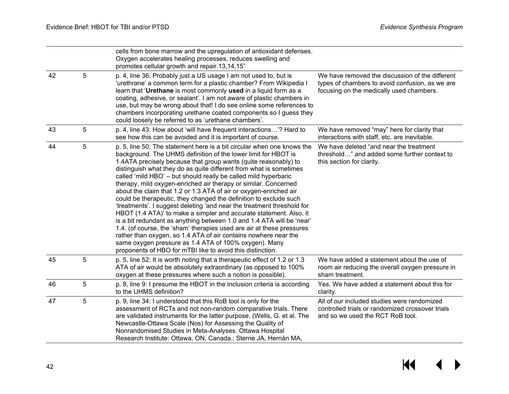|    |   | cells from bone marrow and the upregulation of antioxidant defenses.<br>Oxygen accelerates healing processes, reduces swelling and<br>promotes cellular growth and repair.13,14,15"                                                                                                                                                                                                                                                                                                                                                                                                                                                                                                                                                                                                                                                                                                                                                                                                                                                                           |                                                                                                                                                |
|----|---|---------------------------------------------------------------------------------------------------------------------------------------------------------------------------------------------------------------------------------------------------------------------------------------------------------------------------------------------------------------------------------------------------------------------------------------------------------------------------------------------------------------------------------------------------------------------------------------------------------------------------------------------------------------------------------------------------------------------------------------------------------------------------------------------------------------------------------------------------------------------------------------------------------------------------------------------------------------------------------------------------------------------------------------------------------------|------------------------------------------------------------------------------------------------------------------------------------------------|
| 42 | 5 | p. 4, line 36: Probably just a US usage I am not used to, but is<br>'urethrane' a common term for a plastic chamber? From Wikipedia I<br>learn that 'Urethane is most commonly used in a liquid form as a<br>coating, adhesive, or sealant'. I am not aware of plastic chambers in<br>use, but may be wrong about that! I do see online some references to<br>chambers incorporating urethane coated components so I guess they<br>could loosely be referred to as 'urethane chambers'.                                                                                                                                                                                                                                                                                                                                                                                                                                                                                                                                                                       | We have removed the discussion of the different<br>types of chambers to avoid confusion, as we are<br>focusing on the medically used chambers. |
| 43 | 5 | p. 4, line 43: How about 'will have frequent interactions'? Hard to<br>see how this can be avoided and it is important of course.                                                                                                                                                                                                                                                                                                                                                                                                                                                                                                                                                                                                                                                                                                                                                                                                                                                                                                                             | We have removed "may" here for clarity that<br>interactions with staff, etc. are inevitable.                                                   |
| 44 | 5 | p. 5, line 50: The statement here is a bit circular when one knows the<br>background. The UHMS definition of the lower limit for HBOT is<br>1.4ATA precisely because that group wants (quite reasonably) to<br>distinguish what they do as quite different from what is sometimes<br>called 'mild HBO' - but should really be called mild hyperbaric<br>therapy, mild oxygen-enriched air therapy or similar. Concerned<br>about the claim that 1.2 or 1.3 ATA of air or oxygen-enriched air<br>could be therapeutic, they changed the definition to exclude such<br>'treatments'. I suggest deleting 'and near the treatment threshold for<br>HBOT (1.4 ATA)' to make a simpler and accurate statement. Also, it<br>is a bit redundant as anything between 1.0 and 1.4 ATA will be 'near'<br>1.4. (of course, the 'sham' therapies used are air at these pressures<br>rather than oxygen, so 1.4 ATA of air contains nowhere near the<br>same oxygen pressure as 1.4 ATA of 100% oxygen). Many<br>proponents of HBO for mTBI like to avoid this distinction. | We have deleted "and near the treatment<br>threshold" and added some further context to<br>this section for clarity.                           |
| 45 | 5 | p. 5, line 52: It is worth noting that a therapeutic effect of 1.2 or 1.3<br>ATA of air would be absolutely extraordinary (as opposed to 100%<br>oxygen at these pressures where such a notion is possible).                                                                                                                                                                                                                                                                                                                                                                                                                                                                                                                                                                                                                                                                                                                                                                                                                                                  | We have added a statement about the use of<br>room air reducing the overall oxygen pressure in<br>sham treatment.                              |
| 46 | 5 | p. 8, line 9: I presume the HBOT in the inclusion criteria is according<br>to the UHMS definition?                                                                                                                                                                                                                                                                                                                                                                                                                                                                                                                                                                                                                                                                                                                                                                                                                                                                                                                                                            | Yes. We have added a statement about this for<br>clarity.                                                                                      |
| 47 | 5 | p. 9, line 34: I understood that this RoB tool is only for the<br>assessment of RCTs and not non-random comparative trials. There<br>are validated instruments for the latter purpose. (Wells, G. et al. The<br>Newcastle-Ottawa Scale (Nos) for Assessing the Quality of<br>Nonrandomised Studies in Meta-Analyses. Ottawa Hospital<br>Research Institute: Ottawa, ON, Canada.; Sterne JA, Hernán MA,                                                                                                                                                                                                                                                                                                                                                                                                                                                                                                                                                                                                                                                        | All of our included studies were randomized<br>controlled trials or randomized crossover trials<br>and so we used the RCT RoB tool.            |

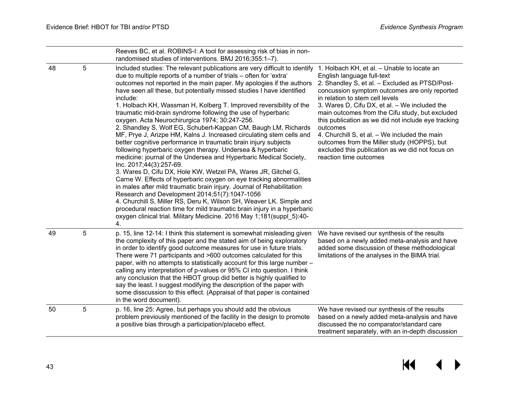|    |   | Reeves BC, et al. ROBINS-I: A tool for assessing risk of bias in non-<br>randomised studies of interventions. BMJ 2016;355:1-7).                                                                                                                                                                                                                                                                                                                                                                                                                                                                                                                                                                                                                                                                                                                                                                                                                                                                                                                                                                                                                                                                                                                                                                                                                                                    |                                                                                                                                                                                                                                                                                                                                                                                                                                                                                                                                                                      |
|----|---|-------------------------------------------------------------------------------------------------------------------------------------------------------------------------------------------------------------------------------------------------------------------------------------------------------------------------------------------------------------------------------------------------------------------------------------------------------------------------------------------------------------------------------------------------------------------------------------------------------------------------------------------------------------------------------------------------------------------------------------------------------------------------------------------------------------------------------------------------------------------------------------------------------------------------------------------------------------------------------------------------------------------------------------------------------------------------------------------------------------------------------------------------------------------------------------------------------------------------------------------------------------------------------------------------------------------------------------------------------------------------------------|----------------------------------------------------------------------------------------------------------------------------------------------------------------------------------------------------------------------------------------------------------------------------------------------------------------------------------------------------------------------------------------------------------------------------------------------------------------------------------------------------------------------------------------------------------------------|
| 48 | 5 | Included studies: The relevant publications are very difficult to identify<br>due to multiple reports of a number of trials – often for 'extra'<br>outcomes not reported in the main paper. My apologies if the authors<br>have seen all these, but potentially missed studies I have identified<br>include:<br>1. Holbach KH, Wassman H, Kolberg T. Improved reversibility of the<br>traumatic mid-brain syndrome following the use of hyperbaric<br>oxygen. Acta Neurochirurgica 1974; 30:247-256.<br>2. Shandley S, Wolf EG, Schubert-Kappan CM, Baugh LM, Richards<br>MF, Prye J, Arizpe HM, Kalns J. Increased circulating stem cells and<br>better cognitive performance in traumatic brain injury subjects<br>following hyperbaric oxygen therapy. Undersea & hyperbaric<br>medicine: journal of the Undersea and Hyperbaric Medical Society,<br>Inc. 2017;44(3):257-69.<br>3. Wares D, Cifu DX, Hole KW, Wetzel PA, Wares JR, Gitchel G,<br>Carne W. Effects of hyperbaric oxygen on eye tracking abnormalities<br>in males after mild traumatic brain injury. Journal of Rehabilitation<br>Research and Development 2014;51(7):1047-1056<br>4. Churchill S, Miller RS, Deru K, Wilson SH, Weaver LK. Simple and<br>procedural reaction time for mild traumatic brain injury in a hyperbaric<br>oxygen clinical trial. Military Medicine. 2016 May 1;181(suppl_5):40-<br>4. | 1. Holbach KH, et al. - Unable to locate an<br>English language full-text<br>2. Shandley S, et al. - Excluded as PTSD/Post-<br>concussion symptom outcomes are only reported<br>in relation to stem cell levels<br>3. Wares D, Cifu DX, et al. - We included the<br>main outcomes from the Cifu study, but excluded<br>this publication as we did not include eye tracking<br>outcomes<br>4. Churchill S, et al. - We included the main<br>outcomes from the Miller study (HOPPS), but<br>excluded this publication as we did not focus on<br>reaction time outcomes |
| 49 | 5 | p. 15, line 12-14: I think this statement is somewhat misleading given<br>the complexity of this paper and the stated aim of being exploratory<br>in order to identify good outcome measures for use in future trials.<br>There were 71 participants and >600 outcomes calculated for this<br>paper, with no attempts to statistically account for this large number -<br>calling any interpretation of p-values or 95% CI into question. I think<br>any conclusion that the HBOT group did better is highly qualified to<br>say the least. I suggest modifying the description of the paper with<br>some disscussion to this effect. (Appraisal of that paper is contained<br>in the word document).                                                                                                                                                                                                                                                                                                                                                                                                                                                                                                                                                                                                                                                                               | We have revised our synthesis of the results<br>based on a newly added meta-analysis and have<br>added some discussion of these methodological<br>limitations of the analyses in the BIMA trial.                                                                                                                                                                                                                                                                                                                                                                     |
| 50 | 5 | p. 16, line 25: Agree, but perhaps you should add the obvious<br>problem previously mentioned of the facility in the design to promote<br>a positive bias through a participation/placebo effect.                                                                                                                                                                                                                                                                                                                                                                                                                                                                                                                                                                                                                                                                                                                                                                                                                                                                                                                                                                                                                                                                                                                                                                                   | We have revised our synthesis of the results<br>based on a newly added meta-analysis and have<br>discussed the no comparator/standard care<br>treatment separately, with an in-depth discussion                                                                                                                                                                                                                                                                                                                                                                      |

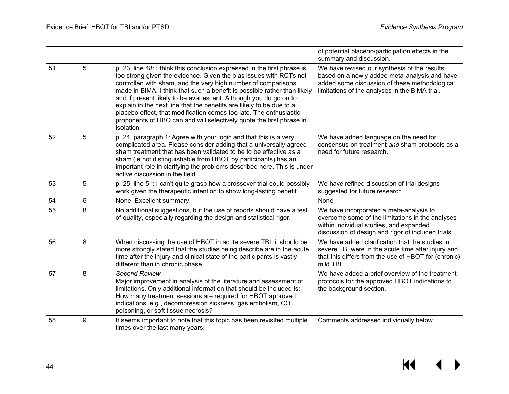|    |       |                                                                                                                                                                                                                                                                                                                                                                                                                                                                                                                                                                                                     | of potential placebo/participation effects in the<br>summary and discussion.                                                                                                                     |
|----|-------|-----------------------------------------------------------------------------------------------------------------------------------------------------------------------------------------------------------------------------------------------------------------------------------------------------------------------------------------------------------------------------------------------------------------------------------------------------------------------------------------------------------------------------------------------------------------------------------------------------|--------------------------------------------------------------------------------------------------------------------------------------------------------------------------------------------------|
| 51 | 5     | p. 23, line 48: I think this conclusion expressed in the first phrase is<br>too strong given the evidence. Given the bias issues with RCTs not<br>controlled with sham, and the very high number of comparisons<br>made in BIMA, I think that such a benefit is possible rather than likely<br>and if present likely to be evanescent. Although you do go on to<br>explain in the next line that the benefits are likely to be due to a<br>placebo effect, that modification comes too late. The enthusiastic<br>proponents of HBO can and will selectively quote the first phrase in<br>isolation. | We have revised our synthesis of the results<br>based on a newly added meta-analysis and have<br>added some discussion of these methodological<br>limitations of the analyses in the BIMA trial. |
| 52 | 5     | p. 24, paragraph 1: Agree with your logic and that this is a very<br>complicated area. Please consider adding that a universally agreed<br>sham treatment that has been validated to be to be effective as a<br>sham (ie not distinguishable from HBOT by participants) has an<br>important role in clarifying the problems described here. This is under<br>active discussion in the field.                                                                                                                                                                                                        | We have added language on the need for<br>consensus on treatment and sham protocols as a<br>need for future research.                                                                            |
| 53 | 5     | p. 25, line 51: I can't quite grasp how a crossover trial could possibly<br>work given the therapeutic intention to show long-lasting benefit.                                                                                                                                                                                                                                                                                                                                                                                                                                                      | We have refined discussion of trial designs<br>suggested for future research.                                                                                                                    |
| 54 | $\,6$ | None. Excellent summary.                                                                                                                                                                                                                                                                                                                                                                                                                                                                                                                                                                            | None                                                                                                                                                                                             |
| 55 | 8     | No additional suggestions, but the use of reports should have a test<br>of quality, especially regarding the design and statistical rigor.                                                                                                                                                                                                                                                                                                                                                                                                                                                          | We have incorporated a meta-analysis to<br>overcome some of the limitations in the analyses<br>within individual studies, and expanded<br>discussion of design and rigor of included trials.     |
| 56 | 8     | When discussing the use of HBOT in acute severe TBI, it should be<br>more strongly stated that the studies being describe are in the acute<br>time after the injury and clinical state of the participants is vastly<br>different than in chronic phase.                                                                                                                                                                                                                                                                                                                                            | We have added clarification that the studies in<br>severe TBI were in the acute time after injury and<br>that this differs from the use of HBOT for (chronic)<br>mild TBI.                       |
| 57 | 8     | <b>Second Review</b><br>Major improvement in analysis of the literature and assessment of<br>limitations. Only additional information that should be included is:<br>How many treatment sessions are required for HBOT approved<br>indications, e.g., decompression sickness, gas embolism, CO<br>poisoning, or soft tissue necrosis?                                                                                                                                                                                                                                                               | We have added a brief overview of the treatment<br>protocols for the approved HBOT indications to<br>the background section.                                                                     |
| 58 | 9     | It seems important to note that this topic has been revisited multiple<br>times over the last many years.                                                                                                                                                                                                                                                                                                                                                                                                                                                                                           | Comments addressed individually below.                                                                                                                                                           |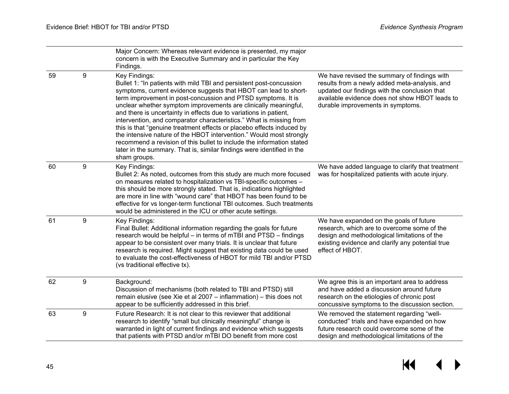|    |                  | Major Concern: Whereas relevant evidence is presented, my major<br>concern is with the Executive Summary and in particular the Key<br>Findings.                                                                                                                                                                                                                                                                                                                                                                                                                                                                                                                                                                                                            |                                                                                                                                                                                                                                       |
|----|------------------|------------------------------------------------------------------------------------------------------------------------------------------------------------------------------------------------------------------------------------------------------------------------------------------------------------------------------------------------------------------------------------------------------------------------------------------------------------------------------------------------------------------------------------------------------------------------------------------------------------------------------------------------------------------------------------------------------------------------------------------------------------|---------------------------------------------------------------------------------------------------------------------------------------------------------------------------------------------------------------------------------------|
| 59 | 9                | Key Findings:<br>Bullet 1: "In patients with mild TBI and persistent post-concussion<br>symptoms, current evidence suggests that HBOT can lead to short-<br>term improvement in post-concussion and PTSD symptoms. It is<br>unclear whether symptom improvements are clinically meaningful,<br>and there is uncertainty in effects due to variations in patient,<br>intervention, and comparator characteristics." What is missing from<br>this is that "genuine treatment effects or placebo effects induced by<br>the intensive nature of the HBOT intervention." Would most strongly<br>recommend a revision of this bullet to include the information stated<br>later in the summary. That is, similar findings were identified in the<br>sham groups. | We have revised the summary of findings with<br>results from a newly added meta-analysis, and<br>updated our findings with the conclusion that<br>available evidence does not show HBOT leads to<br>durable improvements in symptoms. |
| 60 | $\boldsymbol{9}$ | Key Findings:<br>Bullet 2: As noted, outcomes from this study are much more focused<br>on measures related to hospitalization vs TBI-specific outcomes -<br>this should be more strongly stated. That is, indications highlighted<br>are more in line with "wound care" that HBOT has been found to be<br>effective for vs longer-term functional TBI outcomes. Such treatments<br>would be administered in the ICU or other acute settings.                                                                                                                                                                                                                                                                                                               | We have added language to clarify that treatment<br>was for hospitalized patients with acute injury.                                                                                                                                  |
| 61 | 9                | Key Findings:<br>Final Bullet: Additional information regarding the goals for future<br>research would be helpful - in terms of mTBI and PTSD - findings<br>appear to be consistent over many trials. It is unclear that future<br>research is required. Might suggest that existing data could be used<br>to evaluate the cost-effectiveness of HBOT for mild TBI and/or PTSD<br>(vs traditional effective tx).                                                                                                                                                                                                                                                                                                                                           | We have expanded on the goals of future<br>research, which are to overcome some of the<br>design and methodological limitations of the<br>existing evidence and clarify any potential true<br>effect of HBOT.                         |
| 62 | 9                | Background:<br>Discussion of mechanisms (both related to TBI and PTSD) still<br>remain elusive (see Xie et al 2007 - inflammation) - this does not<br>appear to be sufficiently addressed in this brief.                                                                                                                                                                                                                                                                                                                                                                                                                                                                                                                                                   | We agree this is an important area to address<br>and have added a discussion around future<br>research on the etiologies of chronic post<br>concussive symptoms to the discussion section.                                            |
| 63 | 9                | Future Research: It is not clear to this reviewer that additional<br>research to identify "small but clinically meaningful" change is<br>warranted in light of current findings and evidence which suggests<br>that patients with PTSD and/or mTBI DO benefit from more cost                                                                                                                                                                                                                                                                                                                                                                                                                                                                               | We removed the statement regarding "well-<br>conducted" trials and have expanded on how<br>future research could overcome some of the<br>design and methodological limitations of the                                                 |

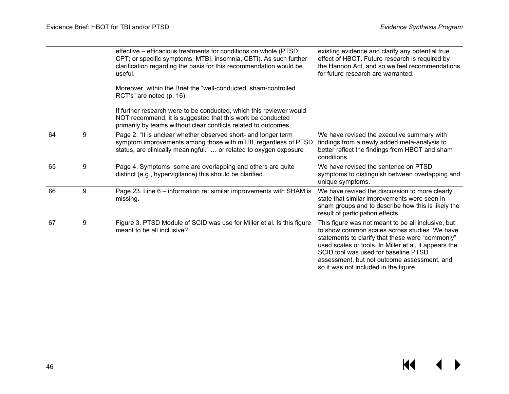|    |   | effective - efficacious treatments for conditions on whole (PTSD:<br>CPT; or specific symptoms, MTBI, insomnia, CBTi). As such further<br>clarification regarding the basis for this recommendation would be<br>useful. | existing evidence and clarify any potential true<br>effect of HBOT. Future research is required by<br>the Hannon Act, and so we feel recommendations<br>for future research are warranted.                                                                                                                                                       |
|----|---|-------------------------------------------------------------------------------------------------------------------------------------------------------------------------------------------------------------------------|--------------------------------------------------------------------------------------------------------------------------------------------------------------------------------------------------------------------------------------------------------------------------------------------------------------------------------------------------|
|    |   | Moreover, within the Brief the "well-conducted, sham-controlled<br>RCT's" are noted (p. 16).                                                                                                                            |                                                                                                                                                                                                                                                                                                                                                  |
|    |   | If further research were to be conducted, which this reviewer would<br>NOT recommend, it is suggested that this work be conducted<br>primarily by teams without clear conflicts related to outcomes.                    |                                                                                                                                                                                                                                                                                                                                                  |
| 64 | 9 | Page 2. "It is unclear whether observed short- and longer term<br>symptom improvements among those with mTBI, regardless of PTSD<br>status, are clinically meaningful."  or related to oxygen exposure                  | We have revised the executive summary with<br>findings from a newly added meta-analysis to<br>better reflect the findings from HBOT and sham<br>conditions.                                                                                                                                                                                      |
| 65 | 9 | Page 4. Symptoms: some are overlapping and others are quite<br>distinct (e.g., hypervigilance) this should be clarified.                                                                                                | We have revised the sentence on PTSD<br>symptoms to distinguish between overlapping and<br>unique symptoms.                                                                                                                                                                                                                                      |
| 66 | 9 | Page 23. Line 6 - information re: similar improvements with SHAM is<br>missing.                                                                                                                                         | We have revised the discussion to more clearly<br>state that similar improvements were seen in<br>sham groups and to describe how this is likely the<br>result of participation effects.                                                                                                                                                         |
| 67 | 9 | Figure 3. PTSD Module of SCID was use for Miller et al. Is this figure<br>meant to be all inclusive?                                                                                                                    | This figure was not meant to be all inclusive, but<br>to show common scales across studies. We have<br>statements to clarify that these were "commonly"<br>used scales or tools. In Miller et al, it appears the<br>SCID tool was used for baseline PTSD<br>assessment, but not outcome assessment, and<br>so it was not included in the figure. |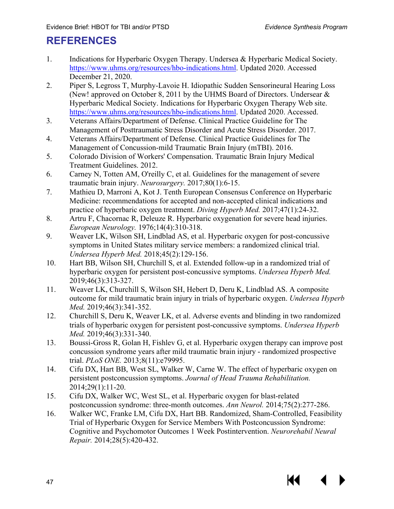## <span id="page-48-0"></span>**REFERENCES**

- <span id="page-48-1"></span>1. Indications for Hyperbaric Oxygen Therapy. Undersea & Hyperbaric Medical Society. [https://www.uhms.org/resources/hbo-indications.html.](https://www.uhms.org/resources/hbo-indications.html) Updated 2020. Accessed December 21, 2020.
- <span id="page-48-8"></span><span id="page-48-2"></span>2. Piper S, Legross T, Murphy-Lavoie H. Idiopathic Sudden Sensorineural Hearing Loss (New! approved on October 8, 2011 by the UHMS Board of Directors. Undersear & Hyperbaric Medical Society. Indications for Hyperbaric Oxygen Therapy Web site. [https://www.uhms.org/resources/hbo-indications.html.](https://www.uhms.org/resources/hbo-indications.html) Updated 2020. Accessed.
- <span id="page-48-9"></span><span id="page-48-3"></span>3. Veterans Affairs/Department of Defense. Clinical Practice Guideline for The Management of Posttraumatic Stress Disorder and Acute Stress Disorder. 2017.
- <span id="page-48-10"></span><span id="page-48-4"></span>4. Veterans Affairs/Department of Defense. Clinical Practice Guidelines for The Management of Concussion-mild Traumatic Brain Injury (mTBI). 2016.
- <span id="page-48-5"></span>5. Colorado Division of Workers' Compensation. Traumatic Brain Injury Medical Treatment Guidelines. 2012.
- <span id="page-48-11"></span><span id="page-48-6"></span>6. Carney N, Totten AM, O'reilly C, et al. Guidelines for the management of severe traumatic brain injury. *Neurosurgery.* 2017;80(1):6-15.
- <span id="page-48-12"></span><span id="page-48-7"></span>7. Mathieu D, Marroni A, Kot J. Tenth European Consensus Conference on Hyperbaric Medicine: recommendations for accepted and non-accepted clinical indications and practice of hyperbaric oxygen treatment. *Diving Hyperb Med.* 2017;47(1):24-32.
- <span id="page-48-13"></span>8. Artru F, Chacornac R, Deleuze R. Hyperbaric oxygenation for severe head injuries. *European Neurology.* 1976;14(4):310-318.
- 9. Weaver LK, Wilson SH, Lindblad AS, et al. Hyperbaric oxygen for post-concussive symptoms in United States military service members: a randomized clinical trial. *Undersea Hyperb Med.* 2018;45(2):129-156.
- <span id="page-48-14"></span>10. Hart BB, Wilson SH, Churchill S, et al. Extended follow-up in a randomized trial of hyperbaric oxygen for persistent post-concussive symptoms. *Undersea Hyperb Med.*  2019;46(3):313-327.
- <span id="page-48-16"></span><span id="page-48-15"></span>11. Weaver LK, Churchill S, Wilson SH, Hebert D, Deru K, Lindblad AS. A composite outcome for mild traumatic brain injury in trials of hyperbaric oxygen. *Undersea Hyperb Med.* 2019;46(3):341-352.
- 12. Churchill S, Deru K, Weaver LK, et al. Adverse events and blinding in two randomized trials of hyperbaric oxygen for persistent post-concussive symptoms. *Undersea Hyperb Med.* 2019;46(3):331-340.
- 13. Boussi-Gross R, Golan H, Fishlev G, et al. Hyperbaric oxygen therapy can improve post concussion syndrome years after mild traumatic brain injury - randomized prospective trial. *PLoS ONE.* 2013;8(11):e79995.
- 14. Cifu DX, Hart BB, West SL, Walker W, Carne W. The effect of hyperbaric oxygen on persistent postconcussion symptoms. *Journal of Head Trauma Rehabilitation.*  2014;29(1):11-20.
- 15. Cifu DX, Walker WC, West SL, et al. Hyperbaric oxygen for blast-related postconcussion syndrome: three-month outcomes. *Ann Neurol.* 2014;75(2):277-286.
- 16. Walker WC, Franke LM, Cifu DX, Hart BB. Randomized, Sham-Controlled, Feasibility Trial of Hyperbaric Oxygen for Service Members With Postconcussion Syndrome: Cognitive and Psychomotor Outcomes 1 Week Postintervention. *Neurorehabil Neural Repair.* 2014;28(5):420-432.